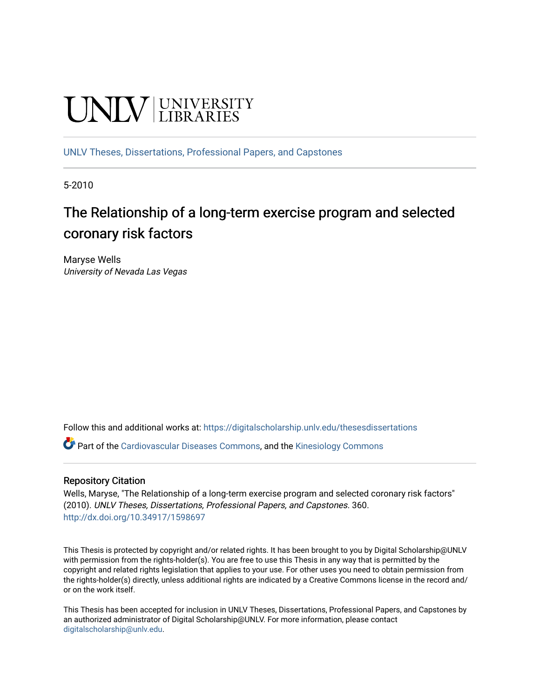# **UNIVERSITY**

[UNLV Theses, Dissertations, Professional Papers, and Capstones](https://digitalscholarship.unlv.edu/thesesdissertations)

5-2010

## The Relationship of a long-term exercise program and selected coronary risk factors

Maryse Wells University of Nevada Las Vegas

Follow this and additional works at: [https://digitalscholarship.unlv.edu/thesesdissertations](https://digitalscholarship.unlv.edu/thesesdissertations?utm_source=digitalscholarship.unlv.edu%2Fthesesdissertations%2F360&utm_medium=PDF&utm_campaign=PDFCoverPages)

Part of the [Cardiovascular Diseases Commons](http://network.bepress.com/hgg/discipline/929?utm_source=digitalscholarship.unlv.edu%2Fthesesdissertations%2F360&utm_medium=PDF&utm_campaign=PDFCoverPages), and the [Kinesiology Commons](http://network.bepress.com/hgg/discipline/42?utm_source=digitalscholarship.unlv.edu%2Fthesesdissertations%2F360&utm_medium=PDF&utm_campaign=PDFCoverPages) 

#### Repository Citation

Wells, Maryse, "The Relationship of a long-term exercise program and selected coronary risk factors" (2010). UNLV Theses, Dissertations, Professional Papers, and Capstones. 360. <http://dx.doi.org/10.34917/1598697>

This Thesis is protected by copyright and/or related rights. It has been brought to you by Digital Scholarship@UNLV with permission from the rights-holder(s). You are free to use this Thesis in any way that is permitted by the copyright and related rights legislation that applies to your use. For other uses you need to obtain permission from the rights-holder(s) directly, unless additional rights are indicated by a Creative Commons license in the record and/ or on the work itself.

This Thesis has been accepted for inclusion in UNLV Theses, Dissertations, Professional Papers, and Capstones by an authorized administrator of Digital Scholarship@UNLV. For more information, please contact [digitalscholarship@unlv.edu](mailto:digitalscholarship@unlv.edu).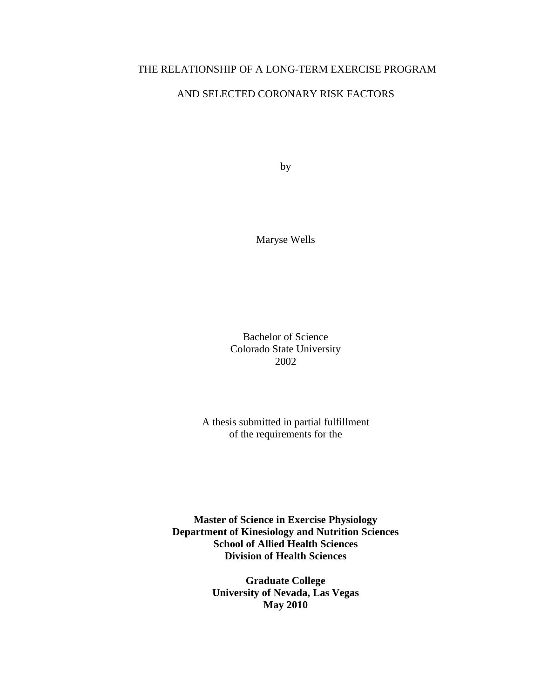## THE RELATIONSHIP OF A LONG-TERM EXERCISE PROGRAM

## AND SELECTED CORONARY RISK FACTORS

by

Maryse Wells

Bachelor of Science Colorado State University 2002

A thesis submitted in partial fulfillment of the requirements for the

**Master of Science in Exercise Physiology Department of Kinesiology and Nutrition Sciences School of Allied Health Sciences Division of Health Sciences** 

> **Graduate College University of Nevada, Las Vegas May 2010**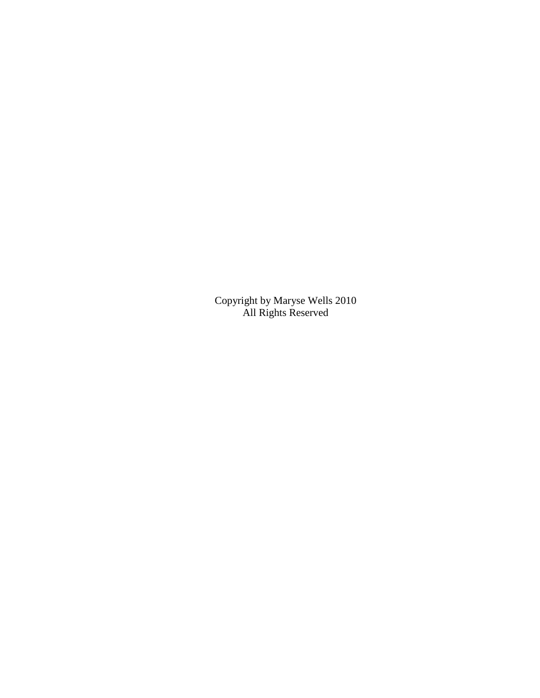Copyright by Maryse Wells 2010 All Rights Reserved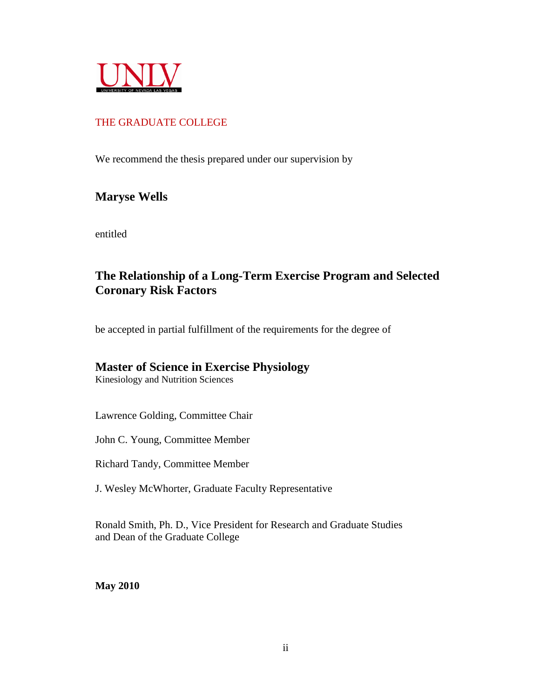

## THE GRADUATE COLLEGE

We recommend the thesis prepared under our supervision by

## **Maryse Wells**

entitled

## **The Relationship of a Long-Term Exercise Program and Selected Coronary Risk Factors**

be accepted in partial fulfillment of the requirements for the degree of

## **Master of Science in Exercise Physiology**

Kinesiology and Nutrition Sciences

Lawrence Golding, Committee Chair

John C. Young, Committee Member

Richard Tandy, Committee Member

J. Wesley McWhorter, Graduate Faculty Representative

Ronald Smith, Ph. D., Vice President for Research and Graduate Studies and Dean of the Graduate College

**May 2010**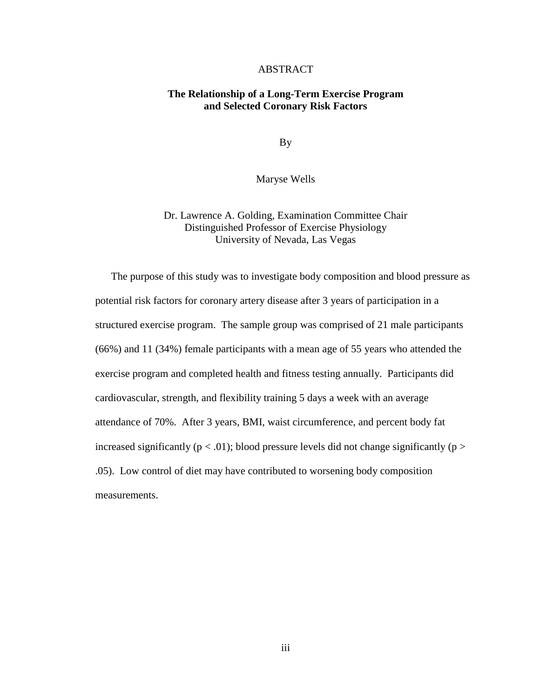#### ABSTRACT

#### **The Relationship of a Long-Term Exercise Program and Selected Coronary Risk Factors**

By

Maryse Wells

## Dr. Lawrence A. Golding, Examination Committee Chair Distinguished Professor of Exercise Physiology University of Nevada, Las Vegas

The purpose of this study was to investigate body composition and blood pressure as potential risk factors for coronary artery disease after 3 years of participation in a structured exercise program. The sample group was comprised of 21 male participants (66%) and 11 (34%) female participants with a mean age of 55 years who attended the exercise program and completed health and fitness testing annually. Participants did cardiovascular, strength, and flexibility training 5 days a week with an average attendance of 70%. After 3 years, BMI, waist circumference, and percent body fat increased significantly ( $p < .01$ ); blood pressure levels did not change significantly ( $p >$ .05). Low control of diet may have contributed to worsening body composition measurements.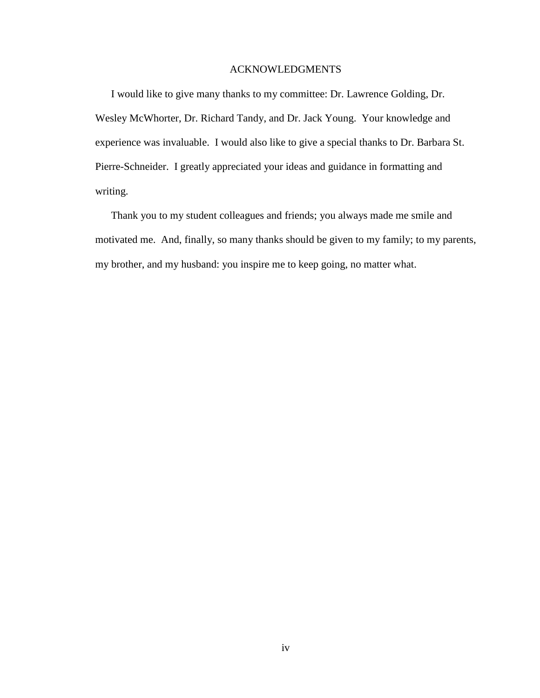#### ACKNOWLEDGMENTS

I would like to give many thanks to my committee: Dr. Lawrence Golding, Dr. Wesley McWhorter, Dr. Richard Tandy, and Dr. Jack Young. Your knowledge and experience was invaluable. I would also like to give a special thanks to Dr. Barbara St. Pierre-Schneider. I greatly appreciated your ideas and guidance in formatting and writing.

Thank you to my student colleagues and friends; you always made me smile and motivated me. And, finally, so many thanks should be given to my family; to my parents, my brother, and my husband: you inspire me to keep going, no matter what.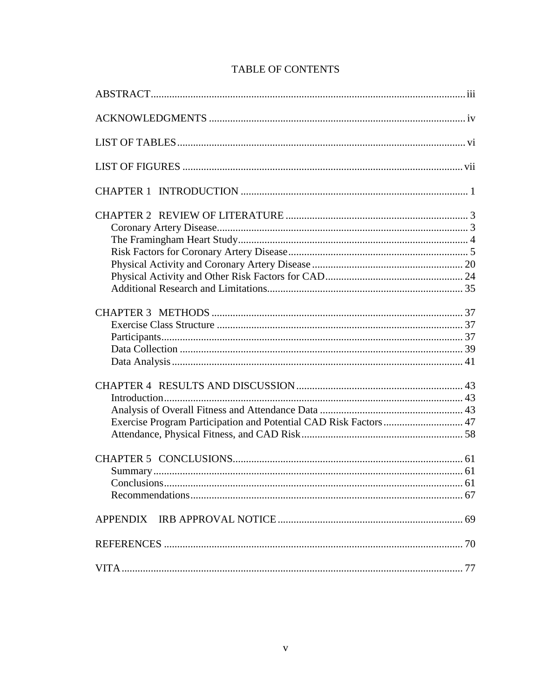| Exercise Program Participation and Potential CAD Risk Factors  47 |  |
|-------------------------------------------------------------------|--|
|                                                                   |  |
|                                                                   |  |
|                                                                   |  |
|                                                                   |  |

## **TABLE OF CONTENTS**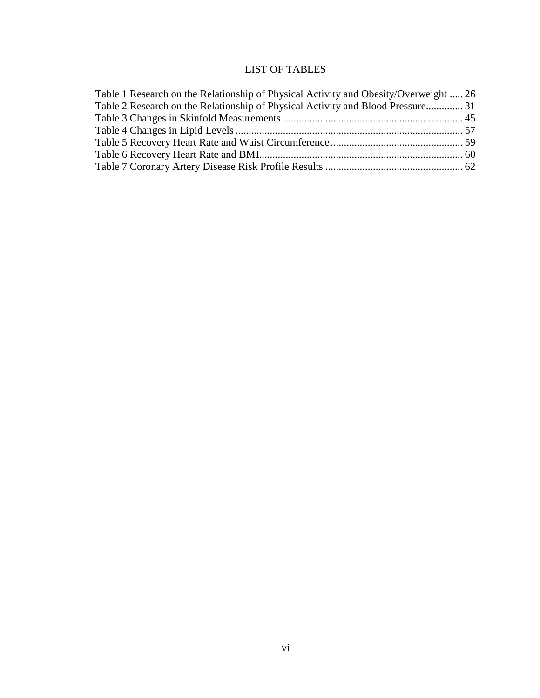## LIST OF TABLES

| Table 1 Research on the Relationship of Physical Activity and Obesity/Overweight  26 |  |
|--------------------------------------------------------------------------------------|--|
| Table 2 Research on the Relationship of Physical Activity and Blood Pressure 31      |  |
|                                                                                      |  |
|                                                                                      |  |
|                                                                                      |  |
|                                                                                      |  |
|                                                                                      |  |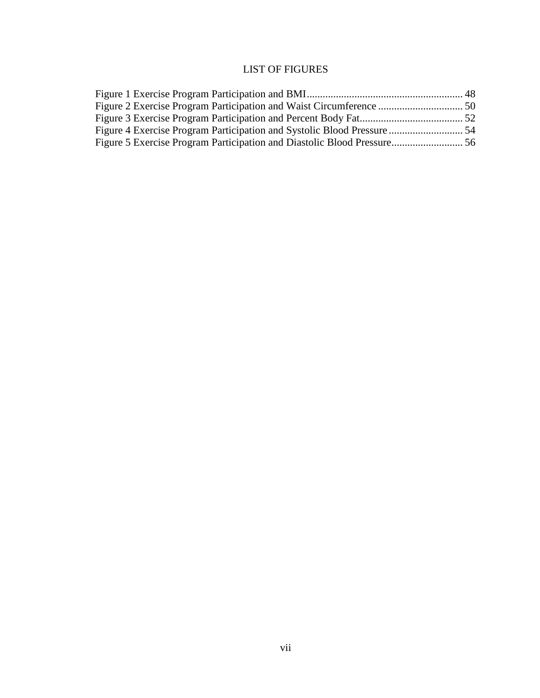## LIST OF FIGURES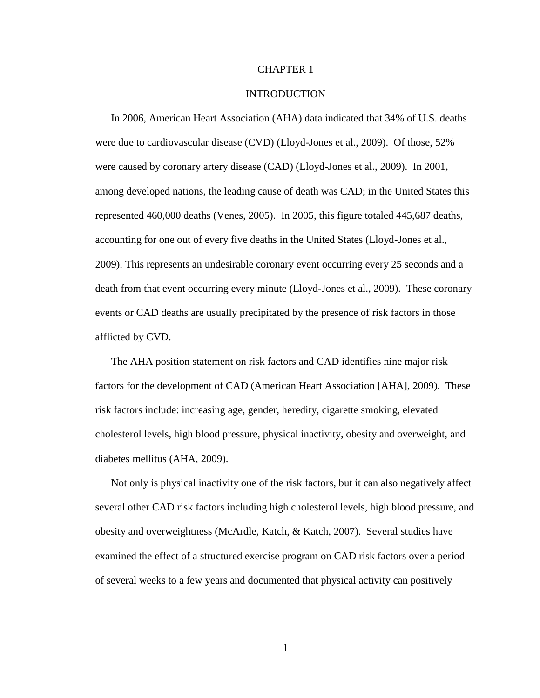#### CHAPTER 1

#### INTRODUCTION

In 2006, American Heart Association (AHA) data indicated that 34% of U.S. deaths were due to cardiovascular disease (CVD) (Lloyd-Jones et al., 2009). Of those, 52% were caused by coronary artery disease (CAD) (Lloyd-Jones et al., 2009). In 2001, among developed nations, the leading cause of death was CAD; in the United States this represented 460,000 deaths (Venes, 2005). In 2005, this figure totaled 445,687 deaths, accounting for one out of every five deaths in the United States (Lloyd-Jones et al., 2009). This represents an undesirable coronary event occurring every 25 seconds and a death from that event occurring every minute (Lloyd-Jones et al., 2009). These coronary events or CAD deaths are usually precipitated by the presence of risk factors in those afflicted by CVD.

The AHA position statement on risk factors and CAD identifies nine major risk factors for the development of CAD (American Heart Association [AHA], 2009). These risk factors include: increasing age, gender, heredity, cigarette smoking, elevated cholesterol levels, high blood pressure, physical inactivity, obesity and overweight, and diabetes mellitus (AHA, 2009).

Not only is physical inactivity one of the risk factors, but it can also negatively affect several other CAD risk factors including high cholesterol levels, high blood pressure, and obesity and overweightness (McArdle, Katch, & Katch, 2007). Several studies have examined the effect of a structured exercise program on CAD risk factors over a period of several weeks to a few years and documented that physical activity can positively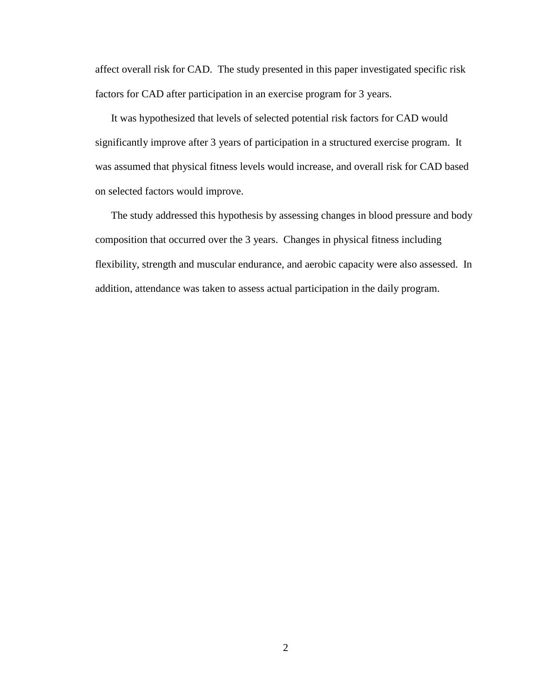affect overall risk for CAD. The study presented in this paper investigated specific risk factors for CAD after participation in an exercise program for 3 years.

It was hypothesized that levels of selected potential risk factors for CAD would significantly improve after 3 years of participation in a structured exercise program. It was assumed that physical fitness levels would increase, and overall risk for CAD based on selected factors would improve.

The study addressed this hypothesis by assessing changes in blood pressure and body composition that occurred over the 3 years.Changes in physical fitness including flexibility, strength and muscular endurance, and aerobic capacity were also assessed. In addition, attendance was taken to assess actual participation in the daily program.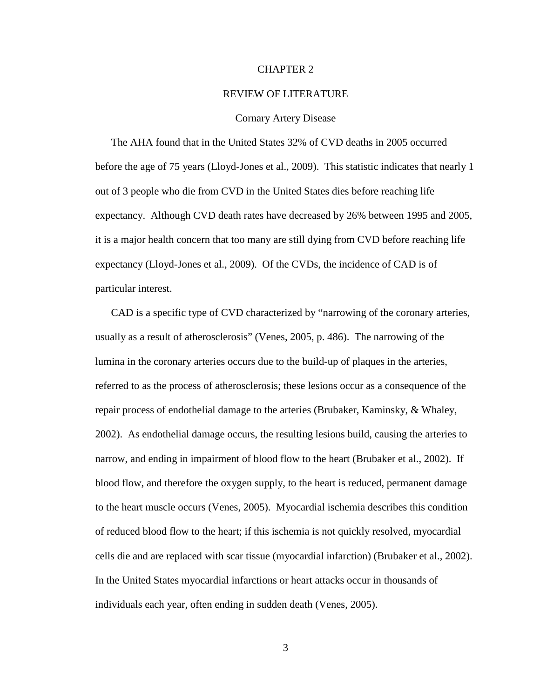#### CHAPTER 2

#### REVIEW OF LITERATURE

#### Cornary Artery Disease

The AHA found that in the United States 32% of CVD deaths in 2005 occurred before the age of 75 years (Lloyd-Jones et al., 2009). This statistic indicates that nearly 1 out of 3 people who die from CVD in the United States dies before reaching life expectancy. Although CVD death rates have decreased by 26% between 1995 and 2005, it is a major health concern that too many are still dying from CVD before reaching life expectancy (Lloyd-Jones et al., 2009). Of the CVDs, the incidence of CAD is of particular interest.

CAD is a specific type of CVD characterized by "narrowing of the coronary arteries, usually as a result of atherosclerosis" (Venes, 2005, p. 486). The narrowing of the lumina in the coronary arteries occurs due to the build-up of plaques in the arteries, referred to as the process of atherosclerosis; these lesions occur as a consequence of the repair process of endothelial damage to the arteries (Brubaker, Kaminsky, & Whaley, 2002). As endothelial damage occurs, the resulting lesions build, causing the arteries to narrow, and ending in impairment of blood flow to the heart (Brubaker et al., 2002). If blood flow, and therefore the oxygen supply, to the heart is reduced, permanent damage to the heart muscle occurs (Venes, 2005). Myocardial ischemia describes this condition of reduced blood flow to the heart; if this ischemia is not quickly resolved, myocardial cells die and are replaced with scar tissue (myocardial infarction) (Brubaker et al., 2002). In the United States myocardial infarctions or heart attacks occur in thousands of individuals each year, often ending in sudden death (Venes, 2005).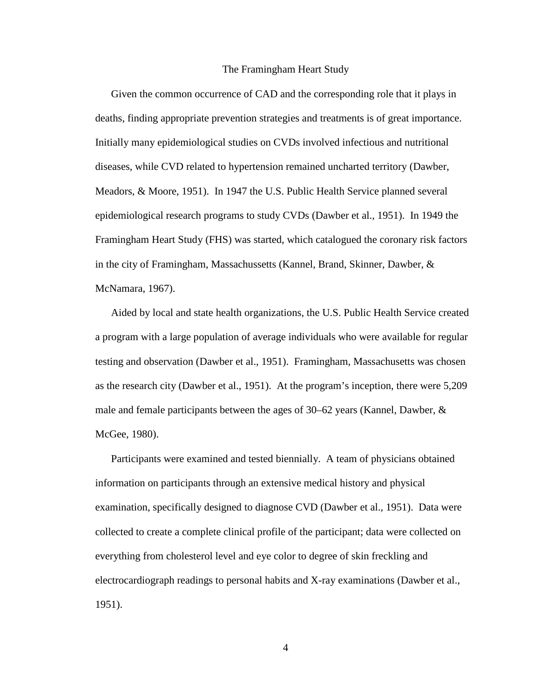#### The Framingham Heart Study

Given the common occurrence of CAD and the corresponding role that it plays in deaths, finding appropriate prevention strategies and treatments is of great importance. Initially many epidemiological studies on CVDs involved infectious and nutritional diseases, while CVD related to hypertension remained uncharted territory (Dawber, Meadors, & Moore, 1951). In 1947 the U.S. Public Health Service planned several epidemiological research programs to study CVDs (Dawber et al., 1951). In 1949 the Framingham Heart Study (FHS) was started, which catalogued the coronary risk factors in the city of Framingham, Massachussetts (Kannel, Brand, Skinner, Dawber, & McNamara, 1967).

Aided by local and state health organizations, the U.S. Public Health Service created a program with a large population of average individuals who were available for regular testing and observation (Dawber et al., 1951). Framingham, Massachusetts was chosen as the research city (Dawber et al., 1951). At the program's inception, there were 5,209 male and female participants between the ages of 30–62 years (Kannel, Dawber, & McGee, 1980).

Participants were examined and tested biennially. A team of physicians obtained information on participants through an extensive medical history and physical examination, specifically designed to diagnose CVD (Dawber et al., 1951). Data were collected to create a complete clinical profile of the participant; data were collected on everything from cholesterol level and eye color to degree of skin freckling and electrocardiograph readings to personal habits and X-ray examinations (Dawber et al., 1951).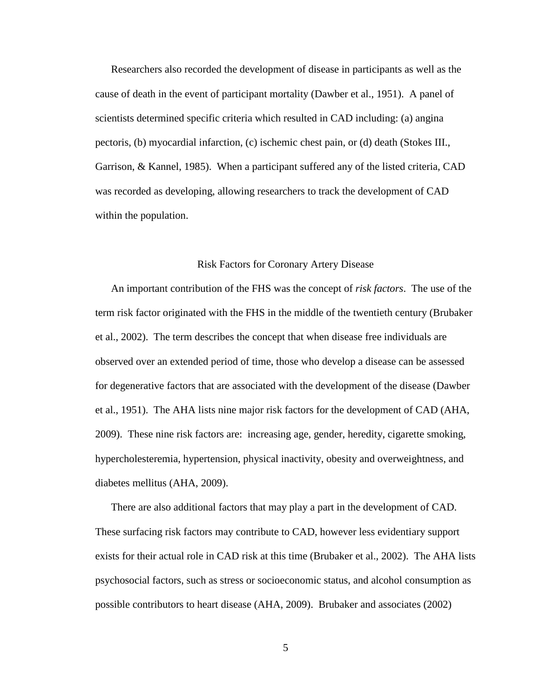Researchers also recorded the development of disease in participants as well as the cause of death in the event of participant mortality (Dawber et al., 1951). A panel of scientists determined specific criteria which resulted in CAD including: (a) angina pectoris, (b) myocardial infarction, (c) ischemic chest pain, or (d) death (Stokes III., Garrison, & Kannel, 1985). When a participant suffered any of the listed criteria, CAD was recorded as developing, allowing researchers to track the development of CAD within the population.

#### Risk Factors for Coronary Artery Disease

An important contribution of the FHS was the concept of *risk factors*. The use of the term risk factor originated with the FHS in the middle of the twentieth century (Brubaker et al., 2002). The term describes the concept that when disease free individuals are observed over an extended period of time, those who develop a disease can be assessed for degenerative factors that are associated with the development of the disease (Dawber et al., 1951). The AHA lists nine major risk factors for the development of CAD (AHA, 2009). These nine risk factors are: increasing age, gender, heredity, cigarette smoking, hypercholesteremia, hypertension, physical inactivity, obesity and overweightness, and diabetes mellitus (AHA, 2009).

There are also additional factors that may play a part in the development of CAD. These surfacing risk factors may contribute to CAD, however less evidentiary support exists for their actual role in CAD risk at this time (Brubaker et al., 2002). The AHA lists psychosocial factors, such as stress or socioeconomic status, and alcohol consumption as possible contributors to heart disease (AHA, 2009). Brubaker and associates (2002)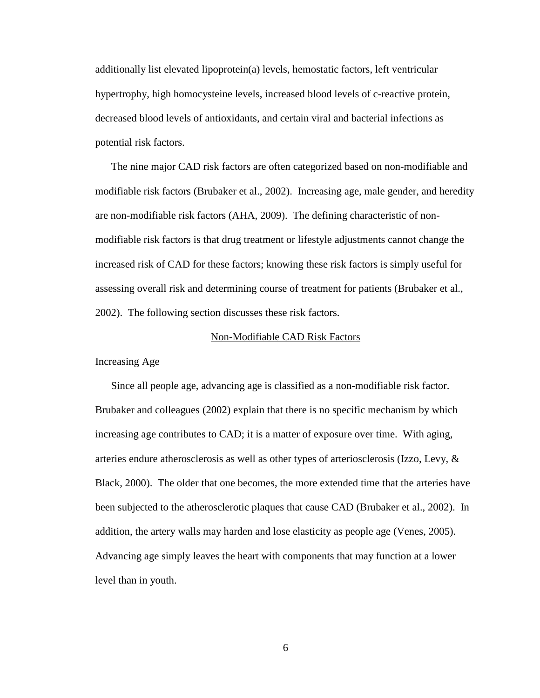additionally list elevated lipoprotein(a) levels, hemostatic factors, left ventricular hypertrophy, high homocysteine levels, increased blood levels of c-reactive protein, decreased blood levels of antioxidants, and certain viral and bacterial infections as potential risk factors.

The nine major CAD risk factors are often categorized based on non-modifiable and modifiable risk factors (Brubaker et al., 2002). Increasing age, male gender, and heredity are non-modifiable risk factors (AHA, 2009). The defining characteristic of nonmodifiable risk factors is that drug treatment or lifestyle adjustments cannot change the increased risk of CAD for these factors; knowing these risk factors is simply useful for assessing overall risk and determining course of treatment for patients (Brubaker et al., 2002). The following section discusses these risk factors.

#### Non-Modifiable CAD Risk Factors

Increasing Age

Since all people age, advancing age is classified as a non-modifiable risk factor. Brubaker and colleagues (2002) explain that there is no specific mechanism by which increasing age contributes to CAD; it is a matter of exposure over time. With aging, arteries endure atherosclerosis as well as other types of arteriosclerosis (Izzo, Levy, & Black, 2000). The older that one becomes, the more extended time that the arteries have been subjected to the atherosclerotic plaques that cause CAD (Brubaker et al., 2002). In addition, the artery walls may harden and lose elasticity as people age (Venes, 2005). Advancing age simply leaves the heart with components that may function at a lower level than in youth.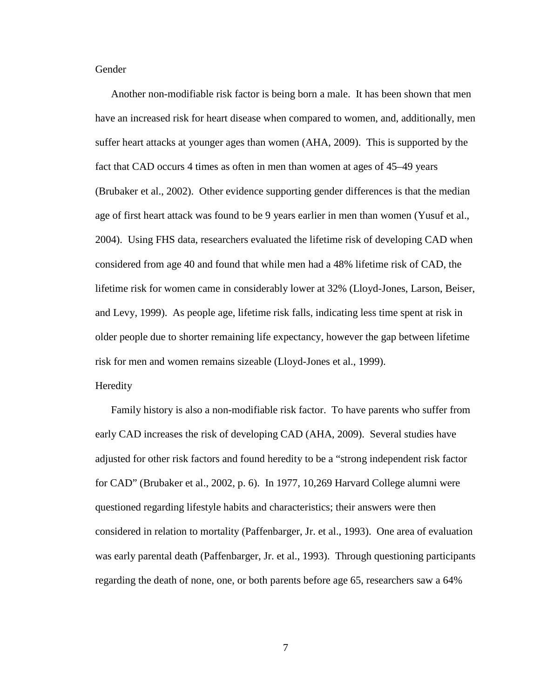Gender

Another non-modifiable risk factor is being born a male. It has been shown that men have an increased risk for heart disease when compared to women, and, additionally, men suffer heart attacks at younger ages than women (AHA, 2009). This is supported by the fact that CAD occurs 4 times as often in men than women at ages of 45–49 years (Brubaker et al., 2002). Other evidence supporting gender differences is that the median age of first heart attack was found to be 9 years earlier in men than women (Yusuf et al., 2004). Using FHS data, researchers evaluated the lifetime risk of developing CAD when considered from age 40 and found that while men had a 48% lifetime risk of CAD, the lifetime risk for women came in considerably lower at 32% (Lloyd-Jones, Larson, Beiser, and Levy, 1999). As people age, lifetime risk falls, indicating less time spent at risk in older people due to shorter remaining life expectancy, however the gap between lifetime risk for men and women remains sizeable (Lloyd-Jones et al., 1999).

#### Heredity

Family history is also a non-modifiable risk factor. To have parents who suffer from early CAD increases the risk of developing CAD (AHA, 2009). Several studies have adjusted for other risk factors and found heredity to be a "strong independent risk factor for CAD" (Brubaker et al., 2002, p. 6). In 1977, 10,269 Harvard College alumni were questioned regarding lifestyle habits and characteristics; their answers were then considered in relation to mortality (Paffenbarger, Jr. et al., 1993). One area of evaluation was early parental death (Paffenbarger, Jr. et al., 1993). Through questioning participants regarding the death of none, one, or both parents before age 65, researchers saw a 64%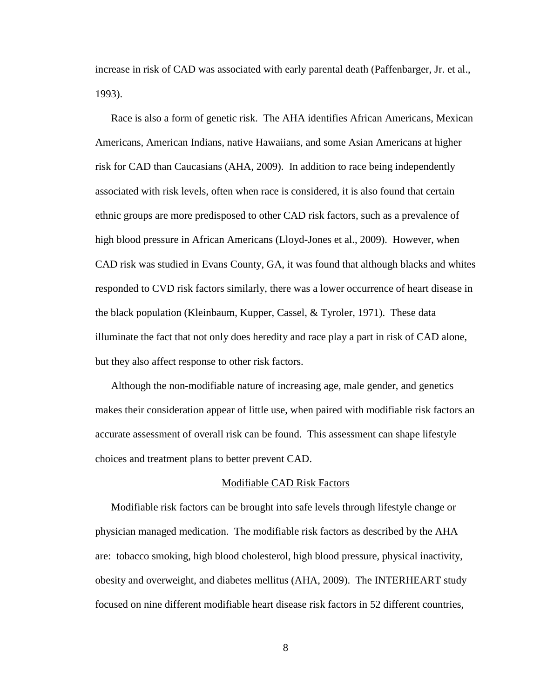increase in risk of CAD was associated with early parental death (Paffenbarger, Jr. et al., 1993).

Race is also a form of genetic risk. The AHA identifies African Americans, Mexican Americans, American Indians, native Hawaiians, and some Asian Americans at higher risk for CAD than Caucasians (AHA, 2009). In addition to race being independently associated with risk levels, often when race is considered, it is also found that certain ethnic groups are more predisposed to other CAD risk factors, such as a prevalence of high blood pressure in African Americans (Lloyd-Jones et al., 2009). However, when CAD risk was studied in Evans County, GA, it was found that although blacks and whites responded to CVD risk factors similarly, there was a lower occurrence of heart disease in the black population (Kleinbaum, Kupper, Cassel, & Tyroler, 1971). These data illuminate the fact that not only does heredity and race play a part in risk of CAD alone, but they also affect response to other risk factors.

Although the non-modifiable nature of increasing age, male gender, and genetics makes their consideration appear of little use, when paired with modifiable risk factors an accurate assessment of overall risk can be found. This assessment can shape lifestyle choices and treatment plans to better prevent CAD.

#### Modifiable CAD Risk Factors

Modifiable risk factors can be brought into safe levels through lifestyle change or physician managed medication. The modifiable risk factors as described by the AHA are: tobacco smoking, high blood cholesterol, high blood pressure, physical inactivity, obesity and overweight, and diabetes mellitus (AHA, 2009). The INTERHEART study focused on nine different modifiable heart disease risk factors in 52 different countries,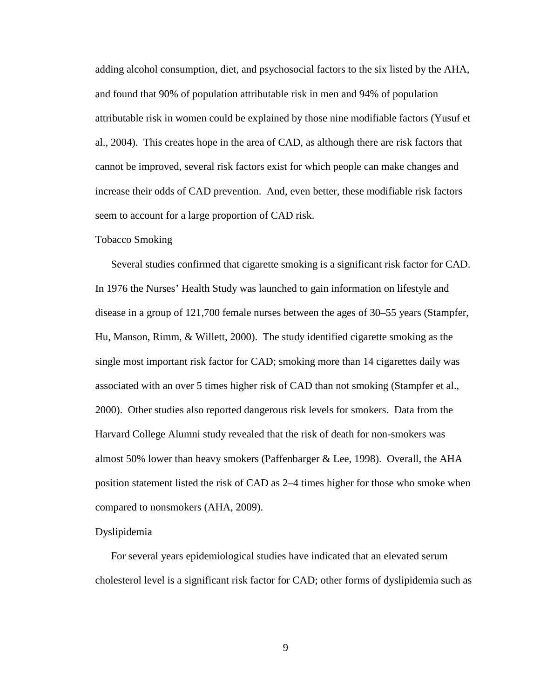adding alcohol consumption, diet, and psychosocial factors to the six listed by the AHA, and found that 90% of population attributable risk in men and 94% of population attributable risk in women could be explained by those nine modifiable factors (Yusuf et al., 2004). This creates hope in the area of CAD, as although there are risk factors that cannot be improved, several risk factors exist for which people can make changes and increase their odds of CAD prevention. And, even better, these modifiable risk factors seem to account for a large proportion of CAD risk.

#### Tobacco Smoking

Several studies confirmed that cigarette smoking is a significant risk factor for CAD. In 1976 the Nurses' Health Study was launched to gain information on lifestyle and disease in a group of 121,700 female nurses between the ages of 30–55 years (Stampfer, Hu, Manson, Rimm, & Willett, 2000). The study identified cigarette smoking as the single most important risk factor for CAD; smoking more than 14 cigarettes daily was associated with an over 5 times higher risk of CAD than not smoking (Stampfer et al., 2000). Other studies also reported dangerous risk levels for smokers. Data from the Harvard College Alumni study revealed that the risk of death for non-smokers was almost 50% lower than heavy smokers (Paffenbarger & Lee, 1998). Overall, the AHA position statement listed the risk of CAD as 2–4 times higher for those who smoke when compared to nonsmokers (AHA, 2009).

#### Dyslipidemia

For several years epidemiological studies have indicated that an elevated serum cholesterol level is a significant risk factor for CAD; other forms of dyslipidemia such as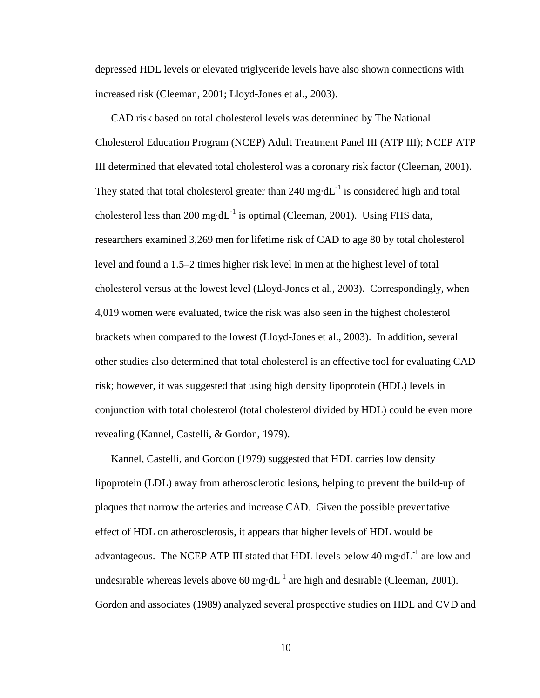depressed HDL levels or elevated triglyceride levels have also shown connections with increased risk (Cleeman, 2001; Lloyd-Jones et al., 2003).

CAD risk based on total cholesterol levels was determined by The National Cholesterol Education Program (NCEP) Adult Treatment Panel III (ATP III); NCEP ATP III determined that elevated total cholesterol was a coronary risk factor (Cleeman, 2001). They stated that total cholesterol greater than 240 mg·dL $^{-1}$  is considered high and total cholesterol less than 200 mg·d $L^{-1}$  is optimal (Cleeman, 2001). Using FHS data, researchers examined 3,269 men for lifetime risk of CAD to age 80 by total cholesterol level and found a 1.5–2 times higher risk level in men at the highest level of total cholesterol versus at the lowest level (Lloyd-Jones et al., 2003). Correspondingly, when 4,019 women were evaluated, twice the risk was also seen in the highest cholesterol brackets when compared to the lowest (Lloyd-Jones et al., 2003). In addition, several other studies also determined that total cholesterol is an effective tool for evaluating CAD risk; however, it was suggested that using high density lipoprotein (HDL) levels in conjunction with total cholesterol (total cholesterol divided by HDL) could be even more revealing (Kannel, Castelli, & Gordon, 1979).

Kannel, Castelli, and Gordon (1979) suggested that HDL carries low density lipoprotein (LDL) away from atherosclerotic lesions, helping to prevent the build-up of plaques that narrow the arteries and increase CAD. Given the possible preventative effect of HDL on atherosclerosis, it appears that higher levels of HDL would be advantageous. The NCEP ATP III stated that HDL levels below 40 mg·d $L^{-1}$  are low and undesirable whereas levels above  $60 \text{ mg} \cdot dL^{-1}$  are high and desirable (Cleeman, 2001). Gordon and associates (1989) analyzed several prospective studies on HDL and CVD and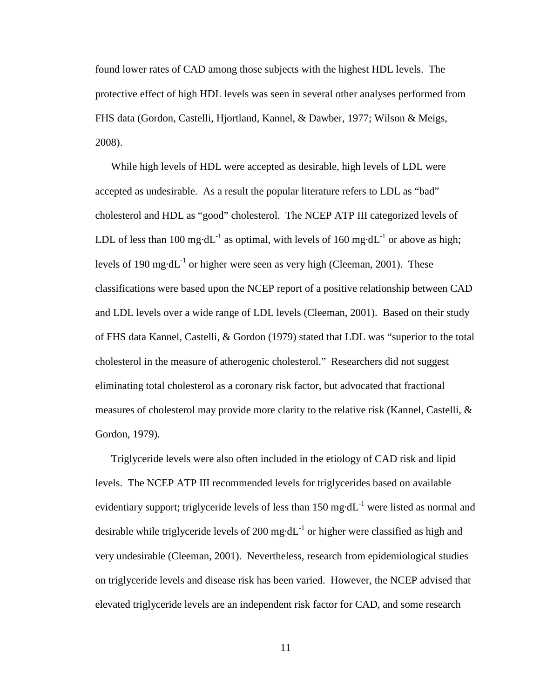found lower rates of CAD among those subjects with the highest HDL levels. The protective effect of high HDL levels was seen in several other analyses performed from FHS data (Gordon, Castelli, Hjortland, Kannel, & Dawber, 1977; Wilson & Meigs, 2008).

While high levels of HDL were accepted as desirable, high levels of LDL were accepted as undesirable. As a result the popular literature refers to LDL as "bad" cholesterol and HDL as "good" cholesterol. The NCEP ATP III categorized levels of LDL of less than 100 mg·dL<sup>-1</sup> as optimal, with levels of 160 mg·dL<sup>-1</sup> or above as high; levels of 190 mg·d $L^{-1}$  or higher were seen as very high (Cleeman, 2001). These classifications were based upon the NCEP report of a positive relationship between CAD and LDL levels over a wide range of LDL levels (Cleeman, 2001). Based on their study of FHS data Kannel, Castelli, & Gordon (1979) stated that LDL was "superior to the total cholesterol in the measure of atherogenic cholesterol." Researchers did not suggest eliminating total cholesterol as a coronary risk factor, but advocated that fractional measures of cholesterol may provide more clarity to the relative risk (Kannel, Castelli, & Gordon, 1979).

Triglyceride levels were also often included in the etiology of CAD risk and lipid levels. The NCEP ATP III recommended levels for triglycerides based on available evidentiary support; triglyceride levels of less than 150 mg·d $L^{-1}$  were listed as normal and desirable while triglyceride levels of 200 mg·d $L^{-1}$  or higher were classified as high and very undesirable (Cleeman, 2001). Nevertheless, research from epidemiological studies on triglyceride levels and disease risk has been varied. However, the NCEP advised that elevated triglyceride levels are an independent risk factor for CAD, and some research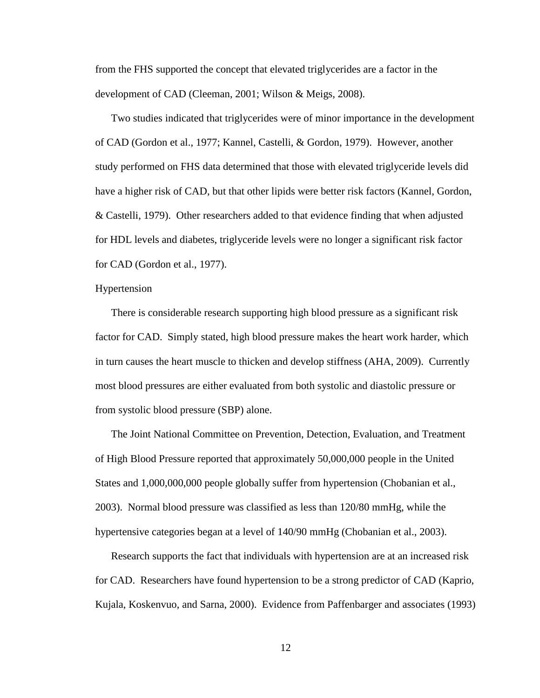from the FHS supported the concept that elevated triglycerides are a factor in the development of CAD (Cleeman, 2001; Wilson & Meigs, 2008).

Two studies indicated that triglycerides were of minor importance in the development of CAD (Gordon et al., 1977; Kannel, Castelli, & Gordon, 1979). However, another study performed on FHS data determined that those with elevated triglyceride levels did have a higher risk of CAD, but that other lipids were better risk factors (Kannel, Gordon, & Castelli, 1979). Other researchers added to that evidence finding that when adjusted for HDL levels and diabetes, triglyceride levels were no longer a significant risk factor for CAD (Gordon et al., 1977).

#### Hypertension

There is considerable research supporting high blood pressure as a significant risk factor for CAD. Simply stated, high blood pressure makes the heart work harder, which in turn causes the heart muscle to thicken and develop stiffness (AHA, 2009). Currently most blood pressures are either evaluated from both systolic and diastolic pressure or from systolic blood pressure (SBP) alone.

The Joint National Committee on Prevention, Detection, Evaluation, and Treatment of High Blood Pressure reported that approximately 50,000,000 people in the United States and 1,000,000,000 people globally suffer from hypertension (Chobanian et al., 2003). Normal blood pressure was classified as less than 120/80 mmHg, while the hypertensive categories began at a level of 140/90 mmHg (Chobanian et al., 2003).

Research supports the fact that individuals with hypertension are at an increased risk for CAD. Researchers have found hypertension to be a strong predictor of CAD (Kaprio, Kujala, Koskenvuo, and Sarna, 2000). Evidence from Paffenbarger and associates (1993)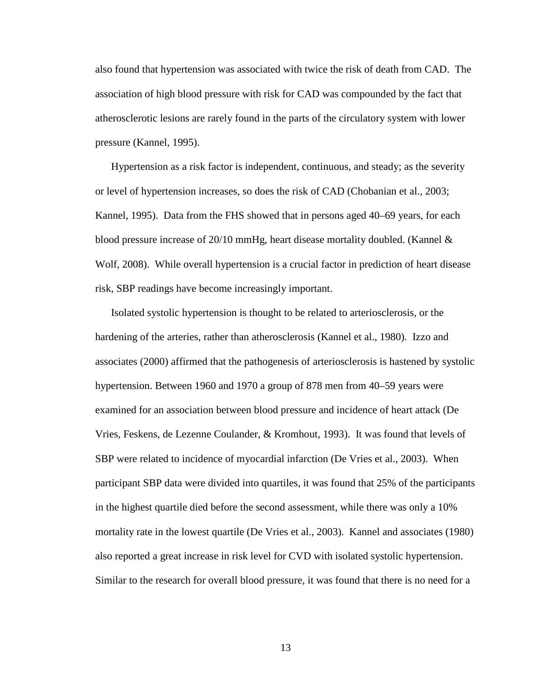also found that hypertension was associated with twice the risk of death from CAD. The association of high blood pressure with risk for CAD was compounded by the fact that atherosclerotic lesions are rarely found in the parts of the circulatory system with lower pressure (Kannel, 1995).

Hypertension as a risk factor is independent, continuous, and steady; as the severity or level of hypertension increases, so does the risk of CAD (Chobanian et al., 2003; Kannel, 1995). Data from the FHS showed that in persons aged 40–69 years, for each blood pressure increase of  $20/10$  mmHg, heart disease mortality doubled. (Kannel  $\&$ Wolf, 2008). While overall hypertension is a crucial factor in prediction of heart disease risk, SBP readings have become increasingly important.

Isolated systolic hypertension is thought to be related to arteriosclerosis, or the hardening of the arteries, rather than atherosclerosis (Kannel et al., 1980). Izzo and associates (2000) affirmed that the pathogenesis of arteriosclerosis is hastened by systolic hypertension. Between 1960 and 1970 a group of 878 men from 40–59 years were examined for an association between blood pressure and incidence of heart attack (De Vries, Feskens, de Lezenne Coulander, & Kromhout, 1993). It was found that levels of SBP were related to incidence of myocardial infarction (De Vries et al., 2003). When participant SBP data were divided into quartiles, it was found that 25% of the participants in the highest quartile died before the second assessment, while there was only a 10% mortality rate in the lowest quartile (De Vries et al., 2003). Kannel and associates (1980) also reported a great increase in risk level for CVD with isolated systolic hypertension. Similar to the research for overall blood pressure, it was found that there is no need for a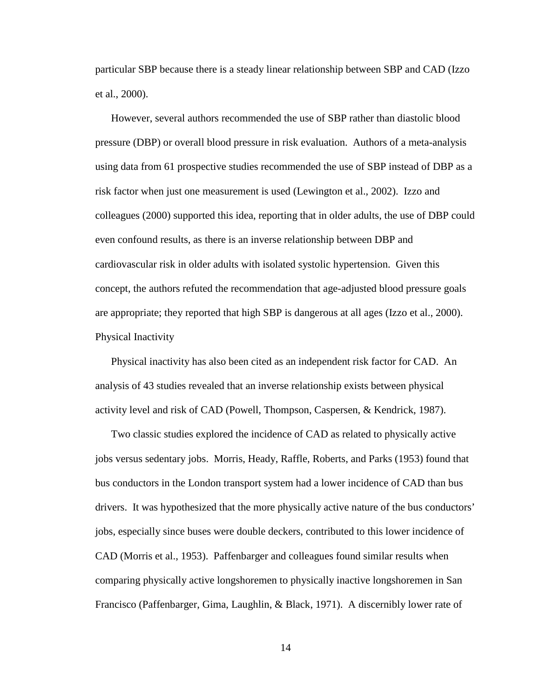particular SBP because there is a steady linear relationship between SBP and CAD (Izzo et al., 2000).

However, several authors recommended the use of SBP rather than diastolic blood pressure (DBP) or overall blood pressure in risk evaluation. Authors of a meta-analysis using data from 61 prospective studies recommended the use of SBP instead of DBP as a risk factor when just one measurement is used (Lewington et al., 2002). Izzo and colleagues (2000) supported this idea, reporting that in older adults, the use of DBP could even confound results, as there is an inverse relationship between DBP and cardiovascular risk in older adults with isolated systolic hypertension. Given this concept, the authors refuted the recommendation that age-adjusted blood pressure goals are appropriate; they reported that high SBP is dangerous at all ages (Izzo et al., 2000). Physical Inactivity

Physical inactivity has also been cited as an independent risk factor for CAD. An analysis of 43 studies revealed that an inverse relationship exists between physical activity level and risk of CAD (Powell, Thompson, Caspersen, & Kendrick, 1987).

Two classic studies explored the incidence of CAD as related to physically active jobs versus sedentary jobs. Morris, Heady, Raffle, Roberts, and Parks (1953) found that bus conductors in the London transport system had a lower incidence of CAD than bus drivers. It was hypothesized that the more physically active nature of the bus conductors' jobs, especially since buses were double deckers, contributed to this lower incidence of CAD (Morris et al., 1953). Paffenbarger and colleagues found similar results when comparing physically active longshoremen to physically inactive longshoremen in San Francisco (Paffenbarger, Gima, Laughlin, & Black, 1971). A discernibly lower rate of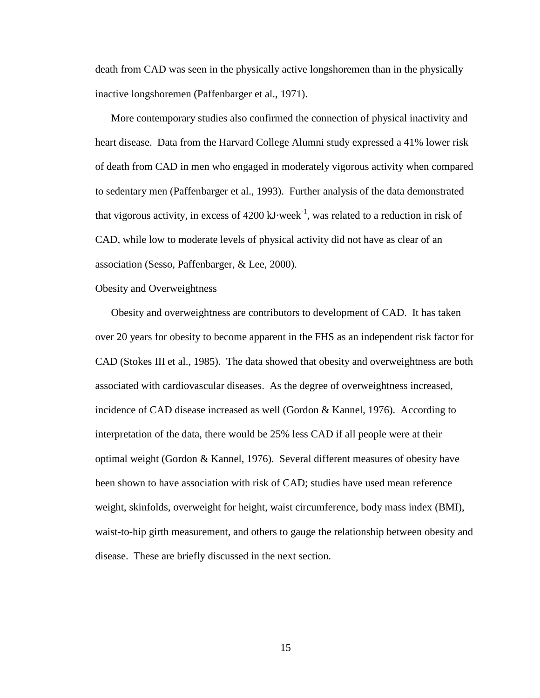death from CAD was seen in the physically active longshoremen than in the physically inactive longshoremen (Paffenbarger et al., 1971).

More contemporary studies also confirmed the connection of physical inactivity and heart disease. Data from the Harvard College Alumni study expressed a 41% lower risk of death from CAD in men who engaged in moderately vigorous activity when compared to sedentary men (Paffenbarger et al., 1993). Further analysis of the data demonstrated that vigorous activity, in excess of  $4200 \text{ kJ week}^{-1}$ , was related to a reduction in risk of CAD, while low to moderate levels of physical activity did not have as clear of an association (Sesso, Paffenbarger, & Lee, 2000).

Obesity and Overweightness

Obesity and overweightness are contributors to development of CAD. It has taken over 20 years for obesity to become apparent in the FHS as an independent risk factor for CAD (Stokes III et al., 1985). The data showed that obesity and overweightness are both associated with cardiovascular diseases. As the degree of overweightness increased, incidence of CAD disease increased as well (Gordon & Kannel, 1976). According to interpretation of the data, there would be 25% less CAD if all people were at their optimal weight (Gordon & Kannel, 1976). Several different measures of obesity have been shown to have association with risk of CAD; studies have used mean reference weight, skinfolds, overweight for height, waist circumference, body mass index (BMI), waist-to-hip girth measurement, and others to gauge the relationship between obesity and disease. These are briefly discussed in the next section.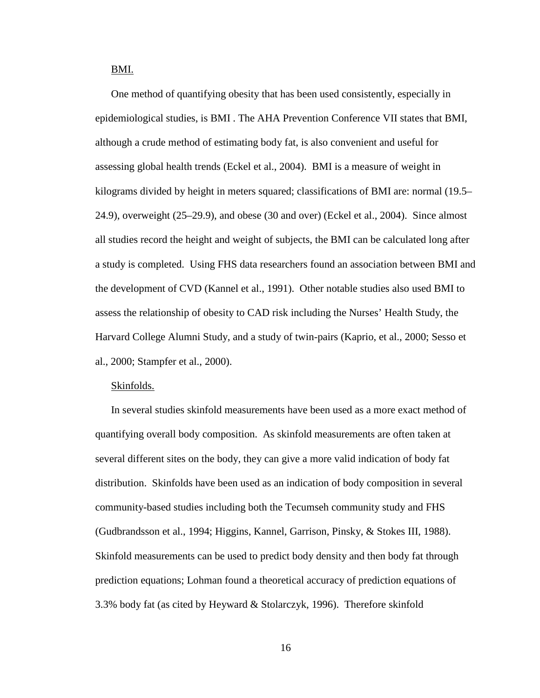BMI.

One method of quantifying obesity that has been used consistently, especially in epidemiological studies, is BMI . The AHA Prevention Conference VII states that BMI, although a crude method of estimating body fat, is also convenient and useful for assessing global health trends (Eckel et al., 2004). BMI is a measure of weight in kilograms divided by height in meters squared; classifications of BMI are: normal (19.5– 24.9), overweight (25–29.9), and obese (30 and over) (Eckel et al., 2004). Since almost all studies record the height and weight of subjects, the BMI can be calculated long after a study is completed. Using FHS data researchers found an association between BMI and the development of CVD (Kannel et al., 1991). Other notable studies also used BMI to assess the relationship of obesity to CAD risk including the Nurses' Health Study, the Harvard College Alumni Study, and a study of twin-pairs (Kaprio, et al., 2000; Sesso et al., 2000; Stampfer et al., 2000).

#### Skinfolds.

In several studies skinfold measurements have been used as a more exact method of quantifying overall body composition. As skinfold measurements are often taken at several different sites on the body, they can give a more valid indication of body fat distribution. Skinfolds have been used as an indication of body composition in several community-based studies including both the Tecumseh community study and FHS (Gudbrandsson et al., 1994; Higgins, Kannel, Garrison, Pinsky, & Stokes III, 1988). Skinfold measurements can be used to predict body density and then body fat through prediction equations; Lohman found a theoretical accuracy of prediction equations of 3.3% body fat (as cited by Heyward & Stolarczyk, 1996). Therefore skinfold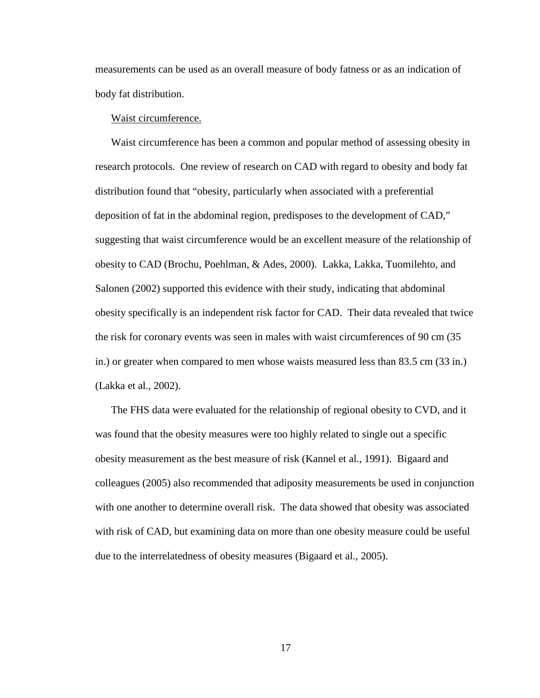measurements can be used as an overall measure of body fatness or as an indication of body fat distribution.

#### Waist circumference.

Waist circumference has been a common and popular method of assessing obesity in research protocols. One review of research on CAD with regard to obesity and body fat distribution found that "obesity, particularly when associated with a preferential deposition of fat in the abdominal region, predisposes to the development of CAD," suggesting that waist circumference would be an excellent measure of the relationship of obesity to CAD (Brochu, Poehlman, & Ades, 2000). Lakka, Lakka, Tuomilehto, and Salonen (2002) supported this evidence with their study, indicating that abdominal obesity specifically is an independent risk factor for CAD. Their data revealed that twice the risk for coronary events was seen in males with waist circumferences of 90 cm (35 in.) or greater when compared to men whose waists measured less than 83.5 cm (33 in.) (Lakka et al., 2002).

The FHS data were evaluated for the relationship of regional obesity to CVD, and it was found that the obesity measures were too highly related to single out a specific obesity measurement as the best measure of risk (Kannel et al., 1991). Bigaard and colleagues (2005) also recommended that adiposity measurements be used in conjunction with one another to determine overall risk. The data showed that obesity was associated with risk of CAD, but examining data on more than one obesity measure could be useful due to the interrelatedness of obesity measures (Bigaard et al., 2005).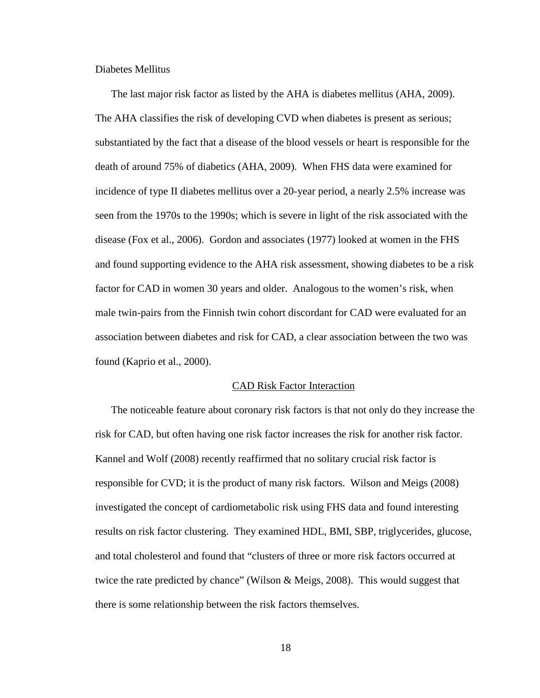Diabetes Mellitus

The last major risk factor as listed by the AHA is diabetes mellitus (AHA, 2009). The AHA classifies the risk of developing CVD when diabetes is present as serious; substantiated by the fact that a disease of the blood vessels or heart is responsible for the death of around 75% of diabetics (AHA, 2009). When FHS data were examined for incidence of type II diabetes mellitus over a 20-year period, a nearly 2.5% increase was seen from the 1970s to the 1990s; which is severe in light of the risk associated with the disease (Fox et al., 2006). Gordon and associates (1977) looked at women in the FHS and found supporting evidence to the AHA risk assessment, showing diabetes to be a risk factor for CAD in women 30 years and older. Analogous to the women's risk, when male twin-pairs from the Finnish twin cohort discordant for CAD were evaluated for an association between diabetes and risk for CAD, a clear association between the two was found (Kaprio et al., 2000).

#### CAD Risk Factor Interaction

The noticeable feature about coronary risk factors is that not only do they increase the risk for CAD, but often having one risk factor increases the risk for another risk factor. Kannel and Wolf (2008) recently reaffirmed that no solitary crucial risk factor is responsible for CVD; it is the product of many risk factors. Wilson and Meigs (2008) investigated the concept of cardiometabolic risk using FHS data and found interesting results on risk factor clustering. They examined HDL, BMI, SBP, triglycerides, glucose, and total cholesterol and found that "clusters of three or more risk factors occurred at twice the rate predicted by chance" (Wilson & Meigs, 2008). This would suggest that there is some relationship between the risk factors themselves.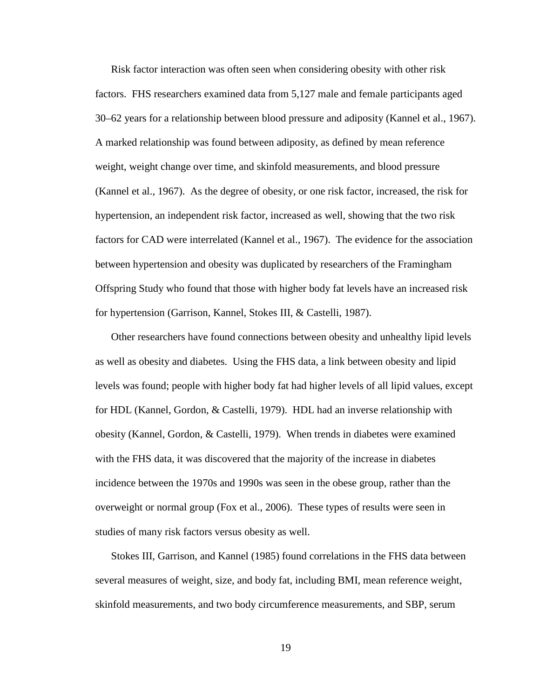Risk factor interaction was often seen when considering obesity with other risk factors. FHS researchers examined data from 5,127 male and female participants aged 30–62 years for a relationship between blood pressure and adiposity (Kannel et al., 1967). A marked relationship was found between adiposity, as defined by mean reference weight, weight change over time, and skinfold measurements, and blood pressure (Kannel et al., 1967). As the degree of obesity, or one risk factor, increased, the risk for hypertension, an independent risk factor, increased as well, showing that the two risk factors for CAD were interrelated (Kannel et al., 1967). The evidence for the association between hypertension and obesity was duplicated by researchers of the Framingham Offspring Study who found that those with higher body fat levels have an increased risk for hypertension (Garrison, Kannel, Stokes III, & Castelli, 1987).

Other researchers have found connections between obesity and unhealthy lipid levels as well as obesity and diabetes. Using the FHS data, a link between obesity and lipid levels was found; people with higher body fat had higher levels of all lipid values, except for HDL (Kannel, Gordon, & Castelli, 1979). HDL had an inverse relationship with obesity (Kannel, Gordon, & Castelli, 1979). When trends in diabetes were examined with the FHS data, it was discovered that the majority of the increase in diabetes incidence between the 1970s and 1990s was seen in the obese group, rather than the overweight or normal group (Fox et al., 2006). These types of results were seen in studies of many risk factors versus obesity as well.

Stokes III, Garrison, and Kannel (1985) found correlations in the FHS data between several measures of weight, size, and body fat, including BMI, mean reference weight, skinfold measurements, and two body circumference measurements, and SBP, serum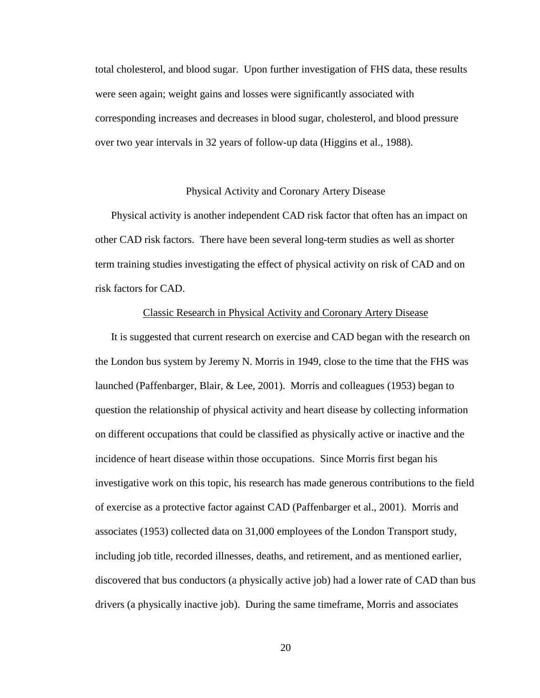total cholesterol, and blood sugar. Upon further investigation of FHS data, these results were seen again; weight gains and losses were significantly associated with corresponding increases and decreases in blood sugar, cholesterol, and blood pressure over two year intervals in 32 years of follow-up data (Higgins et al., 1988).

#### Physical Activity and Coronary Artery Disease

Physical activity is another independent CAD risk factor that often has an impact on other CAD risk factors. There have been several long-term studies as well as shorter term training studies investigating the effect of physical activity on risk of CAD and on risk factors for CAD.

#### Classic Research in Physical Activity and Coronary Artery Disease

It is suggested that current research on exercise and CAD began with the research on the London bus system by Jeremy N. Morris in 1949, close to the time that the FHS was launched (Paffenbarger, Blair, & Lee, 2001). Morris and colleagues (1953) began to question the relationship of physical activity and heart disease by collecting information on different occupations that could be classified as physically active or inactive and the incidence of heart disease within those occupations. Since Morris first began his investigative work on this topic, his research has made generous contributions to the field of exercise as a protective factor against CAD (Paffenbarger et al., 2001). Morris and associates (1953) collected data on 31,000 employees of the London Transport study, including job title, recorded illnesses, deaths, and retirement, and as mentioned earlier, discovered that bus conductors (a physically active job) had a lower rate of CAD than bus drivers (a physically inactive job). During the same timeframe, Morris and associates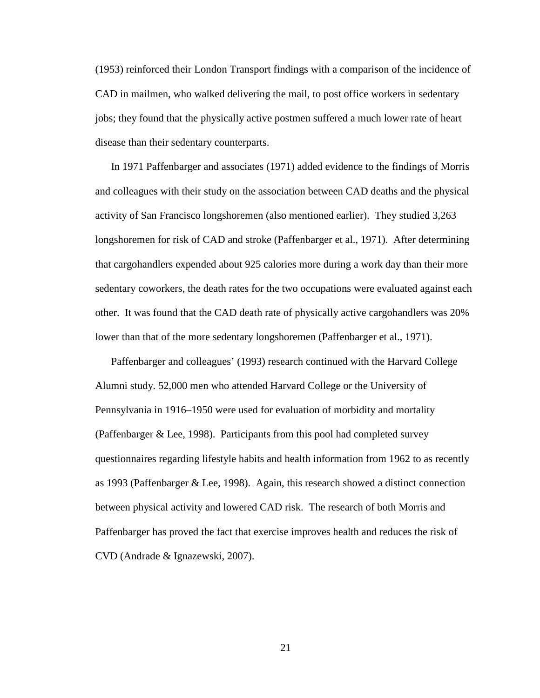(1953) reinforced their London Transport findings with a comparison of the incidence of CAD in mailmen, who walked delivering the mail, to post office workers in sedentary jobs; they found that the physically active postmen suffered a much lower rate of heart disease than their sedentary counterparts.

In 1971 Paffenbarger and associates (1971) added evidence to the findings of Morris and colleagues with their study on the association between CAD deaths and the physical activity of San Francisco longshoremen (also mentioned earlier). They studied 3,263 longshoremen for risk of CAD and stroke (Paffenbarger et al., 1971). After determining that cargohandlers expended about 925 calories more during a work day than their more sedentary coworkers, the death rates for the two occupations were evaluated against each other. It was found that the CAD death rate of physically active cargohandlers was 20% lower than that of the more sedentary longshoremen (Paffenbarger et al., 1971).

Paffenbarger and colleagues' (1993) research continued with the Harvard College Alumni study. 52,000 men who attended Harvard College or the University of Pennsylvania in 1916–1950 were used for evaluation of morbidity and mortality (Paffenbarger & Lee, 1998). Participants from this pool had completed survey questionnaires regarding lifestyle habits and health information from 1962 to as recently as 1993 (Paffenbarger & Lee, 1998). Again, this research showed a distinct connection between physical activity and lowered CAD risk. The research of both Morris and Paffenbarger has proved the fact that exercise improves health and reduces the risk of CVD (Andrade & Ignazewski, 2007).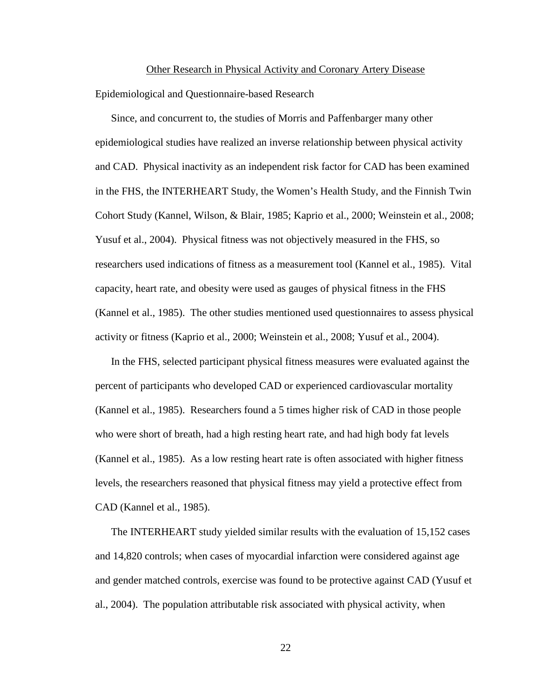#### Other Research in Physical Activity and Coronary Artery Disease

Epidemiological and Questionnaire-based Research

Since, and concurrent to, the studies of Morris and Paffenbarger many other epidemiological studies have realized an inverse relationship between physical activity and CAD. Physical inactivity as an independent risk factor for CAD has been examined in the FHS, the INTERHEART Study, the Women's Health Study, and the Finnish Twin Cohort Study (Kannel, Wilson, & Blair, 1985; Kaprio et al., 2000; Weinstein et al., 2008; Yusuf et al., 2004). Physical fitness was not objectively measured in the FHS, so researchers used indications of fitness as a measurement tool (Kannel et al., 1985). Vital capacity, heart rate, and obesity were used as gauges of physical fitness in the FHS (Kannel et al., 1985). The other studies mentioned used questionnaires to assess physical activity or fitness (Kaprio et al., 2000; Weinstein et al., 2008; Yusuf et al., 2004).

In the FHS, selected participant physical fitness measures were evaluated against the percent of participants who developed CAD or experienced cardiovascular mortality (Kannel et al., 1985). Researchers found a 5 times higher risk of CAD in those people who were short of breath, had a high resting heart rate, and had high body fat levels (Kannel et al., 1985). As a low resting heart rate is often associated with higher fitness levels, the researchers reasoned that physical fitness may yield a protective effect from CAD (Kannel et al., 1985).

The INTERHEART study yielded similar results with the evaluation of 15,152 cases and 14,820 controls; when cases of myocardial infarction were considered against age and gender matched controls, exercise was found to be protective against CAD (Yusuf et al., 2004). The population attributable risk associated with physical activity, when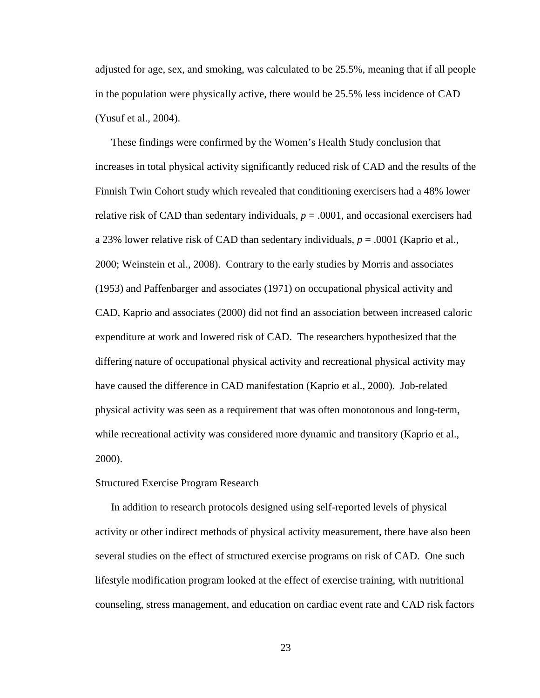adjusted for age, sex, and smoking, was calculated to be 25.5%, meaning that if all people in the population were physically active, there would be 25.5% less incidence of CAD (Yusuf et al., 2004).

These findings were confirmed by the Women's Health Study conclusion that increases in total physical activity significantly reduced risk of CAD and the results of the Finnish Twin Cohort study which revealed that conditioning exercisers had a 48% lower relative risk of CAD than sedentary individuals,  $p = .0001$ , and occasional exercisers had a 23% lower relative risk of CAD than sedentary individuals, *p* = .0001 (Kaprio et al., 2000; Weinstein et al., 2008). Contrary to the early studies by Morris and associates (1953) and Paffenbarger and associates (1971) on occupational physical activity and CAD, Kaprio and associates (2000) did not find an association between increased caloric expenditure at work and lowered risk of CAD. The researchers hypothesized that the differing nature of occupational physical activity and recreational physical activity may have caused the difference in CAD manifestation (Kaprio et al., 2000). Job-related physical activity was seen as a requirement that was often monotonous and long-term, while recreational activity was considered more dynamic and transitory (Kaprio et al., 2000).

#### Structured Exercise Program Research

In addition to research protocols designed using self-reported levels of physical activity or other indirect methods of physical activity measurement, there have also been several studies on the effect of structured exercise programs on risk of CAD. One such lifestyle modification program looked at the effect of exercise training, with nutritional counseling, stress management, and education on cardiac event rate and CAD risk factors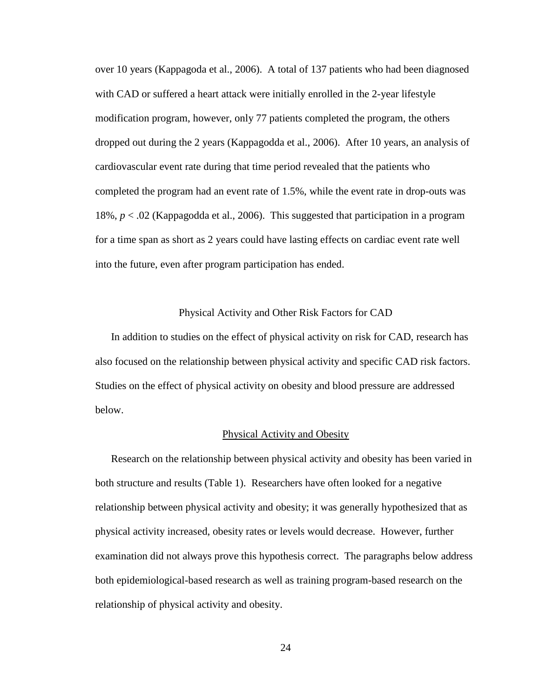over 10 years (Kappagoda et al., 2006). A total of 137 patients who had been diagnosed with CAD or suffered a heart attack were initially enrolled in the 2-year lifestyle modification program, however, only 77 patients completed the program, the others dropped out during the 2 years (Kappagodda et al., 2006). After 10 years, an analysis of cardiovascular event rate during that time period revealed that the patients who completed the program had an event rate of 1.5%, while the event rate in drop-outs was 18%, *p* < .02 (Kappagodda et al., 2006). This suggested that participation in a program for a time span as short as 2 years could have lasting effects on cardiac event rate well into the future, even after program participation has ended.

#### Physical Activity and Other Risk Factors for CAD

In addition to studies on the effect of physical activity on risk for CAD, research has also focused on the relationship between physical activity and specific CAD risk factors. Studies on the effect of physical activity on obesity and blood pressure are addressed below.

#### Physical Activity and Obesity

Research on the relationship between physical activity and obesity has been varied in both structure and results (Table 1). Researchers have often looked for a negative relationship between physical activity and obesity; it was generally hypothesized that as physical activity increased, obesity rates or levels would decrease. However, further examination did not always prove this hypothesis correct. The paragraphs below address both epidemiological-based research as well as training program-based research on the relationship of physical activity and obesity.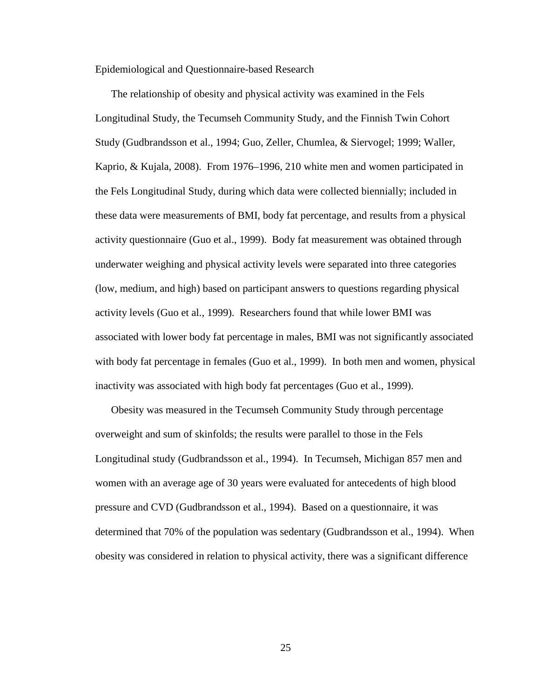Epidemiological and Questionnaire-based Research

The relationship of obesity and physical activity was examined in the Fels Longitudinal Study, the Tecumseh Community Study, and the Finnish Twin Cohort Study (Gudbrandsson et al., 1994; Guo, Zeller, Chumlea, & Siervogel; 1999; Waller, Kaprio, & Kujala, 2008). From 1976–1996, 210 white men and women participated in the Fels Longitudinal Study, during which data were collected biennially; included in these data were measurements of BMI, body fat percentage, and results from a physical activity questionnaire (Guo et al., 1999). Body fat measurement was obtained through underwater weighing and physical activity levels were separated into three categories (low, medium, and high) based on participant answers to questions regarding physical activity levels (Guo et al., 1999). Researchers found that while lower BMI was associated with lower body fat percentage in males, BMI was not significantly associated with body fat percentage in females (Guo et al., 1999). In both men and women, physical inactivity was associated with high body fat percentages (Guo et al., 1999).

Obesity was measured in the Tecumseh Community Study through percentage overweight and sum of skinfolds; the results were parallel to those in the Fels Longitudinal study (Gudbrandsson et al., 1994). In Tecumseh, Michigan 857 men and women with an average age of 30 years were evaluated for antecedents of high blood pressure and CVD (Gudbrandsson et al., 1994). Based on a questionnaire, it was determined that 70% of the population was sedentary (Gudbrandsson et al., 1994). When obesity was considered in relation to physical activity, there was a significant difference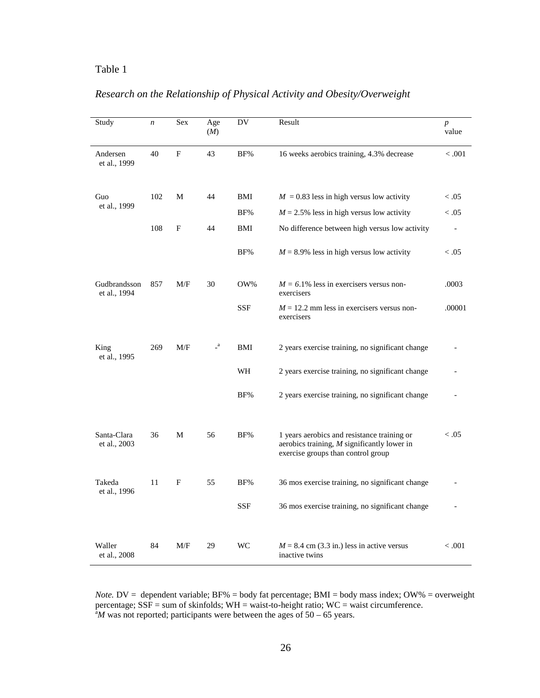## Table 1

## *Research on the Relationship of Physical Activity and Obesity/Overweight*

| Study                        | n   | Sex | Age<br>(M)   | DV         | Result                                                                                                                             | $\boldsymbol{p}$<br>value |
|------------------------------|-----|-----|--------------|------------|------------------------------------------------------------------------------------------------------------------------------------|---------------------------|
| Andersen<br>et al., 1999     | 40  | F   | 43           | BF%        | 16 weeks aerobics training, 4.3% decrease                                                                                          | < 0.001                   |
| Guo                          | 102 | М   | 44           | BMI        | $M = 0.83$ less in high versus low activity                                                                                        | < 0.05                    |
| et al., 1999                 |     |     |              | BF%        | $M = 2.5\%$ less in high versus low activity                                                                                       | < 0.05                    |
|                              | 108 | F   | 44           | BMI        | No difference between high versus low activity                                                                                     |                           |
|                              |     |     |              | BF%        | $M = 8.9\%$ less in high versus low activity                                                                                       | < 0.05                    |
| Gudbrandsson<br>et al., 1994 | 857 | M/F | 30           | OW%        | $M = 6.1\%$ less in exercisers versus non-<br>exercisers                                                                           | .0003                     |
|                              |     |     |              | <b>SSF</b> | $M = 12.2$ mm less in exercisers versus non-<br>exercisers                                                                         | .00001                    |
| King<br>et al., 1995         | 269 | M/F | $\mathbf{a}$ | BMI        | 2 years exercise training, no significant change                                                                                   |                           |
|                              |     |     |              | WH         | 2 years exercise training, no significant change                                                                                   |                           |
|                              |     |     |              | BF%        | 2 years exercise training, no significant change                                                                                   |                           |
| Santa-Clara<br>et al., 2003  | 36  | M   | 56           | BF%        | 1 years aerobics and resistance training or<br>aerobics training, $M$ significantly lower in<br>exercise groups than control group | < 0.05                    |
| Takeda<br>et al., 1996       | 11  | F   | 55           | BF%        | 36 mos exercise training, no significant change                                                                                    |                           |
|                              |     |     |              | <b>SSF</b> | 36 mos exercise training, no significant change                                                                                    |                           |
| Waller<br>et al., 2008       | 84  | M/F | 29           | WC         | $M = 8.4$ cm (3.3 in.) less in active versus<br>inactive twins                                                                     | < 0.001                   |

*Note.*  $DV =$  dependent variable;  $BF\% =$  body fat percentage;  $BMI =$  body mass index;  $OW\% =$  overweight percentage;  $SSF = sum$  of skinfolds;  $WH = wait-to-height$  ratio;  $WC = wait$  circumference.  ${}^{\text{a}}M$  was not reported; participants were between the ages of 50 – 65 years.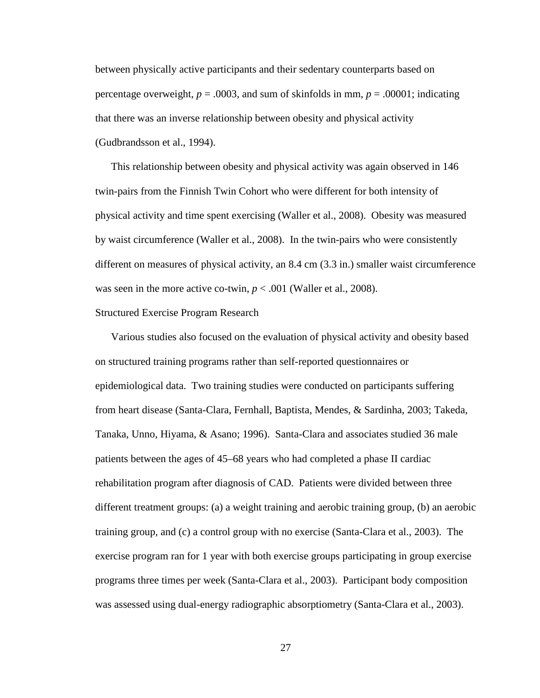between physically active participants and their sedentary counterparts based on percentage overweight,  $p = .0003$ , and sum of skinfolds in mm,  $p = .00001$ ; indicating that there was an inverse relationship between obesity and physical activity (Gudbrandsson et al., 1994).

This relationship between obesity and physical activity was again observed in 146 twin-pairs from the Finnish Twin Cohort who were different for both intensity of physical activity and time spent exercising (Waller et al., 2008). Obesity was measured by waist circumference (Waller et al., 2008). In the twin-pairs who were consistently different on measures of physical activity, an 8.4 cm (3.3 in.) smaller waist circumference was seen in the more active co-twin,  $p < .001$  (Waller et al., 2008).

#### Structured Exercise Program Research

Various studies also focused on the evaluation of physical activity and obesity based on structured training programs rather than self-reported questionnaires or epidemiological data. Two training studies were conducted on participants suffering from heart disease (Santa-Clara, Fernhall, Baptista, Mendes, & Sardinha, 2003; Takeda, Tanaka, Unno, Hiyama, & Asano; 1996). Santa-Clara and associates studied 36 male patients between the ages of 45–68 years who had completed a phase II cardiac rehabilitation program after diagnosis of CAD. Patients were divided between three different treatment groups: (a) a weight training and aerobic training group, (b) an aerobic training group, and (c) a control group with no exercise (Santa-Clara et al., 2003). The exercise program ran for 1 year with both exercise groups participating in group exercise programs three times per week (Santa-Clara et al., 2003). Participant body composition was assessed using dual-energy radiographic absorptiometry (Santa-Clara et al., 2003).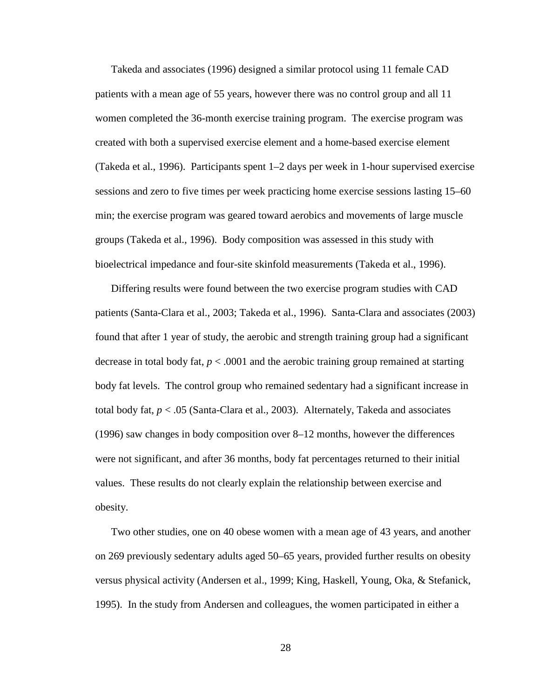Takeda and associates (1996) designed a similar protocol using 11 female CAD patients with a mean age of 55 years, however there was no control group and all 11 women completed the 36-month exercise training program. The exercise program was created with both a supervised exercise element and a home-based exercise element (Takeda et al., 1996). Participants spent 1–2 days per week in 1-hour supervised exercise sessions and zero to five times per week practicing home exercise sessions lasting 15–60 min; the exercise program was geared toward aerobics and movements of large muscle groups (Takeda et al., 1996). Body composition was assessed in this study with bioelectrical impedance and four-site skinfold measurements (Takeda et al., 1996).

Differing results were found between the two exercise program studies with CAD patients (Santa-Clara et al., 2003; Takeda et al., 1996). Santa-Clara and associates (2003) found that after 1 year of study, the aerobic and strength training group had a significant decrease in total body fat, *p* < .0001 and the aerobic training group remained at starting body fat levels. The control group who remained sedentary had a significant increase in total body fat, *p* < .05 (Santa-Clara et al., 2003). Alternately, Takeda and associates (1996) saw changes in body composition over 8–12 months, however the differences were not significant, and after 36 months, body fat percentages returned to their initial values. These results do not clearly explain the relationship between exercise and obesity.

Two other studies, one on 40 obese women with a mean age of 43 years, and another on 269 previously sedentary adults aged 50–65 years, provided further results on obesity versus physical activity (Andersen et al., 1999; King, Haskell, Young, Oka, & Stefanick, 1995). In the study from Andersen and colleagues, the women participated in either a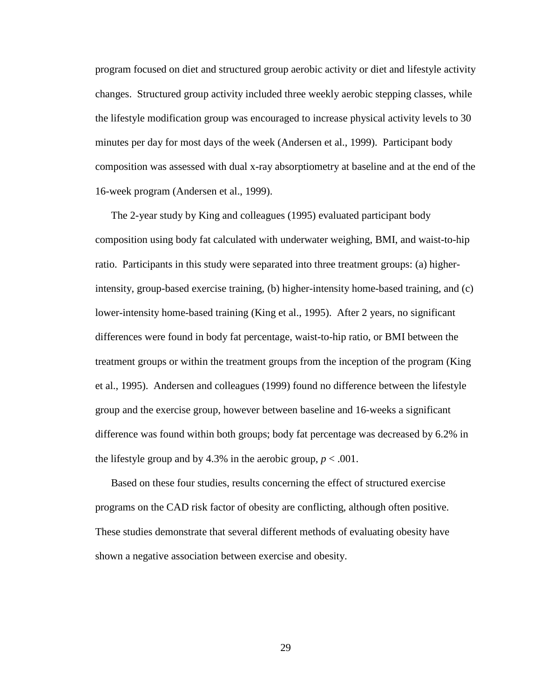program focused on diet and structured group aerobic activity or diet and lifestyle activity changes. Structured group activity included three weekly aerobic stepping classes, while the lifestyle modification group was encouraged to increase physical activity levels to 30 minutes per day for most days of the week (Andersen et al., 1999). Participant body composition was assessed with dual x-ray absorptiometry at baseline and at the end of the 16-week program (Andersen et al., 1999).

The 2-year study by King and colleagues (1995) evaluated participant body composition using body fat calculated with underwater weighing, BMI, and waist-to-hip ratio. Participants in this study were separated into three treatment groups: (a) higherintensity, group-based exercise training, (b) higher-intensity home-based training, and (c) lower-intensity home-based training (King et al., 1995). After 2 years, no significant differences were found in body fat percentage, waist-to-hip ratio, or BMI between the treatment groups or within the treatment groups from the inception of the program (King et al., 1995). Andersen and colleagues (1999) found no difference between the lifestyle group and the exercise group, however between baseline and 16-weeks a significant difference was found within both groups; body fat percentage was decreased by 6.2% in the lifestyle group and by 4.3% in the aerobic group,  $p < .001$ .

Based on these four studies, results concerning the effect of structured exercise programs on the CAD risk factor of obesity are conflicting, although often positive. These studies demonstrate that several different methods of evaluating obesity have shown a negative association between exercise and obesity.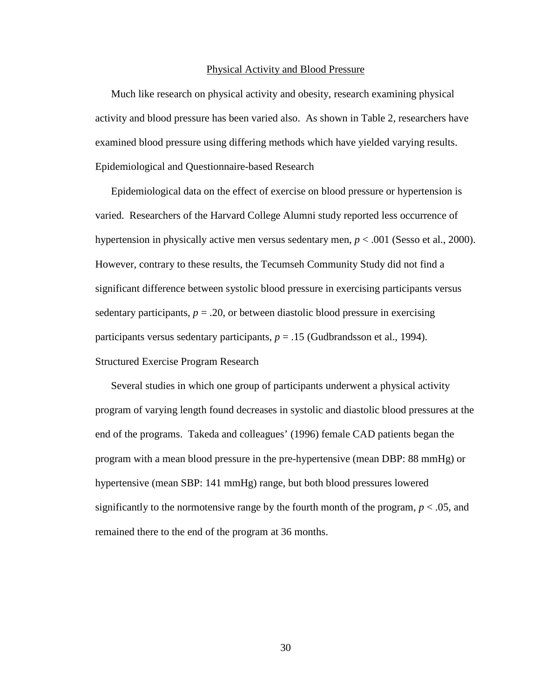#### Physical Activity and Blood Pressure

Much like research on physical activity and obesity, research examining physical activity and blood pressure has been varied also. As shown in Table 2, researchers have examined blood pressure using differing methods which have yielded varying results. Epidemiological and Questionnaire-based Research

Epidemiological data on the effect of exercise on blood pressure or hypertension is varied. Researchers of the Harvard College Alumni study reported less occurrence of hypertension in physically active men versus sedentary men, *p* < .001 (Sesso et al., 2000). However, contrary to these results, the Tecumseh Community Study did not find a significant difference between systolic blood pressure in exercising participants versus sedentary participants,  $p = 0.20$ , or between diastolic blood pressure in exercising participants versus sedentary participants, *p* = .15 (Gudbrandsson et al., 1994). Structured Exercise Program Research

Several studies in which one group of participants underwent a physical activity program of varying length found decreases in systolic and diastolic blood pressures at the end of the programs. Takeda and colleagues' (1996) female CAD patients began the program with a mean blood pressure in the pre-hypertensive (mean DBP: 88 mmHg) or hypertensive (mean SBP: 141 mmHg) range, but both blood pressures lowered significantly to the normotensive range by the fourth month of the program,  $p < .05$ , and remained there to the end of the program at 36 months.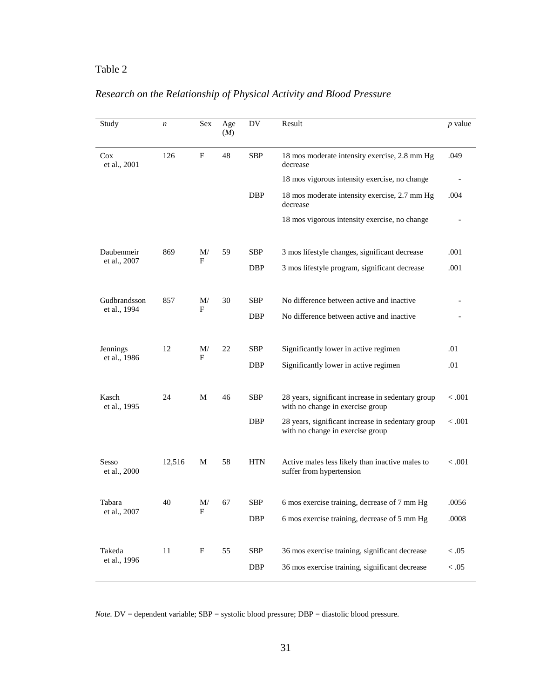# Table 2

| Study                  | $\boldsymbol{n}$ | Sex     | Age<br>(M) | DV         | Result                                                                                | $p$ value |
|------------------------|------------------|---------|------------|------------|---------------------------------------------------------------------------------------|-----------|
| $\cos$<br>et al., 2001 | 126              | F       | 48         | <b>SBP</b> | 18 mos moderate intensity exercise, 2.8 mm Hg<br>decrease                             | .049      |
|                        |                  |         |            |            | 18 mos vigorous intensity exercise, no change                                         |           |
|                        |                  |         |            | <b>DBP</b> | 18 mos moderate intensity exercise, 2.7 mm Hg<br>decrease                             | .004      |
|                        |                  |         |            |            | 18 mos vigorous intensity exercise, no change                                         |           |
| Daubenmeir             | 869              | M/<br>F | 59         | SBP        | 3 mos lifestyle changes, significant decrease                                         | .001      |
| et al., 2007           |                  |         |            | DBP        | 3 mos lifestyle program, significant decrease                                         | .001      |
| Gudbrandsson           | 857              | M/      | 30         | <b>SBP</b> | No difference between active and inactive                                             |           |
| et al., 1994           |                  | F       |            | <b>DBP</b> | No difference between active and inactive                                             |           |
| Jennings               | 12               | M/      | 22         | <b>SBP</b> | Significantly lower in active regimen                                                 | .01       |
| et al., 1986           |                  | F       |            | <b>DBP</b> | Significantly lower in active regimen                                                 | .01       |
| Kasch<br>et al., 1995  | 24               | М       | 46         | <b>SBP</b> | 28 years, significant increase in sedentary group<br>with no change in exercise group | < 0.001   |
|                        |                  |         |            | <b>DBP</b> | 28 years, significant increase in sedentary group<br>with no change in exercise group | < 0.001   |
| Sesso<br>et al., 2000  | 12,516           | М       | 58         | <b>HTN</b> | Active males less likely than inactive males to<br>suffer from hypertension           | < .001    |
| Tabara<br>et al., 2007 | 40               | M/      | 67         | SBP        | 6 mos exercise training, decrease of 7 mm Hg                                          | .0056     |
|                        |                  | F       |            | DBP        | 6 mos exercise training, decrease of 5 mm Hg                                          | .0008     |
| Takeda                 | 11               | F       | 55         | SBP        | 36 mos exercise training, significant decrease                                        | < 0.05    |
| et al., 1996           |                  |         |            | DBP        | 36 mos exercise training, significant decrease                                        | $<.05$    |

# *Research on the Relationship of Physical Activity and Blood Pressure*

*Note.* DV = dependent variable; SBP = systolic blood pressure; DBP = diastolic blood pressure.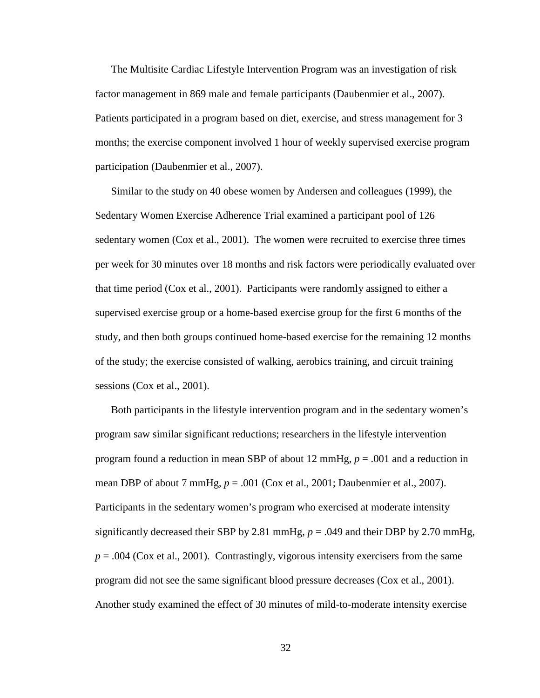The Multisite Cardiac Lifestyle Intervention Program was an investigation of risk factor management in 869 male and female participants (Daubenmier et al., 2007). Patients participated in a program based on diet, exercise, and stress management for 3 months; the exercise component involved 1 hour of weekly supervised exercise program participation (Daubenmier et al., 2007).

Similar to the study on 40 obese women by Andersen and colleagues (1999), the Sedentary Women Exercise Adherence Trial examined a participant pool of 126 sedentary women (Cox et al., 2001). The women were recruited to exercise three times per week for 30 minutes over 18 months and risk factors were periodically evaluated over that time period (Cox et al., 2001). Participants were randomly assigned to either a supervised exercise group or a home-based exercise group for the first 6 months of the study, and then both groups continued home-based exercise for the remaining 12 months of the study; the exercise consisted of walking, aerobics training, and circuit training sessions (Cox et al., 2001).

Both participants in the lifestyle intervention program and in the sedentary women's program saw similar significant reductions; researchers in the lifestyle intervention program found a reduction in mean SBP of about 12 mmHg, *p* = .001 and a reduction in mean DBP of about 7 mmHg, *p* = .001 (Cox et al., 2001; Daubenmier et al., 2007). Participants in the sedentary women's program who exercised at moderate intensity significantly decreased their SBP by 2.81 mmHg,  $p = .049$  and their DBP by 2.70 mmHg,  $p = .004$  (Cox et al., 2001). Contrastingly, vigorous intensity exercisers from the same program did not see the same significant blood pressure decreases (Cox et al., 2001). Another study examined the effect of 30 minutes of mild-to-moderate intensity exercise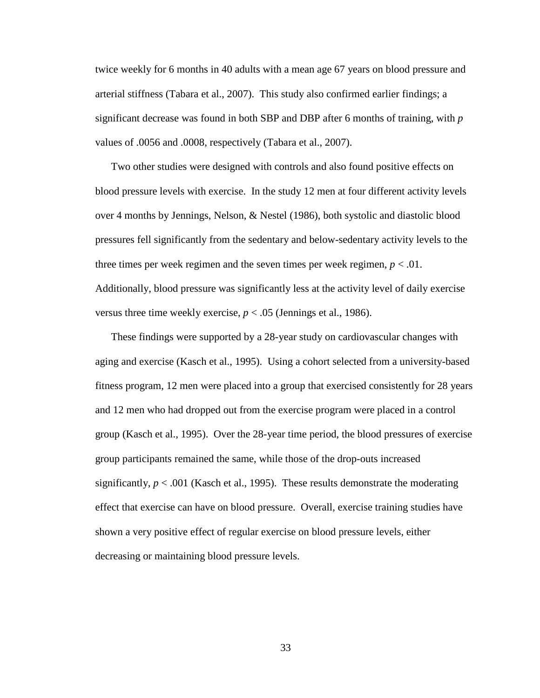twice weekly for 6 months in 40 adults with a mean age 67 years on blood pressure and arterial stiffness (Tabara et al., 2007). This study also confirmed earlier findings; a significant decrease was found in both SBP and DBP after 6 months of training, with *p* values of .0056 and .0008, respectively (Tabara et al., 2007).

Two other studies were designed with controls and also found positive effects on blood pressure levels with exercise. In the study 12 men at four different activity levels over 4 months by Jennings, Nelson, & Nestel (1986), both systolic and diastolic blood pressures fell significantly from the sedentary and below-sedentary activity levels to the three times per week regimen and the seven times per week regimen,  $p < .01$ . Additionally, blood pressure was significantly less at the activity level of daily exercise versus three time weekly exercise,  $p < .05$  (Jennings et al., 1986).

These findings were supported by a 28-year study on cardiovascular changes with aging and exercise (Kasch et al., 1995). Using a cohort selected from a university-based fitness program, 12 men were placed into a group that exercised consistently for 28 years and 12 men who had dropped out from the exercise program were placed in a control group (Kasch et al., 1995). Over the 28-year time period, the blood pressures of exercise group participants remained the same, while those of the drop-outs increased significantly,  $p < .001$  (Kasch et al., 1995). These results demonstrate the moderating effect that exercise can have on blood pressure. Overall, exercise training studies have shown a very positive effect of regular exercise on blood pressure levels, either decreasing or maintaining blood pressure levels.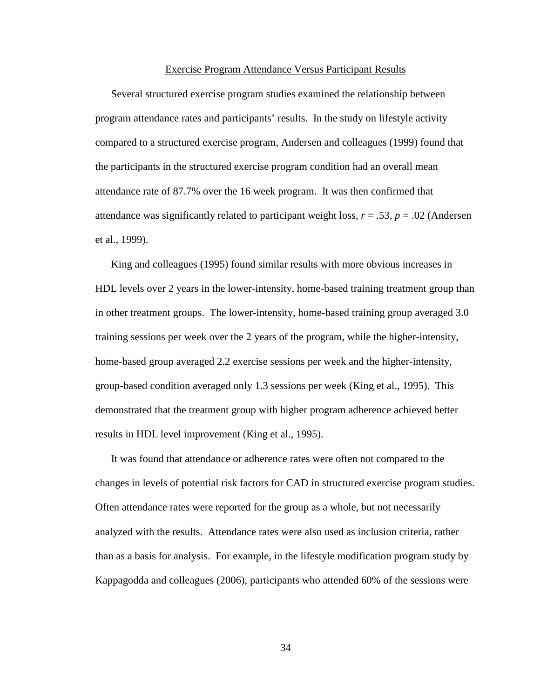#### Exercise Program Attendance Versus Participant Results

Several structured exercise program studies examined the relationship between program attendance rates and participants' results. In the study on lifestyle activity compared to a structured exercise program, Andersen and colleagues (1999) found that the participants in the structured exercise program condition had an overall mean attendance rate of 87.7% over the 16 week program. It was then confirmed that attendance was significantly related to participant weight loss,  $r = .53$ ,  $p = .02$  (Andersen et al., 1999).

King and colleagues (1995) found similar results with more obvious increases in HDL levels over 2 years in the lower-intensity, home-based training treatment group than in other treatment groups. The lower-intensity, home-based training group averaged 3.0 training sessions per week over the 2 years of the program, while the higher-intensity, home-based group averaged 2.2 exercise sessions per week and the higher-intensity, group-based condition averaged only 1.3 sessions per week (King et al., 1995). This demonstrated that the treatment group with higher program adherence achieved better results in HDL level improvement (King et al., 1995).

It was found that attendance or adherence rates were often not compared to the changes in levels of potential risk factors for CAD in structured exercise program studies. Often attendance rates were reported for the group as a whole, but not necessarily analyzed with the results. Attendance rates were also used as inclusion criteria, rather than as a basis for analysis. For example, in the lifestyle modification program study by Kappagodda and colleagues (2006), participants who attended 60% of the sessions were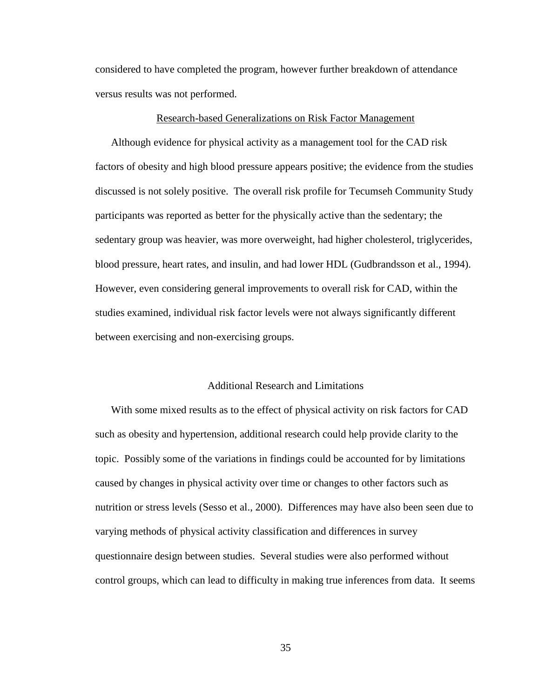considered to have completed the program, however further breakdown of attendance versus results was not performed.

#### Research-based Generalizations on Risk Factor Management

Although evidence for physical activity as a management tool for the CAD risk factors of obesity and high blood pressure appears positive; the evidence from the studies discussed is not solely positive. The overall risk profile for Tecumseh Community Study participants was reported as better for the physically active than the sedentary; the sedentary group was heavier, was more overweight, had higher cholesterol, triglycerides, blood pressure, heart rates, and insulin, and had lower HDL (Gudbrandsson et al., 1994). However, even considering general improvements to overall risk for CAD, within the studies examined, individual risk factor levels were not always significantly different between exercising and non-exercising groups.

#### Additional Research and Limitations

With some mixed results as to the effect of physical activity on risk factors for CAD such as obesity and hypertension, additional research could help provide clarity to the topic. Possibly some of the variations in findings could be accounted for by limitations caused by changes in physical activity over time or changes to other factors such as nutrition or stress levels (Sesso et al., 2000). Differences may have also been seen due to varying methods of physical activity classification and differences in survey questionnaire design between studies. Several studies were also performed without control groups, which can lead to difficulty in making true inferences from data. It seems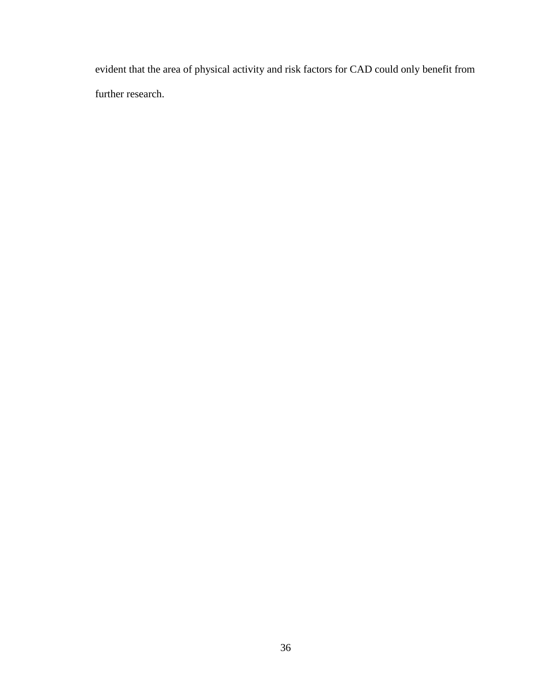evident that the area of physical activity and risk factors for CAD could only benefit from further research.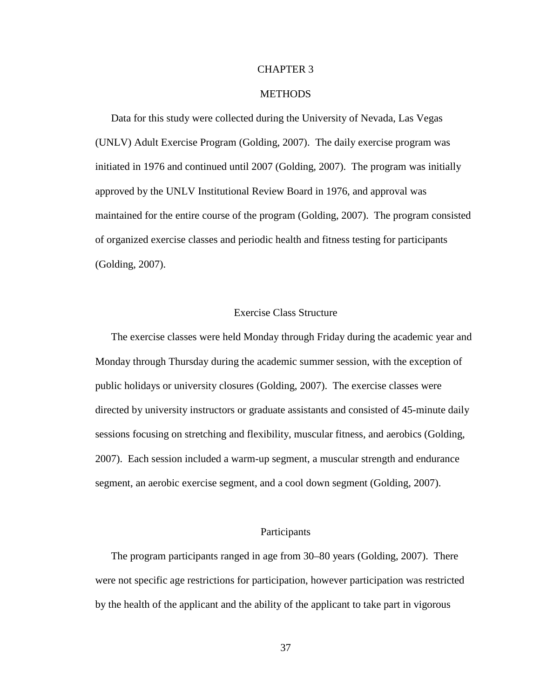#### CHAPTER 3

## **METHODS**

Data for this study were collected during the University of Nevada, Las Vegas (UNLV) Adult Exercise Program (Golding, 2007). The daily exercise program was initiated in 1976 and continued until 2007 (Golding, 2007). The program was initially approved by the UNLV Institutional Review Board in 1976, and approval was maintained for the entire course of the program (Golding, 2007). The program consisted of organized exercise classes and periodic health and fitness testing for participants (Golding, 2007).

## Exercise Class Structure

The exercise classes were held Monday through Friday during the academic year and Monday through Thursday during the academic summer session, with the exception of public holidays or university closures (Golding, 2007). The exercise classes were directed by university instructors or graduate assistants and consisted of 45-minute daily sessions focusing on stretching and flexibility, muscular fitness, and aerobics (Golding, 2007). Each session included a warm-up segment, a muscular strength and endurance segment, an aerobic exercise segment, and a cool down segment (Golding, 2007).

## Participants

The program participants ranged in age from 30–80 years (Golding, 2007). There were not specific age restrictions for participation, however participation was restricted by the health of the applicant and the ability of the applicant to take part in vigorous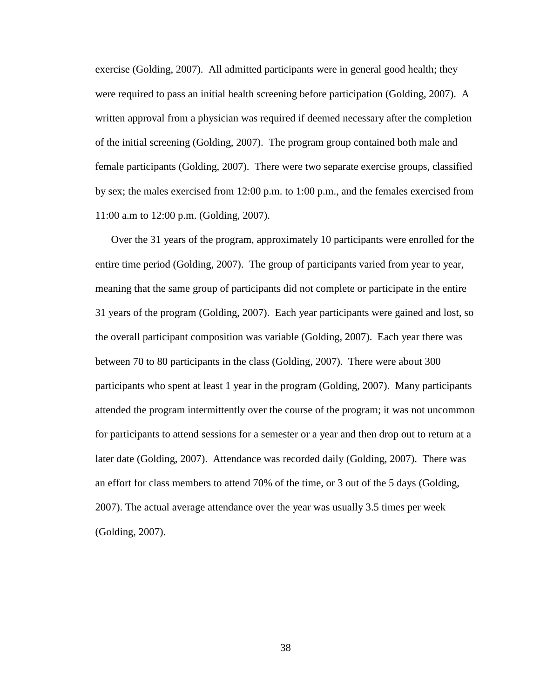exercise (Golding, 2007). All admitted participants were in general good health; they were required to pass an initial health screening before participation (Golding, 2007). A written approval from a physician was required if deemed necessary after the completion of the initial screening (Golding, 2007). The program group contained both male and female participants (Golding, 2007). There were two separate exercise groups, classified by sex; the males exercised from 12:00 p.m. to 1:00 p.m., and the females exercised from 11:00 a.m to 12:00 p.m. (Golding, 2007).

Over the 31 years of the program, approximately 10 participants were enrolled for the entire time period (Golding, 2007). The group of participants varied from year to year, meaning that the same group of participants did not complete or participate in the entire 31 years of the program (Golding, 2007). Each year participants were gained and lost, so the overall participant composition was variable (Golding, 2007). Each year there was between 70 to 80 participants in the class (Golding, 2007). There were about 300 participants who spent at least 1 year in the program (Golding, 2007). Many participants attended the program intermittently over the course of the program; it was not uncommon for participants to attend sessions for a semester or a year and then drop out to return at a later date (Golding, 2007). Attendance was recorded daily (Golding, 2007). There was an effort for class members to attend 70% of the time, or 3 out of the 5 days (Golding, 2007). The actual average attendance over the year was usually 3.5 times per week (Golding, 2007).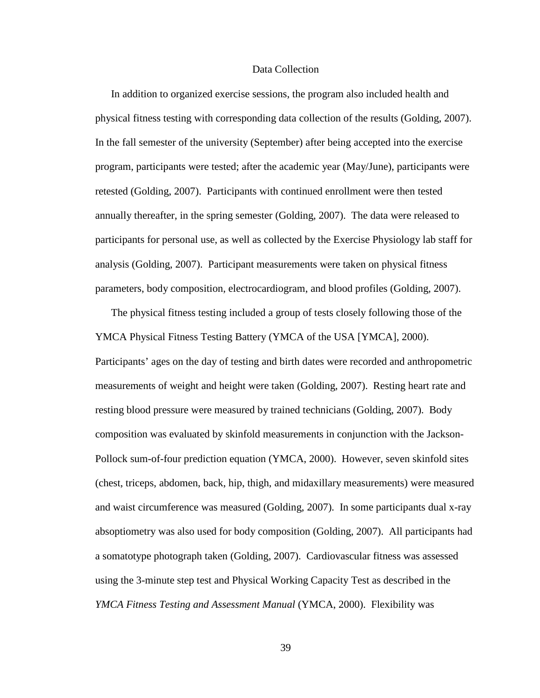#### Data Collection

In addition to organized exercise sessions, the program also included health and physical fitness testing with corresponding data collection of the results (Golding, 2007). In the fall semester of the university (September) after being accepted into the exercise program, participants were tested; after the academic year (May/June), participants were retested (Golding, 2007).Participants with continued enrollment were then tested annually thereafter, in the spring semester (Golding, 2007). The data were released to participants for personal use, as well as collected by the Exercise Physiology lab staff for analysis (Golding, 2007). Participant measurements were taken on physical fitness parameters, body composition, electrocardiogram, and blood profiles (Golding, 2007).

The physical fitness testing included a group of tests closely following those of the YMCA Physical Fitness Testing Battery (YMCA of the USA [YMCA], 2000). Participants' ages on the day of testing and birth dates were recorded and anthropometric measurements of weight and height were taken (Golding, 2007). Resting heart rate and resting blood pressure were measured by trained technicians (Golding, 2007). Body composition was evaluated by skinfold measurements in conjunction with the Jackson-Pollock sum-of-four prediction equation (YMCA, 2000). However, seven skinfold sites (chest, triceps, abdomen, back, hip, thigh, and midaxillary measurements) were measured and waist circumference was measured (Golding, 2007). In some participants dual x-ray absoptiometry was also used for body composition (Golding, 2007). All participants had a somatotype photograph taken (Golding, 2007). Cardiovascular fitness was assessed using the 3-minute step test and Physical Working Capacity Test as described in the *YMCA Fitness Testing and Assessment Manual* (YMCA, 2000). Flexibility was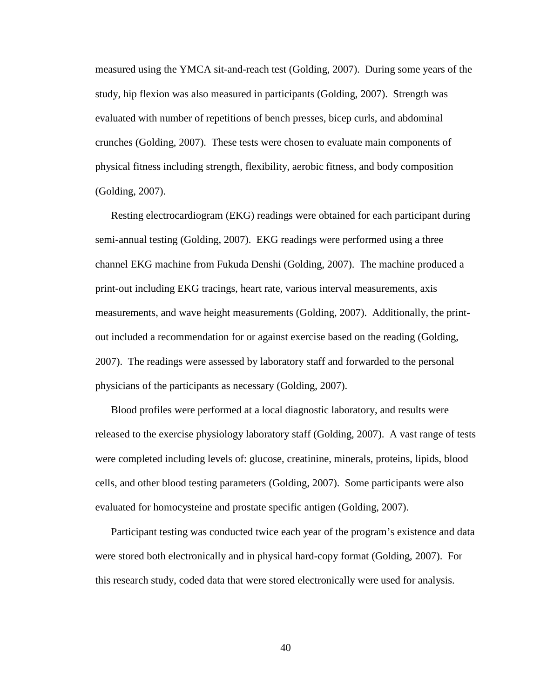measured using the YMCA sit-and-reach test (Golding, 2007). During some years of the study, hip flexion was also measured in participants (Golding, 2007). Strength was evaluated with number of repetitions of bench presses, bicep curls, and abdominal crunches (Golding, 2007). These tests were chosen to evaluate main components of physical fitness including strength, flexibility, aerobic fitness, and body composition (Golding, 2007).

Resting electrocardiogram (EKG) readings were obtained for each participant during semi-annual testing (Golding, 2007). EKG readings were performed using a three channel EKG machine from Fukuda Denshi (Golding, 2007). The machine produced a print-out including EKG tracings, heart rate, various interval measurements, axis measurements, and wave height measurements (Golding, 2007). Additionally, the printout included a recommendation for or against exercise based on the reading (Golding, 2007). The readings were assessed by laboratory staff and forwarded to the personal physicians of the participants as necessary (Golding, 2007).

Blood profiles were performed at a local diagnostic laboratory, and results were released to the exercise physiology laboratory staff (Golding, 2007). A vast range of tests were completed including levels of: glucose, creatinine, minerals, proteins, lipids, blood cells, and other blood testing parameters (Golding, 2007). Some participants were also evaluated for homocysteine and prostate specific antigen (Golding, 2007).

Participant testing was conducted twice each year of the program's existence and data were stored both electronically and in physical hard-copy format (Golding, 2007). For this research study, coded data that were stored electronically were used for analysis.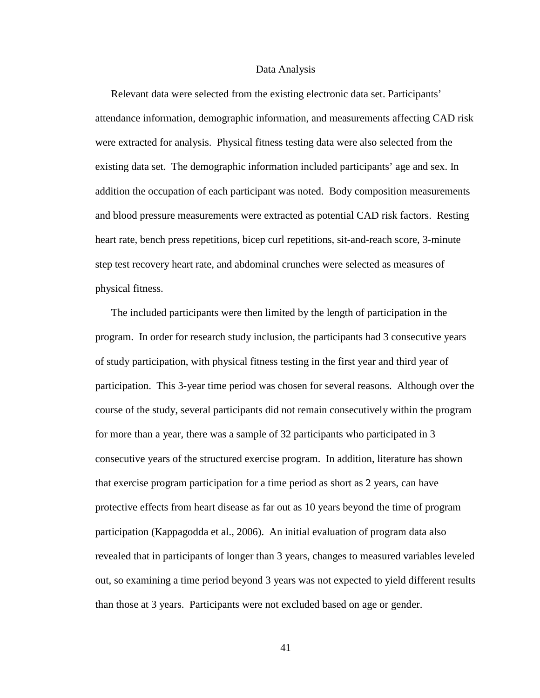#### Data Analysis

Relevant data were selected from the existing electronic data set. Participants' attendance information, demographic information, and measurements affecting CAD risk were extracted for analysis. Physical fitness testing data were also selected from the existing data set. The demographic information included participants' age and sex. In addition the occupation of each participant was noted. Body composition measurements and blood pressure measurements were extracted as potential CAD risk factors. Resting heart rate, bench press repetitions, bicep curl repetitions, sit-and-reach score, 3-minute step test recovery heart rate, and abdominal crunches were selected as measures of physical fitness.

The included participants were then limited by the length of participation in the program. In order for research study inclusion, the participants had 3 consecutive years of study participation, with physical fitness testing in the first year and third year of participation. This 3-year time period was chosen for several reasons. Although over the course of the study, several participants did not remain consecutively within the program for more than a year, there was a sample of 32 participants who participated in 3 consecutive years of the structured exercise program. In addition, literature has shown that exercise program participation for a time period as short as 2 years, can have protective effects from heart disease as far out as 10 years beyond the time of program participation (Kappagodda et al., 2006). An initial evaluation of program data also revealed that in participants of longer than 3 years, changes to measured variables leveled out, so examining a time period beyond 3 years was not expected to yield different results than those at 3 years. Participants were not excluded based on age or gender.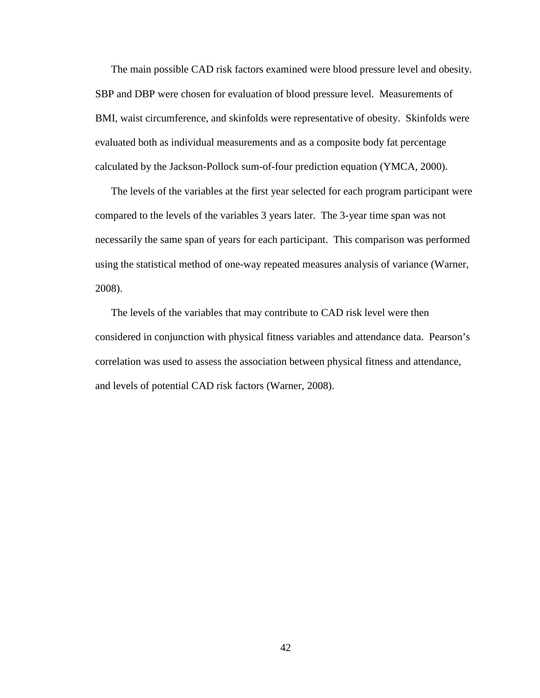The main possible CAD risk factors examined were blood pressure level and obesity. SBP and DBP were chosen for evaluation of blood pressure level. Measurements of BMI, waist circumference, and skinfolds were representative of obesity. Skinfolds were evaluated both as individual measurements and as a composite body fat percentage calculated by the Jackson-Pollock sum-of-four prediction equation (YMCA, 2000).

The levels of the variables at the first year selected for each program participant were compared to the levels of the variables 3 years later. The 3-year time span was not necessarily the same span of years for each participant. This comparison was performed using the statistical method of one-way repeated measures analysis of variance (Warner, 2008).

The levels of the variables that may contribute to CAD risk level were then considered in conjunction with physical fitness variables and attendance data. Pearson's correlation was used to assess the association between physical fitness and attendance, and levels of potential CAD risk factors (Warner, 2008).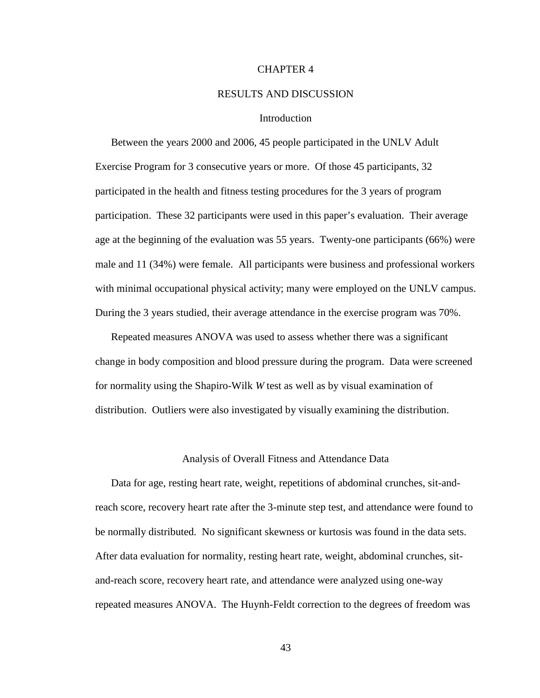#### CHAPTER 4

#### RESULTS AND DISCUSSION

## Introduction

Between the years 2000 and 2006, 45 people participated in the UNLV Adult Exercise Program for 3 consecutive years or more. Of those 45 participants, 32 participated in the health and fitness testing procedures for the 3 years of program participation. These 32 participants were used in this paper's evaluation. Their average age at the beginning of the evaluation was 55 years. Twenty-one participants (66%) were male and 11 (34%) were female. All participants were business and professional workers with minimal occupational physical activity; many were employed on the UNLV campus. During the 3 years studied, their average attendance in the exercise program was 70%.

Repeated measures ANOVA was used to assess whether there was a significant change in body composition and blood pressure during the program. Data were screened for normality using the Shapiro-Wilk *W* test as well as by visual examination of distribution. Outliers were also investigated by visually examining the distribution.

#### Analysis of Overall Fitness and Attendance Data

Data for age, resting heart rate, weight, repetitions of abdominal crunches, sit-andreach score, recovery heart rate after the 3-minute step test, and attendance were found to be normally distributed. No significant skewness or kurtosis was found in the data sets. After data evaluation for normality, resting heart rate, weight, abdominal crunches, sitand-reach score, recovery heart rate, and attendance were analyzed using one-way repeated measures ANOVA. The Huynh-Feldt correction to the degrees of freedom was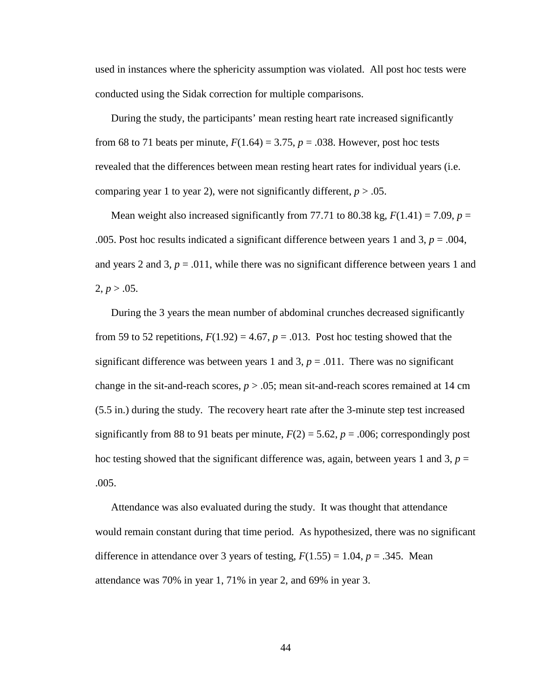used in instances where the sphericity assumption was violated. All post hoc tests were conducted using the Sidak correction for multiple comparisons.

During the study, the participants' mean resting heart rate increased significantly from 68 to 71 beats per minute,  $F(1.64) = 3.75$ ,  $p = .038$ . However, post hoc tests revealed that the differences between mean resting heart rates for individual years (i.e. comparing year 1 to year 2), were not significantly different,  $p > .05$ .

Mean weight also increased significantly from 77.71 to 80.38 kg,  $F(1.41) = 7.09$ ,  $p =$ .005. Post hoc results indicated a significant difference between years 1 and 3, *p* = .004, and years 2 and 3,  $p = .011$ , while there was no significant difference between years 1 and  $2, p > .05.$ 

During the 3 years the mean number of abdominal crunches decreased significantly from 59 to 52 repetitions,  $F(1.92) = 4.67$ ,  $p = .013$ . Post hoc testing showed that the significant difference was between years 1 and 3,  $p = .011$ . There was no significant change in the sit-and-reach scores,  $p > 0.05$ ; mean sit-and-reach scores remained at 14 cm (5.5 in.) during the study. The recovery heart rate after the 3-minute step test increased significantly from 88 to 91 beats per minute,  $F(2) = 5.62$ ,  $p = .006$ ; correspondingly post hoc testing showed that the significant difference was, again, between years 1 and 3,  $p =$ .005.

Attendance was also evaluated during the study. It was thought that attendance would remain constant during that time period. As hypothesized, there was no significant difference in attendance over 3 years of testing,  $F(1.55) = 1.04$ ,  $p = .345$ . Mean attendance was 70% in year 1, 71% in year 2, and 69% in year 3.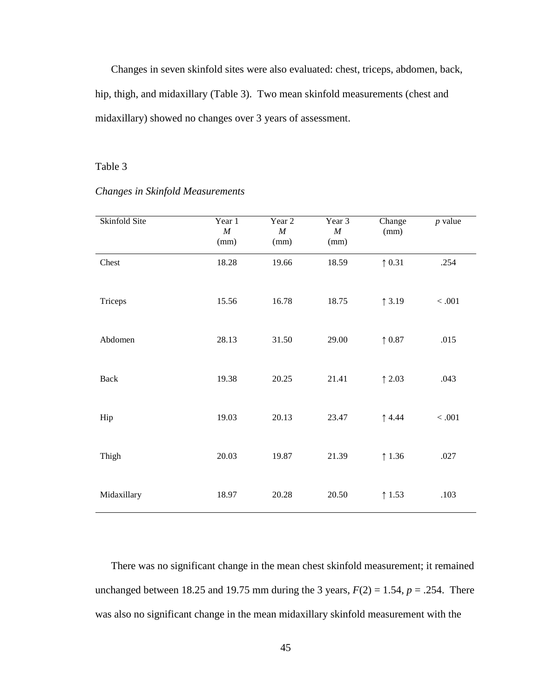Changes in seven skinfold sites were also evaluated: chest, triceps, abdomen, back, hip, thigh, and midaxillary (Table 3). Two mean skinfold measurements (chest and midaxillary) showed no changes over 3 years of assessment.

## Table 3

| Skinfold Site | Year 1<br>$\cal M$<br>(mm) | Year 2<br>$\cal M$<br>(mm) | Year 3<br>$\cal M$<br>(mm) | Change<br>(mm)  | $p$ value |
|---------------|----------------------------|----------------------------|----------------------------|-----------------|-----------|
| Chest         | 18.28                      | 19.66                      | 18.59                      | $\uparrow$ 0.31 | .254      |
| Triceps       | 15.56                      | 16.78                      | 18.75                      | $\uparrow$ 3.19 | $<.001$   |
| Abdomen       | 28.13                      | 31.50                      | 29.00                      | $\uparrow$ 0.87 | .015      |
| Back          | 19.38                      | 20.25                      | 21.41                      | $\uparrow$ 2.03 | .043      |
| Hip           | 19.03                      | 20.13                      | 23.47                      | $\uparrow$ 4.44 | $<.001$   |
| Thigh         | 20.03                      | 19.87                      | 21.39                      | $\uparrow$ 1.36 | .027      |
| Midaxillary   | 18.97                      | 20.28                      | 20.50                      | $\uparrow$ 1.53 | .103      |

#### *Changes in Skinfold Measurements*

There was no significant change in the mean chest skinfold measurement; it remained unchanged between 18.25 and 19.75 mm during the 3 years,  $F(2) = 1.54$ ,  $p = .254$ . There was also no significant change in the mean midaxillary skinfold measurement with the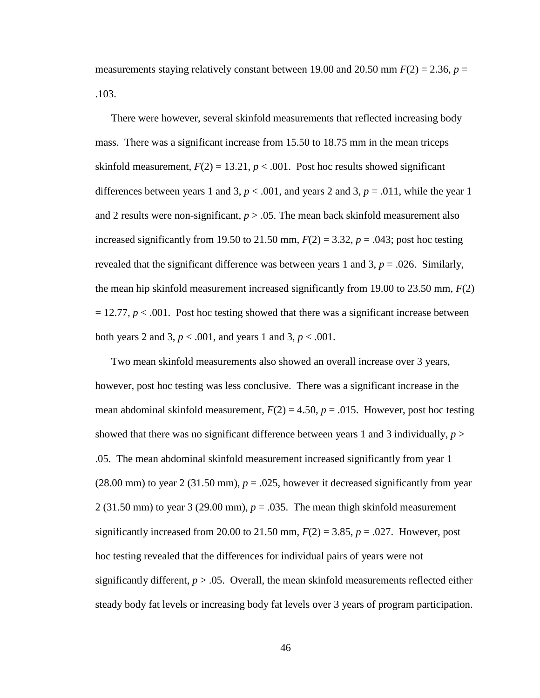measurements staying relatively constant between 19.00 and 20.50 mm  $F(2) = 2.36$ ,  $p =$ .103.

There were however, several skinfold measurements that reflected increasing body mass. There was a significant increase from 15.50 to 18.75 mm in the mean triceps skinfold measurement,  $F(2) = 13.21$ ,  $p < .001$ . Post hoc results showed significant differences between years 1 and 3,  $p < .001$ , and years 2 and 3,  $p = .011$ , while the year 1 and 2 results were non-significant,  $p > 0.05$ . The mean back skinfold measurement also increased significantly from 19.50 to 21.50 mm,  $F(2) = 3.32$ ,  $p = .043$ ; post hoc testing revealed that the significant difference was between years 1 and 3,  $p = .026$ . Similarly, the mean hip skinfold measurement increased significantly from 19.00 to 23.50 mm, *F*(2)  $= 12.77, p < .001$ . Post hoc testing showed that there was a significant increase between both years 2 and 3, *p* < .001, and years 1 and 3, *p* < .001.

Two mean skinfold measurements also showed an overall increase over 3 years, however, post hoc testing was less conclusive. There was a significant increase in the mean abdominal skinfold measurement,  $F(2) = 4.50$ ,  $p = .015$ . However, post hoc testing showed that there was no significant difference between years 1 and 3 individually,  $p >$ .05. The mean abdominal skinfold measurement increased significantly from year 1  $(28.00 \text{ mm})$  to year 2  $(31.50 \text{ mm})$ ,  $p = .025$ , however it decreased significantly from year 2 (31.50 mm) to year 3 (29.00 mm),  $p = 0.035$ . The mean thigh skinfold measurement significantly increased from 20.00 to 21.50 mm,  $F(2) = 3.85$ ,  $p = .027$ . However, post hoc testing revealed that the differences for individual pairs of years were not significantly different,  $p > 0.05$ . Overall, the mean skinfold measurements reflected either steady body fat levels or increasing body fat levels over 3 years of program participation.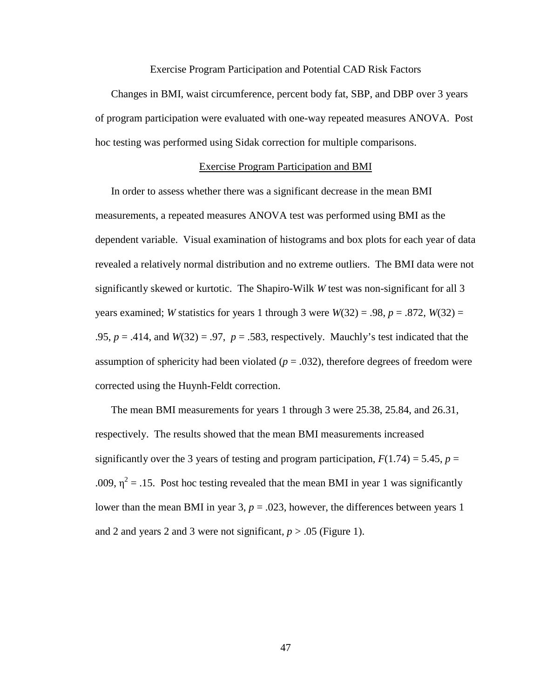#### Exercise Program Participation and Potential CAD Risk Factors

Changes in BMI, waist circumference, percent body fat, SBP, and DBP over 3 years of program participation were evaluated with one-way repeated measures ANOVA. Post hoc testing was performed using Sidak correction for multiple comparisons.

## Exercise Program Participation and BMI

In order to assess whether there was a significant decrease in the mean BMI measurements, a repeated measures ANOVA test was performed using BMI as the dependent variable. Visual examination of histograms and box plots for each year of data revealed a relatively normal distribution and no extreme outliers. The BMI data were not significantly skewed or kurtotic. The Shapiro-Wilk *W* test was non-significant for all 3 years examined; *W* statistics for years 1 through 3 were  $W(32) = .98$ ,  $p = .872$ ,  $W(32) =$ .95,  $p = .414$ , and  $W(32) = .97$ ,  $p = .583$ , respectively. Mauchly's test indicated that the assumption of sphericity had been violated  $(p = .032)$ , therefore degrees of freedom were corrected using the Huynh-Feldt correction.

The mean BMI measurements for years 1 through 3 were 25.38, 25.84, and 26.31, respectively. The results showed that the mean BMI measurements increased significantly over the 3 years of testing and program participation,  $F(1.74) = 5.45$ ,  $p =$ .009,  $\eta^2$  = .15. Post hoc testing revealed that the mean BMI in year 1 was significantly lower than the mean BMI in year  $3, p = .023$ , however, the differences between years 1 and 2 and years 2 and 3 were not significant,  $p > .05$  (Figure 1).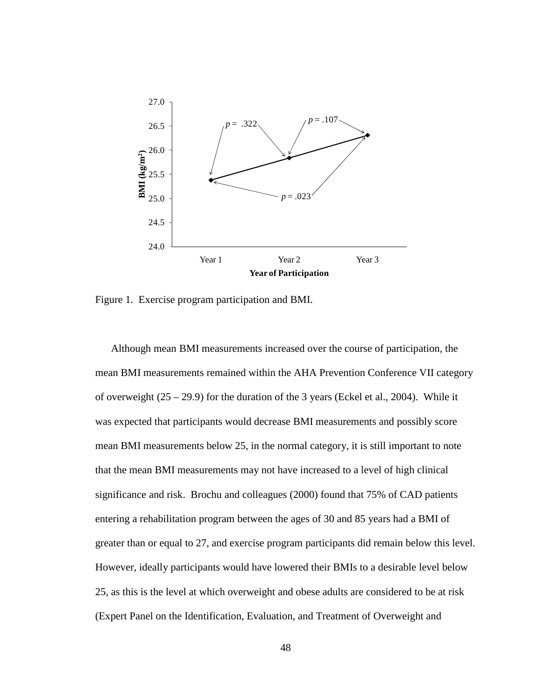

Figure 1. Exercise program participation and BMI.

Although mean BMI measurements increased over the course of participation, the mean BMI measurements remained within the AHA Prevention Conference VII category of overweight (25 – 29.9) for the duration of the 3 years (Eckel et al., 2004). While it was expected that participants would decrease BMI measurements and possibly score mean BMI measurements below 25, in the normal category, it is still important to note that the mean BMI measurements may not have increased to a level of high clinical significance and risk. Brochu and colleagues (2000) found that 75% of CAD patients entering a rehabilitation program between the ages of 30 and 85 years had a BMI of greater than or equal to 27, and exercise program participants did remain below this level. However, ideally participants would have lowered their BMIs to a desirable level below 25, as this is the level at which overweight and obese adults are considered to be at risk (Expert Panel on the Identification, Evaluation, and Treatment of Overweight and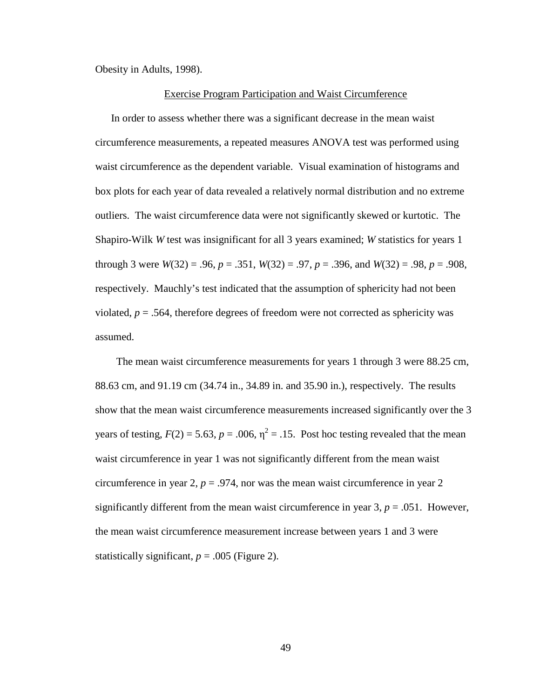Obesity in Adults, 1998).

#### Exercise Program Participation and Waist Circumference

In order to assess whether there was a significant decrease in the mean waist circumference measurements, a repeated measures ANOVA test was performed using waist circumference as the dependent variable. Visual examination of histograms and box plots for each year of data revealed a relatively normal distribution and no extreme outliers. The waist circumference data were not significantly skewed or kurtotic. The Shapiro-Wilk *W* test was insignificant for all 3 years examined; *W* statistics for years 1 through 3 were  $W(32) = .96$ ,  $p = .351$ ,  $W(32) = .97$ ,  $p = .396$ , and  $W(32) = .98$ ,  $p = .908$ , respectively. Mauchly's test indicated that the assumption of sphericity had not been violated,  $p = .564$ , therefore degrees of freedom were not corrected as sphericity was assumed.

 The mean waist circumference measurements for years 1 through 3 were 88.25 cm, 88.63 cm, and 91.19 cm (34.74 in., 34.89 in. and 35.90 in.), respectively. The results show that the mean waist circumference measurements increased significantly over the 3 years of testing,  $F(2) = 5.63$ ,  $p = .006$ ,  $\eta^2 = .15$ . Post hoc testing revealed that the mean waist circumference in year 1 was not significantly different from the mean waist circumference in year 2,  $p = 0.974$ , nor was the mean waist circumference in year 2 significantly different from the mean waist circumference in year  $3, p = .051$ . However, the mean waist circumference measurement increase between years 1 and 3 were statistically significant,  $p = .005$  (Figure 2).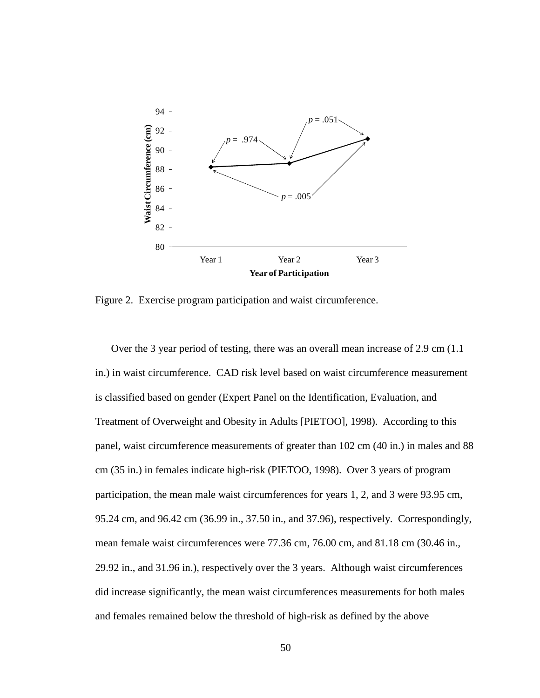

Figure 2. Exercise program participation and waist circumference.

Over the 3 year period of testing, there was an overall mean increase of 2.9 cm (1.1 in.) in waist circumference. CAD risk level based on waist circumference measurement is classified based on gender (Expert Panel on the Identification, Evaluation, and Treatment of Overweight and Obesity in Adults [PIETOO], 1998). According to this panel, waist circumference measurements of greater than 102 cm (40 in.) in males and 88 cm (35 in.) in females indicate high-risk (PIETOO, 1998). Over 3 years of program participation, the mean male waist circumferences for years 1, 2, and 3 were 93.95 cm, 95.24 cm, and 96.42 cm (36.99 in., 37.50 in., and 37.96), respectively. Correspondingly, mean female waist circumferences were 77.36 cm, 76.00 cm, and 81.18 cm (30.46 in., 29.92 in., and 31.96 in.), respectively over the 3 years. Although waist circumferences did increase significantly, the mean waist circumferences measurements for both males and females remained below the threshold of high-risk as defined by the above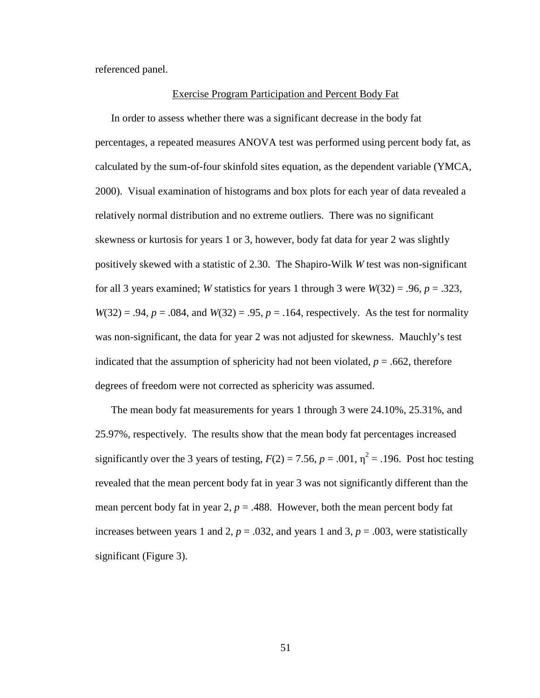referenced panel.

#### Exercise Program Participation and Percent Body Fat

In order to assess whether there was a significant decrease in the body fat percentages, a repeated measures ANOVA test was performed using percent body fat, as calculated by the sum-of-four skinfold sites equation, as the dependent variable (YMCA, 2000). Visual examination of histograms and box plots for each year of data revealed a relatively normal distribution and no extreme outliers. There was no significant skewness or kurtosis for years 1 or 3, however, body fat data for year 2 was slightly positively skewed with a statistic of 2.30. The Shapiro-Wilk *W* test was non-significant for all 3 years examined; *W* statistics for years 1 through 3 were  $W(32) = .96$ ,  $p = .323$ ,  $W(32) = .94$ ,  $p = .084$ , and  $W(32) = .95$ ,  $p = .164$ , respectively. As the test for normality was non-significant, the data for year 2 was not adjusted for skewness. Mauchly's test indicated that the assumption of sphericity had not been violated,  $p = .662$ , therefore degrees of freedom were not corrected as sphericity was assumed.

The mean body fat measurements for years 1 through 3 were 24.10%, 25.31%, and 25.97%, respectively. The results show that the mean body fat percentages increased significantly over the 3 years of testing,  $F(2) = 7.56$ ,  $p = .001$ ,  $\eta^2 = .196$ . Post hoc testing revealed that the mean percent body fat in year 3 was not significantly different than the mean percent body fat in year  $2$ ,  $p = .488$ . However, both the mean percent body fat increases between years 1 and 2,  $p = .032$ , and years 1 and 3,  $p = .003$ , were statistically significant (Figure 3).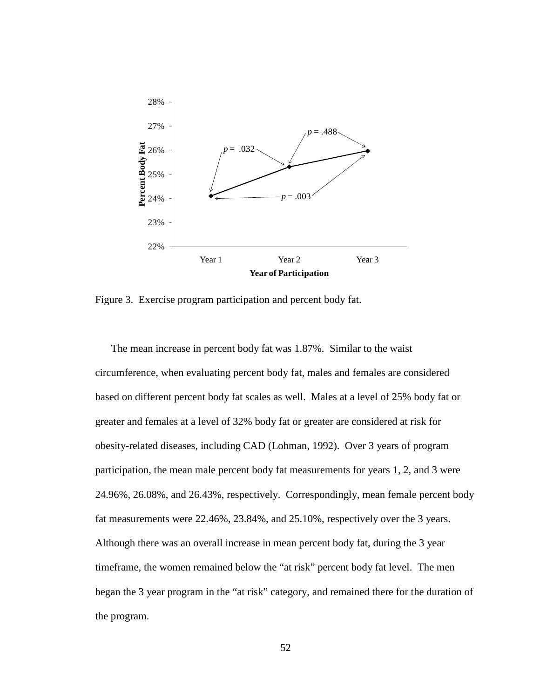

Figure 3. Exercise program participation and percent body fat.

The mean increase in percent body fat was 1.87%. Similar to the waist circumference, when evaluating percent body fat, males and females are considered based on different percent body fat scales as well. Males at a level of 25% body fat or greater and females at a level of 32% body fat or greater are considered at risk for obesity-related diseases, including CAD (Lohman, 1992). Over 3 years of program participation, the mean male percent body fat measurements for years 1, 2, and 3 were 24.96%, 26.08%, and 26.43%, respectively. Correspondingly, mean female percent body fat measurements were 22.46%, 23.84%, and 25.10%, respectively over the 3 years. Although there was an overall increase in mean percent body fat, during the 3 year timeframe, the women remained below the "at risk" percent body fat level. The men began the 3 year program in the "at risk" category, and remained there for the duration of the program.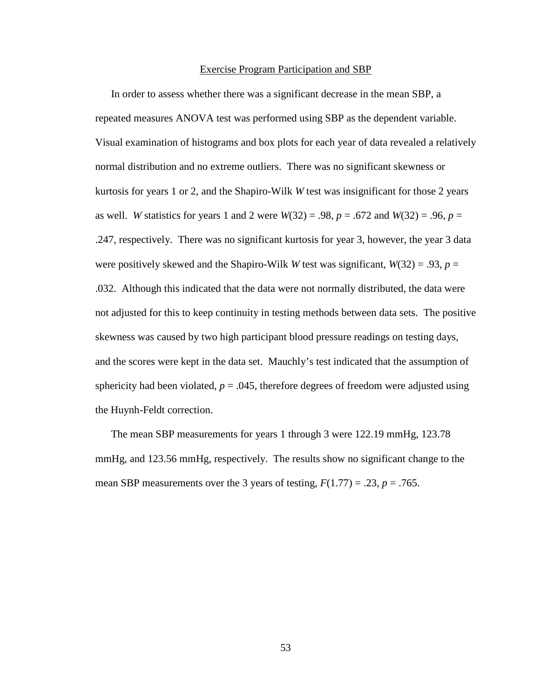#### Exercise Program Participation and SBP

In order to assess whether there was a significant decrease in the mean SBP, a repeated measures ANOVA test was performed using SBP as the dependent variable. Visual examination of histograms and box plots for each year of data revealed a relatively normal distribution and no extreme outliers. There was no significant skewness or kurtosis for years 1 or 2, and the Shapiro-Wilk *W* test was insignificant for those 2 years as well. *W* statistics for years 1 and 2 were  $W(32) = .98$ ,  $p = .672$  and  $W(32) = .96$ ,  $p =$ .247, respectively. There was no significant kurtosis for year 3, however, the year 3 data were positively skewed and the Shapiro-Wilk *W* test was significant,  $W(32) = .93$ ,  $p =$ .032. Although this indicated that the data were not normally distributed, the data were not adjusted for this to keep continuity in testing methods between data sets. The positive skewness was caused by two high participant blood pressure readings on testing days, and the scores were kept in the data set. Mauchly's test indicated that the assumption of sphericity had been violated,  $p = .045$ , therefore degrees of freedom were adjusted using the Huynh-Feldt correction.

The mean SBP measurements for years 1 through 3 were 122.19 mmHg, 123.78 mmHg, and 123.56 mmHg, respectively. The results show no significant change to the mean SBP measurements over the 3 years of testing,  $F(1.77) = .23$ ,  $p = .765$ .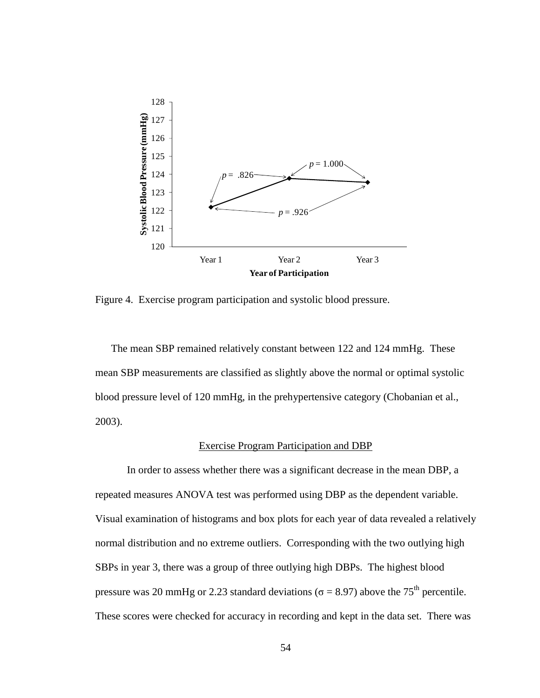

Figure 4. Exercise program participation and systolic blood pressure.

The mean SBP remained relatively constant between 122 and 124 mmHg. These mean SBP measurements are classified as slightly above the normal or optimal systolic blood pressure level of 120 mmHg, in the prehypertensive category (Chobanian et al., 2003).

## Exercise Program Participation and DBP

 In order to assess whether there was a significant decrease in the mean DBP, a repeated measures ANOVA test was performed using DBP as the dependent variable. Visual examination of histograms and box plots for each year of data revealed a relatively normal distribution and no extreme outliers. Corresponding with the two outlying high SBPs in year 3, there was a group of three outlying high DBPs. The highest blood pressure was 20 mmHg or 2.23 standard deviations ( $\sigma$  = 8.97) above the 75<sup>th</sup> percentile. These scores were checked for accuracy in recording and kept in the data set. There was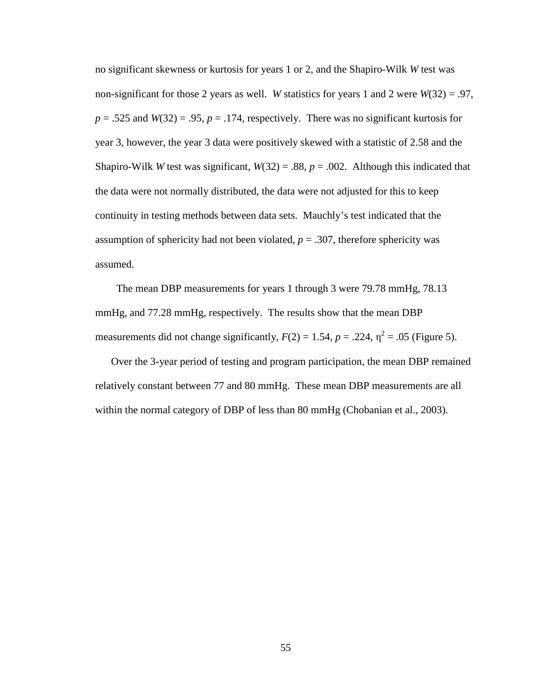no significant skewness or kurtosis for years 1 or 2, and the Shapiro-Wilk *W* test was non-significant for those 2 years as well. *W* statistics for years 1 and 2 were *W*(32) = .97,  $p = .525$  and  $W(32) = .95$ ,  $p = .174$ , respectively. There was no significant kurtosis for year 3, however, the year 3 data were positively skewed with a statistic of 2.58 and the Shapiro-Wilk *W* test was significant,  $W(32) = .88$ ,  $p = .002$ . Although this indicated that the data were not normally distributed, the data were not adjusted for this to keep continuity in testing methods between data sets. Mauchly's test indicated that the assumption of sphericity had not been violated,  $p = .307$ , therefore sphericity was assumed.

 The mean DBP measurements for years 1 through 3 were 79.78 mmHg, 78.13 mmHg, and 77.28 mmHg, respectively. The results show that the mean DBP measurements did not change significantly,  $F(2) = 1.54$ ,  $p = .224$ ,  $\eta^2 = .05$  (Figure 5).

Over the 3-year period of testing and program participation, the mean DBP remained relatively constant between 77 and 80 mmHg. These mean DBP measurements are all within the normal category of DBP of less than 80 mmHg (Chobanian et al., 2003).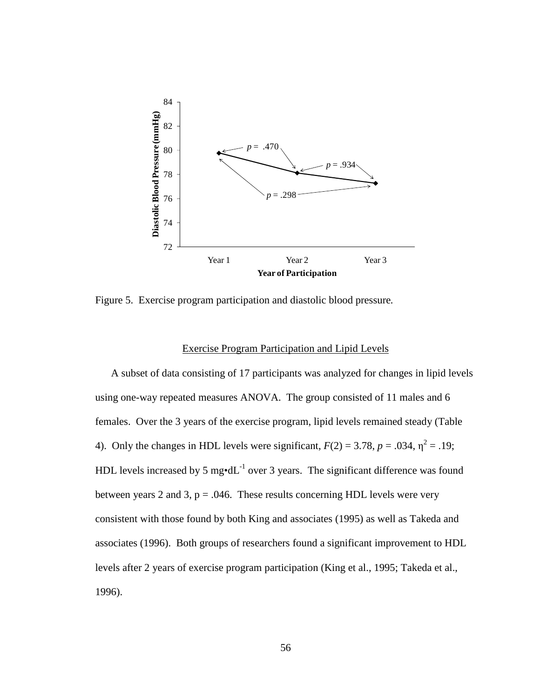

Figure 5. Exercise program participation and diastolic blood pressure*.*

## Exercise Program Participation and Lipid Levels

 A subset of data consisting of 17 participants was analyzed for changes in lipid levels using one-way repeated measures ANOVA. The group consisted of 11 males and 6 females. Over the 3 years of the exercise program, lipid levels remained steady (Table 4). Only the changes in HDL levels were significant,  $F(2) = 3.78$ ,  $p = .034$ ,  $\eta^2 = .19$ ; HDL levels increased by 5 mg $\cdot dL^{-1}$  over 3 years. The significant difference was found between years 2 and 3,  $p = .046$ . These results concerning HDL levels were very consistent with those found by both King and associates (1995) as well as Takeda and associates (1996). Both groups of researchers found a significant improvement to HDL levels after 2 years of exercise program participation (King et al., 1995; Takeda et al., 1996).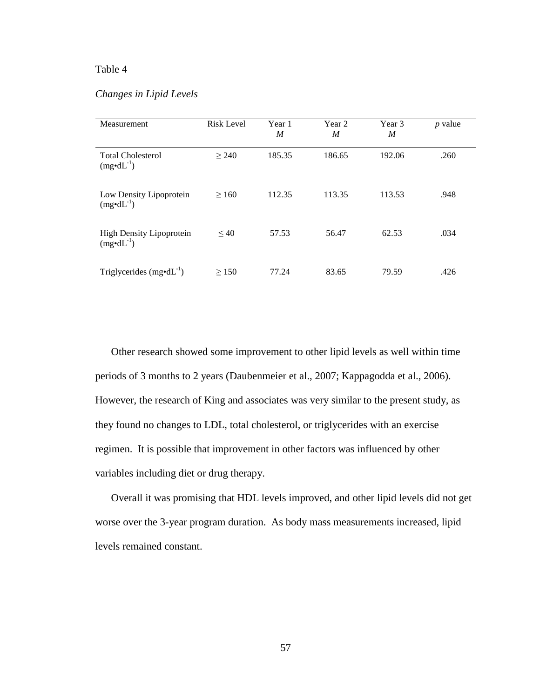## Table 4

# *Changes in Lipid Levels*

| Measurement                                             | <b>Risk Level</b> | Year 1<br>$\boldsymbol{M}$ | Year 2<br>$\boldsymbol{M}$ | Year 3<br>M | $p$ value |
|---------------------------------------------------------|-------------------|----------------------------|----------------------------|-------------|-----------|
| <b>Total Cholesterol</b><br>$(mg \cdot dL^{-1})$        | $\geq$ 240        | 185.35                     | 186.65                     | 192.06      | .260      |
| Low Density Lipoprotein<br>$(mg \cdot dL^{-1})$         | $\geq 160$        | 112.35                     | 113.35                     | 113.53      | .948      |
| <b>High Density Lipoprotein</b><br>$(mg \cdot dL^{-1})$ | $\leq 40$         | 57.53                      | 56.47                      | 62.53       | .034      |
| Triglycerides $(mg \cdot dL^{-1})$                      | > 150             | 77.24                      | 83.65                      | 79.59       | .426      |

Other research showed some improvement to other lipid levels as well within time periods of 3 months to 2 years (Daubenmeier et al., 2007; Kappagodda et al., 2006). However, the research of King and associates was very similar to the present study, as they found no changes to LDL, total cholesterol, or triglycerides with an exercise regimen. It is possible that improvement in other factors was influenced by other variables including diet or drug therapy.

 Overall it was promising that HDL levels improved, and other lipid levels did not get worse over the 3-year program duration. As body mass measurements increased, lipid levels remained constant.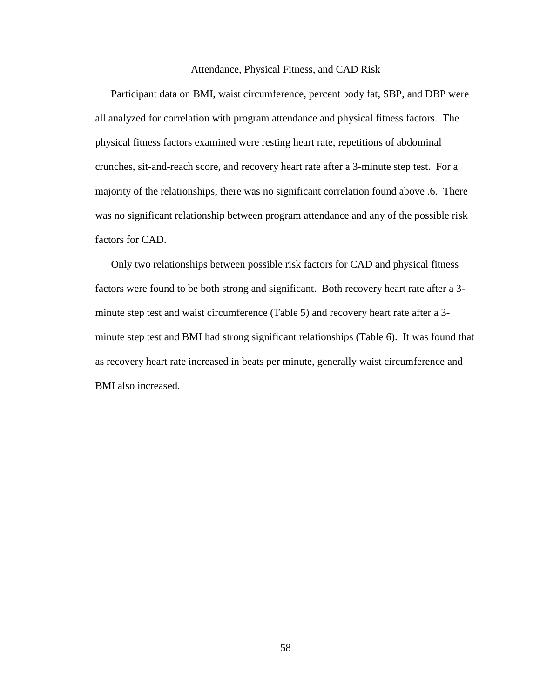#### Attendance, Physical Fitness, and CAD Risk

Participant data on BMI, waist circumference, percent body fat, SBP, and DBP were all analyzed for correlation with program attendance and physical fitness factors. The physical fitness factors examined were resting heart rate, repetitions of abdominal crunches, sit-and-reach score, and recovery heart rate after a 3-minute step test. For a majority of the relationships, there was no significant correlation found above .6. There was no significant relationship between program attendance and any of the possible risk factors for CAD.

Only two relationships between possible risk factors for CAD and physical fitness factors were found to be both strong and significant. Both recovery heart rate after a 3 minute step test and waist circumference (Table 5) and recovery heart rate after a 3 minute step test and BMI had strong significant relationships (Table 6). It was found that as recovery heart rate increased in beats per minute, generally waist circumference and BMI also increased.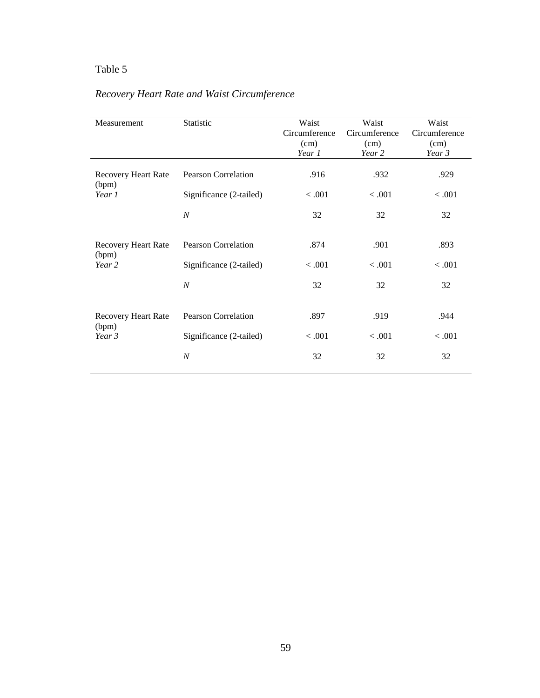# Table 5

# *Recovery Heart Rate and Waist Circumference*

| Measurement                                   | Statistic                  | Waist<br>Circumference<br>(cm)<br>Year 1 | Waist<br>Circumference<br>(cm)<br>Year 2 | Waist<br>Circumference<br>(cm)<br>Year 3 |
|-----------------------------------------------|----------------------------|------------------------------------------|------------------------------------------|------------------------------------------|
| Recovery Heart Rate                           | <b>Pearson Correlation</b> | .916                                     | .932                                     | .929                                     |
| (bpm)<br>Year 1                               | Significance (2-tailed)    | < .001                                   | < .001                                   | < .001                                   |
|                                               | $\boldsymbol{N}$           | 32                                       | 32                                       | 32                                       |
| Recovery Heart Rate<br>(bpm)<br>Year 2        | <b>Pearson Correlation</b> | .874                                     | .901                                     | .893                                     |
|                                               | Significance (2-tailed)    | < 0.001                                  | < 0.001                                  | < 0.001                                  |
|                                               | $\boldsymbol{N}$           | 32                                       | 32                                       | 32                                       |
| <b>Recovery Heart Rate</b><br>(bpm)<br>Year 3 | <b>Pearson Correlation</b> | .897                                     | .919                                     | .944                                     |
|                                               | Significance (2-tailed)    | < 0.001                                  | < 0.001                                  | < 0.001                                  |
|                                               | $\boldsymbol{N}$           | 32                                       | 32                                       | 32                                       |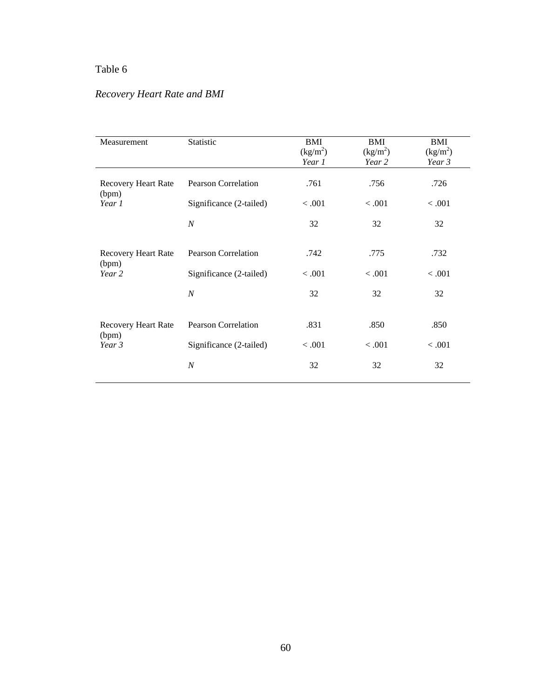# Table 6

# *Recovery Heart Rate and BMI*

| Measurement                                   | Statistic                  | BMI<br>$(kg/m^2)$<br>Year 1 | BMI<br>$(kg/m^2)$<br>Year 2 | BMI<br>(kg/m <sup>2</sup> )<br>Year 3 |
|-----------------------------------------------|----------------------------|-----------------------------|-----------------------------|---------------------------------------|
| <b>Recovery Heart Rate</b><br>(bpm)           | <b>Pearson Correlation</b> | .761                        | .756                        | .726                                  |
| Year 1                                        | Significance (2-tailed)    | < 0.001                     | < .001                      | < 0.001                               |
|                                               | $\boldsymbol{N}$           | 32                          | 32                          | 32                                    |
| <b>Recovery Heart Rate</b><br>(bpm)<br>Year 2 | <b>Pearson Correlation</b> | .742                        | .775                        | .732                                  |
|                                               | Significance (2-tailed)    | < 0.001                     | < 0.001                     | < 0.001                               |
|                                               | $\boldsymbol{N}$           | 32                          | 32                          | 32                                    |
| <b>Recovery Heart Rate</b><br>(bpm)<br>Year 3 | <b>Pearson Correlation</b> | .831                        | .850                        | .850                                  |
|                                               | Significance (2-tailed)    | < 0.001                     | < 0.001                     | < 0.001                               |
|                                               | $\boldsymbol{N}$           | 32                          | 32                          | 32                                    |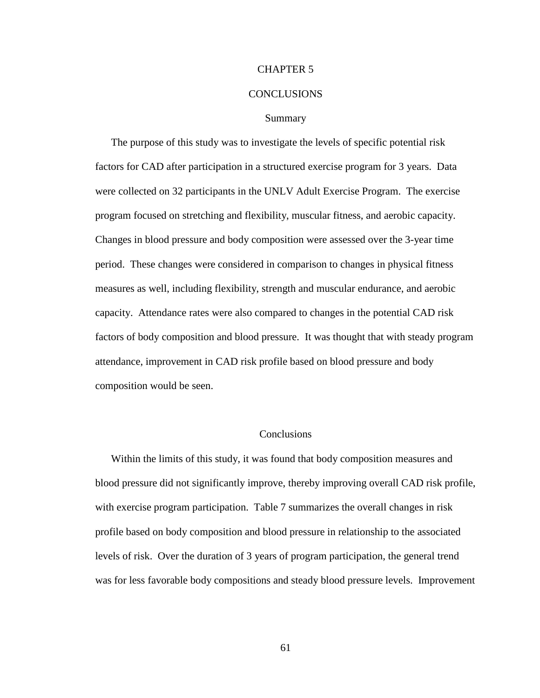#### CHAPTER 5

#### CONCLUSIONS

#### Summary

The purpose of this study was to investigate the levels of specific potential risk factors for CAD after participation in a structured exercise program for 3 years. Data were collected on 32 participants in the UNLV Adult Exercise Program. The exercise program focused on stretching and flexibility, muscular fitness, and aerobic capacity. Changes in blood pressure and body composition were assessed over the 3-year time period. These changes were considered in comparison to changes in physical fitness measures as well, including flexibility, strength and muscular endurance, and aerobic capacity. Attendance rates were also compared to changes in the potential CAD risk factors of body composition and blood pressure. It was thought that with steady program attendance, improvement in CAD risk profile based on blood pressure and body composition would be seen.

## **Conclusions**

Within the limits of this study, it was found that body composition measures and blood pressure did not significantly improve, thereby improving overall CAD risk profile, with exercise program participation. Table 7 summarizes the overall changes in risk profile based on body composition and blood pressure in relationship to the associated levels of risk. Over the duration of 3 years of program participation, the general trend was for less favorable body compositions and steady blood pressure levels. Improvement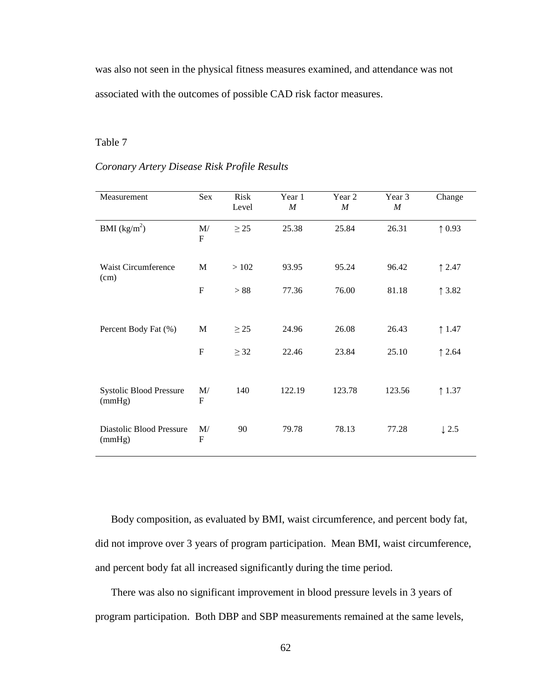was also not seen in the physical fitness measures examined, and attendance was not associated with the outcomes of possible CAD risk factor measures.

## Table 7

## *Coronary Artery Disease Risk Profile Results*

| Measurement                              | Sex                | <b>Risk</b><br>Level | Year 1<br>$\boldsymbol{M}$ | Year 2<br>$\boldsymbol{M}$ | Year 3<br>$\cal M$ | Change           |
|------------------------------------------|--------------------|----------------------|----------------------------|----------------------------|--------------------|------------------|
| BMI $(kg/m^2)$                           | M/<br>$\mathbf{F}$ | $\geq$ 25            | 25.38                      | 25.84                      | 26.31              | $\uparrow$ 0.93  |
| <b>Waist Circumference</b><br>(cm)       | M                  | >102                 | 93.95                      | 95.24                      | 96.42              | 12.47            |
|                                          | $\mathbf F$        | > 88                 | 77.36                      | 76.00                      | 81.18              | 13.82            |
| Percent Body Fat (%)                     | M                  | $\geq$ 25            | 24.96                      | 26.08                      | 26.43              | $\uparrow$ 1.47  |
|                                          | $\mathbf{F}$       | $\geq$ 32            | 22.46                      | 23.84                      | 25.10              | $\uparrow$ 2.64  |
| <b>Systolic Blood Pressure</b><br>(mmHg) | M/<br>$\mathbf F$  | 140                  | 122.19                     | 123.78                     | 123.56             | $\uparrow$ 1.37  |
| Diastolic Blood Pressure<br>(mmHg)       | M/<br>$\mathbf{F}$ | 90                   | 79.78                      | 78.13                      | 77.28              | $\downarrow$ 2.5 |

Body composition, as evaluated by BMI, waist circumference, and percent body fat, did not improve over 3 years of program participation. Mean BMI, waist circumference, and percent body fat all increased significantly during the time period.

There was also no significant improvement in blood pressure levels in 3 years of program participation. Both DBP and SBP measurements remained at the same levels,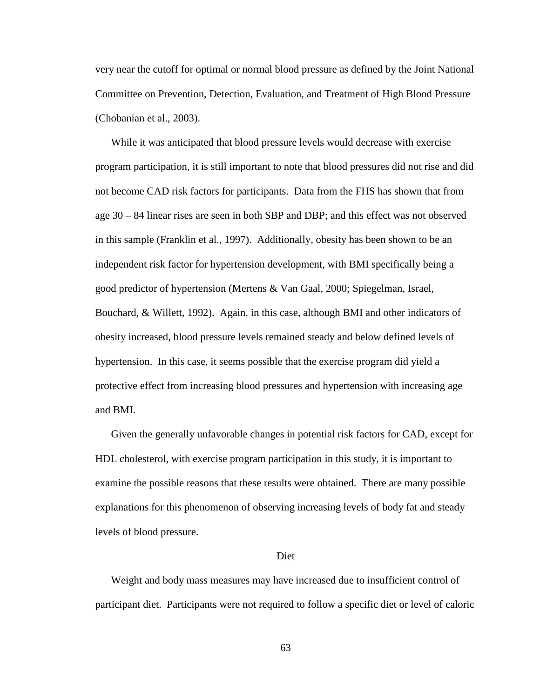very near the cutoff for optimal or normal blood pressure as defined by the Joint National Committee on Prevention, Detection, Evaluation, and Treatment of High Blood Pressure (Chobanian et al., 2003).

While it was anticipated that blood pressure levels would decrease with exercise program participation, it is still important to note that blood pressures did not rise and did not become CAD risk factors for participants. Data from the FHS has shown that from age 30 – 84 linear rises are seen in both SBP and DBP; and this effect was not observed in this sample (Franklin et al., 1997). Additionally, obesity has been shown to be an independent risk factor for hypertension development, with BMI specifically being a good predictor of hypertension (Mertens & Van Gaal, 2000; Spiegelman, Israel, Bouchard, & Willett, 1992). Again, in this case, although BMI and other indicators of obesity increased, blood pressure levels remained steady and below defined levels of hypertension. In this case, it seems possible that the exercise program did yield a protective effect from increasing blood pressures and hypertension with increasing age and BMI.

Given the generally unfavorable changes in potential risk factors for CAD, except for HDL cholesterol, with exercise program participation in this study, it is important to examine the possible reasons that these results were obtained. There are many possible explanations for this phenomenon of observing increasing levels of body fat and steady levels of blood pressure.

#### Diet

Weight and body mass measures may have increased due to insufficient control of participant diet. Participants were not required to follow a specific diet or level of caloric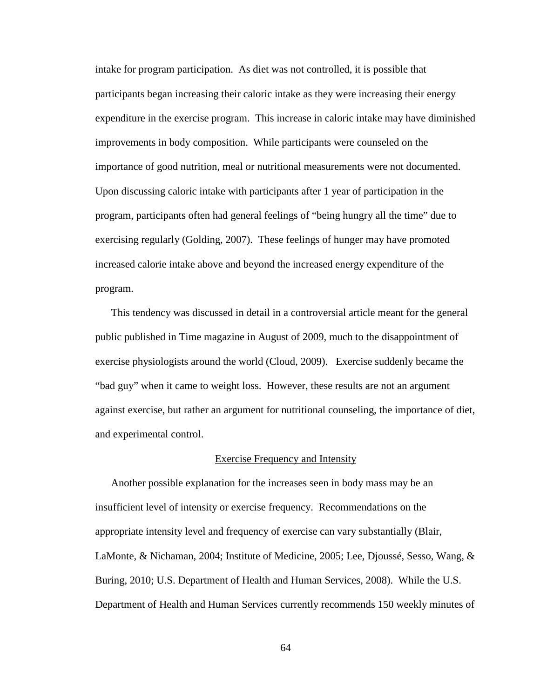intake for program participation. As diet was not controlled, it is possible that participants began increasing their caloric intake as they were increasing their energy expenditure in the exercise program. This increase in caloric intake may have diminished improvements in body composition. While participants were counseled on the importance of good nutrition, meal or nutritional measurements were not documented. Upon discussing caloric intake with participants after 1 year of participation in the program, participants often had general feelings of "being hungry all the time" due to exercising regularly (Golding, 2007). These feelings of hunger may have promoted increased calorie intake above and beyond the increased energy expenditure of the program.

This tendency was discussed in detail in a controversial article meant for the general public published in Time magazine in August of 2009, much to the disappointment of exercise physiologists around the world (Cloud, 2009). Exercise suddenly became the "bad guy" when it came to weight loss. However, these results are not an argument against exercise, but rather an argument for nutritional counseling, the importance of diet, and experimental control.

#### Exercise Frequency and Intensity

Another possible explanation for the increases seen in body mass may be an insufficient level of intensity or exercise frequency. Recommendations on the appropriate intensity level and frequency of exercise can vary substantially (Blair, LaMonte, & Nichaman, 2004; Institute of Medicine, 2005; Lee, Djoussé, Sesso, Wang, & Buring, 2010; U.S. Department of Health and Human Services, 2008). While the U.S. Department of Health and Human Services currently recommends 150 weekly minutes of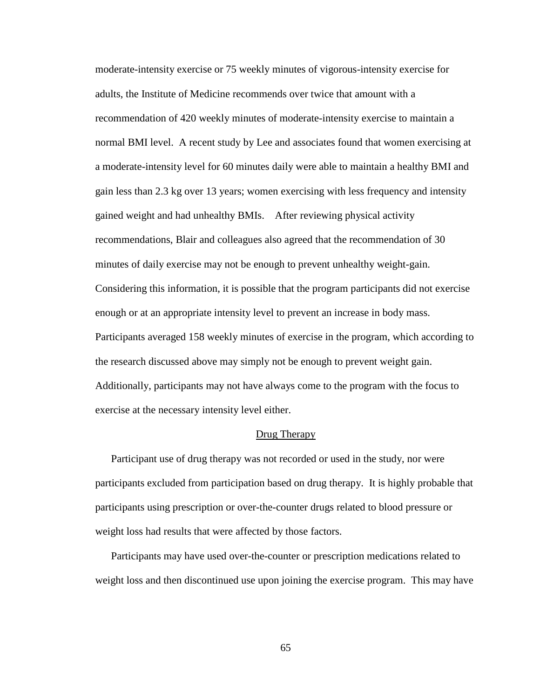moderate-intensity exercise or 75 weekly minutes of vigorous-intensity exercise for adults, the Institute of Medicine recommends over twice that amount with a recommendation of 420 weekly minutes of moderate-intensity exercise to maintain a normal BMI level. A recent study by Lee and associates found that women exercising at a moderate-intensity level for 60 minutes daily were able to maintain a healthy BMI and gain less than 2.3 kg over 13 years; women exercising with less frequency and intensity gained weight and had unhealthy BMIs. After reviewing physical activity recommendations, Blair and colleagues also agreed that the recommendation of 30 minutes of daily exercise may not be enough to prevent unhealthy weight-gain. Considering this information, it is possible that the program participants did not exercise enough or at an appropriate intensity level to prevent an increase in body mass. Participants averaged 158 weekly minutes of exercise in the program, which according to the research discussed above may simply not be enough to prevent weight gain. Additionally, participants may not have always come to the program with the focus to exercise at the necessary intensity level either.

### Drug Therapy

 Participant use of drug therapy was not recorded or used in the study, nor were participants excluded from participation based on drug therapy. It is highly probable that participants using prescription or over-the-counter drugs related to blood pressure or weight loss had results that were affected by those factors.

 Participants may have used over-the-counter or prescription medications related to weight loss and then discontinued use upon joining the exercise program. This may have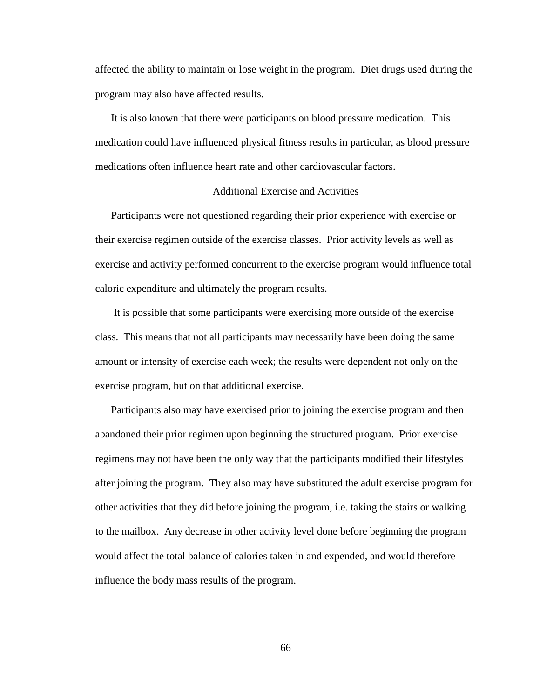affected the ability to maintain or lose weight in the program. Diet drugs used during the program may also have affected results.

 It is also known that there were participants on blood pressure medication. This medication could have influenced physical fitness results in particular, as blood pressure medications often influence heart rate and other cardiovascular factors.

#### Additional Exercise and Activities

Participants were not questioned regarding their prior experience with exercise or their exercise regimen outside of the exercise classes. Prior activity levels as well as exercise and activity performed concurrent to the exercise program would influence total caloric expenditure and ultimately the program results.

 It is possible that some participants were exercising more outside of the exercise class. This means that not all participants may necessarily have been doing the same amount or intensity of exercise each week; the results were dependent not only on the exercise program, but on that additional exercise.

Participants also may have exercised prior to joining the exercise program and then abandoned their prior regimen upon beginning the structured program. Prior exercise regimens may not have been the only way that the participants modified their lifestyles after joining the program. They also may have substituted the adult exercise program for other activities that they did before joining the program, i.e. taking the stairs or walking to the mailbox. Any decrease in other activity level done before beginning the program would affect the total balance of calories taken in and expended, and would therefore influence the body mass results of the program.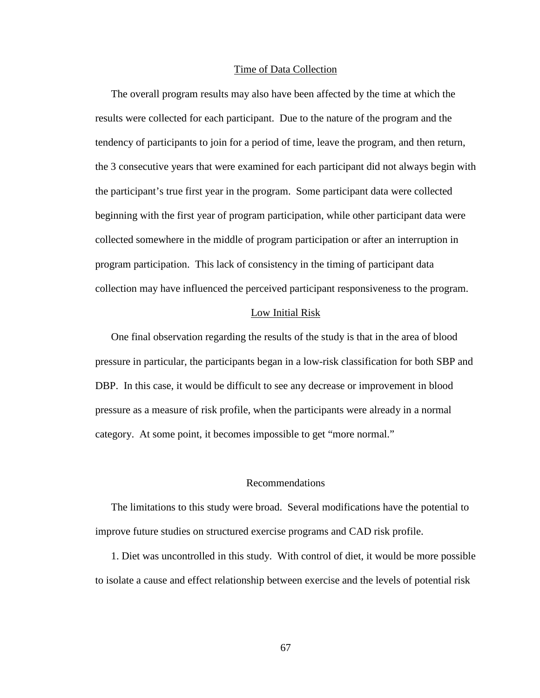#### Time of Data Collection

 The overall program results may also have been affected by the time at which the results were collected for each participant. Due to the nature of the program and the tendency of participants to join for a period of time, leave the program, and then return, the 3 consecutive years that were examined for each participant did not always begin with the participant's true first year in the program. Some participant data were collected beginning with the first year of program participation, while other participant data were collected somewhere in the middle of program participation or after an interruption in program participation. This lack of consistency in the timing of participant data collection may have influenced the perceived participant responsiveness to the program.

#### Low Initial Risk

 One final observation regarding the results of the study is that in the area of blood pressure in particular, the participants began in a low-risk classification for both SBP and DBP. In this case, it would be difficult to see any decrease or improvement in blood pressure as a measure of risk profile, when the participants were already in a normal category. At some point, it becomes impossible to get "more normal."

### Recommendations

The limitations to this study were broad. Several modifications have the potential to improve future studies on structured exercise programs and CAD risk profile.

1. Diet was uncontrolled in this study. With control of diet, it would be more possible to isolate a cause and effect relationship between exercise and the levels of potential risk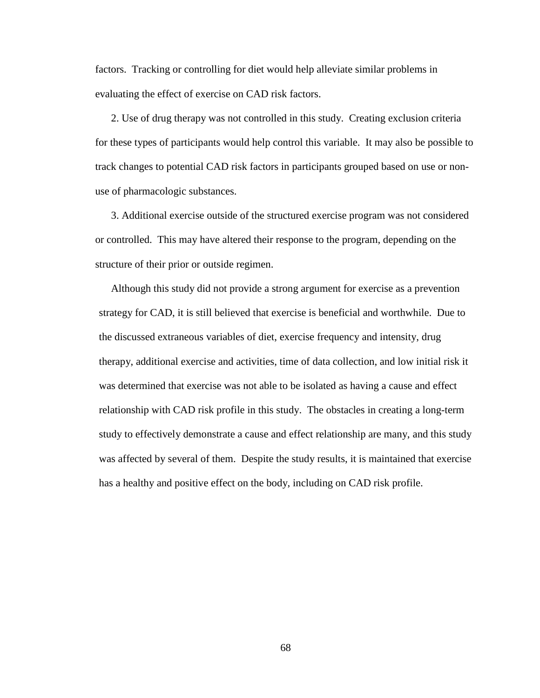factors. Tracking or controlling for diet would help alleviate similar problems in evaluating the effect of exercise on CAD risk factors.

2. Use of drug therapy was not controlled in this study. Creating exclusion criteria for these types of participants would help control this variable. It may also be possible to track changes to potential CAD risk factors in participants grouped based on use or nonuse of pharmacologic substances.

3. Additional exercise outside of the structured exercise program was not considered or controlled. This may have altered their response to the program, depending on the structure of their prior or outside regimen.

Although this study did not provide a strong argument for exercise as a prevention strategy for CAD, it is still believed that exercise is beneficial and worthwhile. Due to the discussed extraneous variables of diet, exercise frequency and intensity, drug therapy, additional exercise and activities, time of data collection, and low initial risk it was determined that exercise was not able to be isolated as having a cause and effect relationship with CAD risk profile in this study. The obstacles in creating a long-term study to effectively demonstrate a cause and effect relationship are many, and this study was affected by several of them. Despite the study results, it is maintained that exercise has a healthy and positive effect on the body, including on CAD risk profile.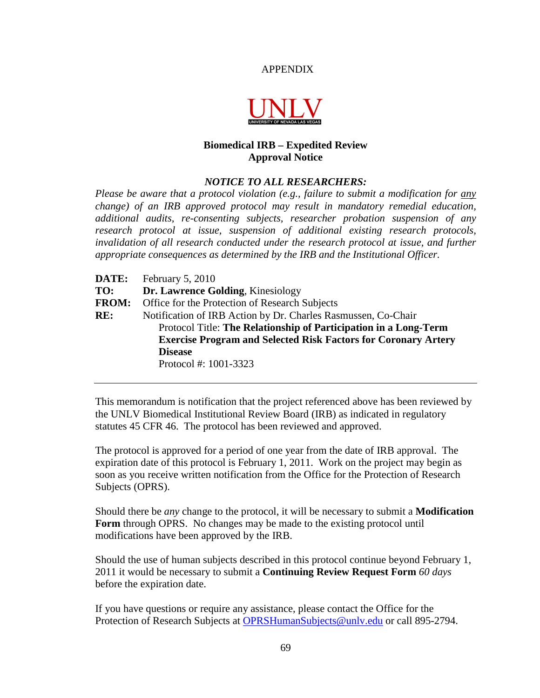## APPENDIX



# **Biomedical IRB – Expedited Review Approval Notice**

## *NOTICE TO ALL RESEARCHERS:*

*Please be aware that a protocol violation (e.g., failure to submit a modification for any change) of an IRB approved protocol may result in mandatory remedial education, additional audits, re-consenting subjects, researcher probation suspension of any research protocol at issue, suspension of additional existing research protocols, invalidation of all research conducted under the research protocol at issue, and further appropriate consequences as determined by the IRB and the Institutional Officer.*

**DATE:** February 5, 2010 **TO: Dr. Lawrence Golding**, Kinesiology **FROM:** Office for the Protection of Research Subjects **RE:** Notification of IRB Action by Dr. Charles Rasmussen, Co-Chair Protocol Title: **The Relationship of Participation in a Long-Term Exercise Program and Selected Risk Factors for Coronary Artery Disease**  Protocol #: 1001-3323

This memorandum is notification that the project referenced above has been reviewed by the UNLV Biomedical Institutional Review Board (IRB) as indicated in regulatory statutes 45 CFR 46. The protocol has been reviewed and approved.

The protocol is approved for a period of one year from the date of IRB approval. The expiration date of this protocol is February 1, 2011. Work on the project may begin as soon as you receive written notification from the Office for the Protection of Research Subjects (OPRS).

Should there be *any* change to the protocol, it will be necessary to submit a **Modification Form** through OPRS. No changes may be made to the existing protocol until modifications have been approved by the IRB.

Should the use of human subjects described in this protocol continue beyond February 1, 2011 it would be necessary to submit a **Continuing Review Request Form** *60 days* before the expiration date.

If you have questions or require any assistance, please contact the Office for the Protection of Research Subjects at OPRSHumanSubjects@unly.edu or call 895-2794.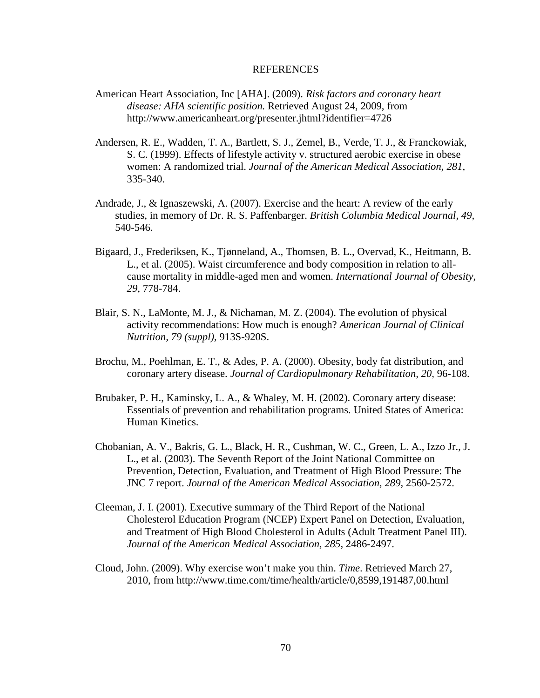### REFERENCES

- American Heart Association, Inc [AHA]. (2009). *Risk factors and coronary heart disease: AHA scientific position.* Retrieved August 24, 2009, from http://www.americanheart.org/presenter.jhtml?identifier=4726
- Andersen, R. E., Wadden, T. A., Bartlett, S. J., Zemel, B., Verde, T. J., & Franckowiak, S. C. (1999). Effects of lifestyle activity v. structured aerobic exercise in obese women: A randomized trial. *Journal of the American Medical Association, 281,* 335-340.
- Andrade, J., & Ignaszewski, A. (2007). Exercise and the heart: A review of the early studies, in memory of Dr. R. S. Paffenbarger. *British Columbia Medical Journal, 49,* 540-546.
- Bigaard, J., Frederiksen, K., Tjønneland, A., Thomsen, B. L., Overvad, K., Heitmann, B. L., et al. (2005). Waist circumference and body composition in relation to allcause mortality in middle-aged men and women. *International Journal of Obesity, 29,* 778-784.
- Blair, S. N., LaMonte, M. J., & Nichaman, M. Z. (2004). The evolution of physical activity recommendations: How much is enough? *American Journal of Clinical Nutrition, 79 (suppl),* 913S-920S.
- Brochu, M., Poehlman, E. T., & Ades, P. A. (2000). Obesity, body fat distribution, and coronary artery disease. *Journal of Cardiopulmonary Rehabilitation, 20,* 96-108.
- Brubaker, P. H., Kaminsky, L. A., & Whaley, M. H. (2002). Coronary artery disease: Essentials of prevention and rehabilitation programs. United States of America: Human Kinetics.
- Chobanian, A. V., Bakris, G. L., Black, H. R., Cushman, W. C., Green, L. A., Izzo Jr., J. L., et al. (2003). The Seventh Report of the Joint National Committee on Prevention, Detection, Evaluation, and Treatment of High Blood Pressure: The JNC 7 report. *Journal of the American Medical Association, 289,* 2560-2572.
- Cleeman, J. I. (2001). Executive summary of the Third Report of the National Cholesterol Education Program (NCEP) Expert Panel on Detection, Evaluation, and Treatment of High Blood Cholesterol in Adults (Adult Treatment Panel III). *Journal of the American Medical Association, 285,* 2486-2497.
- Cloud, John. (2009). Why exercise won't make you thin. *Time*. Retrieved March 27, 2010, from http://www.time.com/time/health/article/0,8599,191487,00.html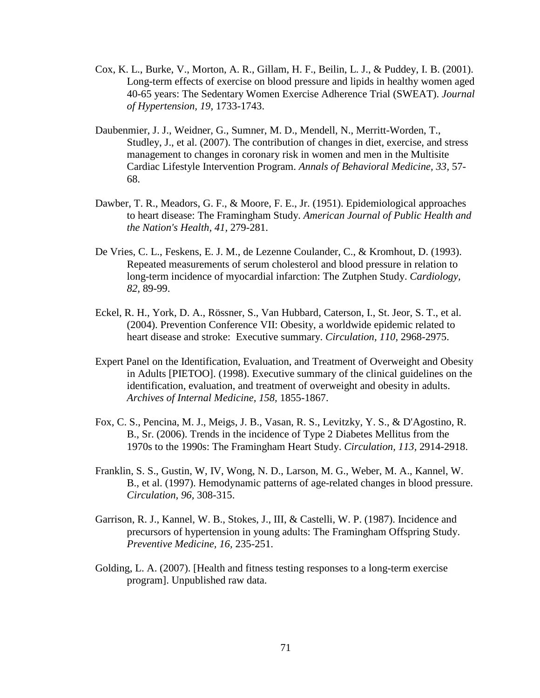- Cox, K. L., Burke, V., Morton, A. R., Gillam, H. F., Beilin, L. J., & Puddey, I. B. (2001). Long-term effects of exercise on blood pressure and lipids in healthy women aged 40-65 years: The Sedentary Women Exercise Adherence Trial (SWEAT). *Journal of Hypertension, 19,* 1733-1743.
- Daubenmier, J. J., Weidner, G., Sumner, M. D., Mendell, N., Merritt-Worden, T., Studley, J., et al. (2007). The contribution of changes in diet, exercise, and stress management to changes in coronary risk in women and men in the Multisite Cardiac Lifestyle Intervention Program. *Annals of Behavioral Medicine, 33,* 57- 68.
- Dawber, T. R., Meadors, G. F., & Moore, F. E., Jr. (1951). Epidemiological approaches to heart disease: The Framingham Study. *American Journal of Public Health and the Nation's Health, 41,* 279-281.
- De Vries, C. L., Feskens, E. J. M., de Lezenne Coulander, C., & Kromhout, D. (1993). Repeated measurements of serum cholesterol and blood pressure in relation to long-term incidence of myocardial infarction: The Zutphen Study. *Cardiology, 82,* 89-99.
- Eckel, R. H., York, D. A., Rössner, S., Van Hubbard, Caterson, I., St. Jeor, S. T., et al. (2004). Prevention Conference VII: Obesity, a worldwide epidemic related to heart disease and stroke: Executive summary. *Circulation, 110,* 2968-2975.
- Expert Panel on the Identification, Evaluation, and Treatment of Overweight and Obesity in Adults [PIETOO]. (1998). Executive summary of the clinical guidelines on the identification, evaluation, and treatment of overweight and obesity in adults. *Archives of Internal Medicine, 158,* 1855-1867.
- Fox, C. S., Pencina, M. J., Meigs, J. B., Vasan, R. S., Levitzky, Y. S., & D'Agostino, R. B., Sr. (2006). Trends in the incidence of Type 2 Diabetes Mellitus from the 1970s to the 1990s: The Framingham Heart Study. *Circulation, 113,* 2914-2918.
- Franklin, S. S., Gustin, W, IV, Wong, N. D., Larson, M. G., Weber, M. A., Kannel, W. B., et al. (1997). Hemodynamic patterns of age-related changes in blood pressure. *Circulation, 96,* 308-315.
- Garrison, R. J., Kannel, W. B., Stokes, J., III, & Castelli, W. P. (1987). Incidence and precursors of hypertension in young adults: The Framingham Offspring Study. *Preventive Medicine, 16,* 235-251.
- Golding, L. A. (2007). [Health and fitness testing responses to a long-term exercise program]. Unpublished raw data.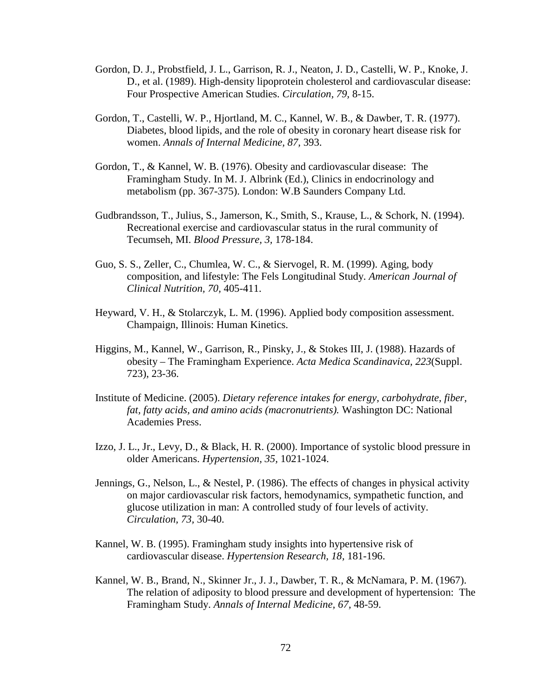- Gordon, D. J., Probstfield, J. L., Garrison, R. J., Neaton, J. D., Castelli, W. P., Knoke, J. D., et al. (1989). High-density lipoprotein cholesterol and cardiovascular disease: Four Prospective American Studies. *Circulation, 79,* 8-15.
- Gordon, T., Castelli, W. P., Hjortland, M. C., Kannel, W. B., & Dawber, T. R. (1977). Diabetes, blood lipids, and the role of obesity in coronary heart disease risk for women. *Annals of Internal Medicine, 87,* 393.
- Gordon, T., & Kannel, W. B. (1976). Obesity and cardiovascular disease: The Framingham Study. In M. J. Albrink (Ed.), Clinics in endocrinology and metabolism (pp. 367-375). London: W.B Saunders Company Ltd.
- Gudbrandsson, T., Julius, S., Jamerson, K., Smith, S., Krause, L., & Schork, N. (1994). Recreational exercise and cardiovascular status in the rural community of Tecumseh, MI. *Blood Pressure, 3,* 178-184.
- Guo, S. S., Zeller, C., Chumlea, W. C., & Siervogel, R. M. (1999). Aging, body composition, and lifestyle: The Fels Longitudinal Study. *American Journal of Clinical Nutrition, 70,* 405-411.
- Heyward, V. H., & Stolarczyk, L. M. (1996). Applied body composition assessment. Champaign, Illinois: Human Kinetics.
- Higgins, M., Kannel, W., Garrison, R., Pinsky, J., & Stokes III, J. (1988). Hazards of obesity – The Framingham Experience. *Acta Medica Scandinavica, 223*(Suppl. 723), 23-36.
- Institute of Medicine. (2005). *Dietary reference intakes for energy, carbohydrate, fiber, fat, fatty acids, and amino acids (macronutrients).* Washington DC: National Academies Press.
- Izzo, J. L., Jr., Levy, D., & Black, H. R. (2000). Importance of systolic blood pressure in older Americans. *Hypertension, 35,* 1021-1024.
- Jennings, G., Nelson, L., & Nestel, P. (1986). The effects of changes in physical activity on major cardiovascular risk factors, hemodynamics, sympathetic function, and glucose utilization in man: A controlled study of four levels of activity. *Circulation, 73,* 30-40.
- Kannel, W. B. (1995). Framingham study insights into hypertensive risk of cardiovascular disease. *Hypertension Research, 18,* 181-196.
- Kannel, W. B., Brand, N., Skinner Jr., J. J., Dawber, T. R., & McNamara, P. M. (1967). The relation of adiposity to blood pressure and development of hypertension: The Framingham Study. *Annals of Internal Medicine, 67,* 48-59.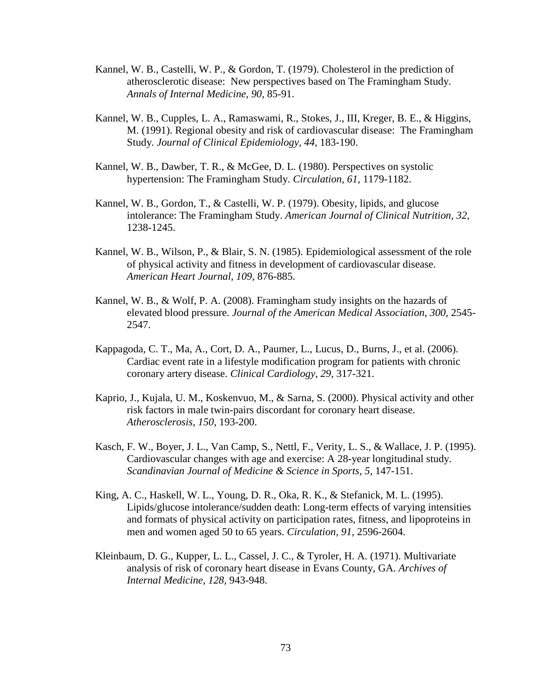- Kannel, W. B., Castelli, W. P., & Gordon, T. (1979). Cholesterol in the prediction of atherosclerotic disease: New perspectives based on The Framingham Study. *Annals of Internal Medicine, 90,* 85-91.
- Kannel, W. B., Cupples, L. A., Ramaswami, R., Stokes, J., III, Kreger, B. E., & Higgins, M. (1991). Regional obesity and risk of cardiovascular disease: The Framingham Study. *Journal of Clinical Epidemiology, 44,* 183-190.
- Kannel, W. B., Dawber, T. R., & McGee, D. L. (1980). Perspectives on systolic hypertension: The Framingham Study. *Circulation, 61,* 1179-1182.
- Kannel, W. B., Gordon, T., & Castelli, W. P. (1979). Obesity, lipids, and glucose intolerance: The Framingham Study. *American Journal of Clinical Nutrition, 32,* 1238-1245.
- Kannel, W. B., Wilson, P., & Blair, S. N. (1985). Epidemiological assessment of the role of physical activity and fitness in development of cardiovascular disease. *American Heart Journal, 109,* 876-885.
- Kannel, W. B., & Wolf, P. A. (2008). Framingham study insights on the hazards of elevated blood pressure. *Journal of the American Medical Association, 300,* 2545- 2547.
- Kappagoda, C. T., Ma, A., Cort, D. A., Paumer, L., Lucus, D., Burns, J., et al. (2006). Cardiac event rate in a lifestyle modification program for patients with chronic coronary artery disease. *Clinical Cardiology, 29,* 317-321.
- Kaprio, J., Kujala, U. M., Koskenvuo, M., & Sarna, S. (2000). Physical activity and other risk factors in male twin-pairs discordant for coronary heart disease. *Atherosclerosis, 150,* 193-200.
- Kasch, F. W., Boyer, J. L., Van Camp, S., Nettl, F., Verity, L. S., & Wallace, J. P. (1995). Cardiovascular changes with age and exercise: A 28-year longitudinal study. *Scandinavian Journal of Medicine & Science in Sports, 5,* 147-151.
- King, A. C., Haskell, W. L., Young, D. R., Oka, R. K., & Stefanick, M. L. (1995). Lipids/glucose intolerance/sudden death: Long-term effects of varying intensities and formats of physical activity on participation rates, fitness, and lipoproteins in men and women aged 50 to 65 years. *Circulation, 91,* 2596-2604.
- Kleinbaum, D. G., Kupper, L. L., Cassel, J. C., & Tyroler, H. A. (1971). Multivariate analysis of risk of coronary heart disease in Evans County, GA. *Archives of Internal Medicine, 128,* 943-948.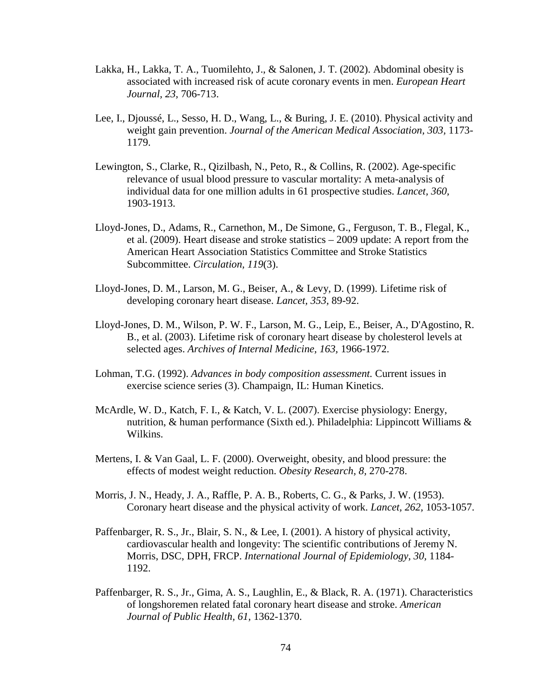- Lakka, H., Lakka, T. A., Tuomilehto, J., & Salonen, J. T. (2002). Abdominal obesity is associated with increased risk of acute coronary events in men. *European Heart Journal, 23,* 706-713.
- Lee, I., Djoussé, L., Sesso, H. D., Wang, L., & Buring, J. E. (2010). Physical activity and weight gain prevention. *Journal of the American Medical Association, 303,* 1173- 1179.
- Lewington, S., Clarke, R., Qizilbash, N., Peto, R., & Collins, R. (2002). Age-specific relevance of usual blood pressure to vascular mortality: A meta-analysis of individual data for one million adults in 61 prospective studies. *Lancet, 360,* 1903-1913.
- Lloyd-Jones, D., Adams, R., Carnethon, M., De Simone, G., Ferguson, T. B., Flegal, K., et al. (2009). Heart disease and stroke statistics – 2009 update: A report from the American Heart Association Statistics Committee and Stroke Statistics Subcommittee. *Circulation, 119*(3).
- Lloyd-Jones, D. M., Larson, M. G., Beiser, A., & Levy, D. (1999). Lifetime risk of developing coronary heart disease. *Lancet, 353,* 89-92.
- Lloyd-Jones, D. M., Wilson, P. W. F., Larson, M. G., Leip, E., Beiser, A., D'Agostino, R. B., et al. (2003). Lifetime risk of coronary heart disease by cholesterol levels at selected ages. *Archives of Internal Medicine, 163,* 1966-1972.
- Lohman, T.G. (1992). *Advances in body composition assessment.* Current issues in exercise science series (3). Champaign, IL: Human Kinetics.
- McArdle, W. D., Katch, F. I., & Katch, V. L. (2007). Exercise physiology: Energy, nutrition, & human performance (Sixth ed.). Philadelphia: Lippincott Williams & Wilkins.
- Mertens, I. & Van Gaal, L. F. (2000). Overweight, obesity, and blood pressure: the effects of modest weight reduction. *Obesity Research, 8,* 270-278.
- Morris, J. N., Heady, J. A., Raffle, P. A. B., Roberts, C. G., & Parks, J. W. (1953). Coronary heart disease and the physical activity of work. *Lancet, 262,* 1053-1057.
- Paffenbarger, R. S., Jr., Blair, S. N., & Lee, I. (2001). A history of physical activity, cardiovascular health and longevity: The scientific contributions of Jeremy N. Morris, DSC, DPH, FRCP. *International Journal of Epidemiology, 30,* 1184- 1192.
- Paffenbarger, R. S., Jr., Gima, A. S., Laughlin, E., & Black, R. A. (1971). Characteristics of longshoremen related fatal coronary heart disease and stroke. *American Journal of Public Health, 61,* 1362-1370.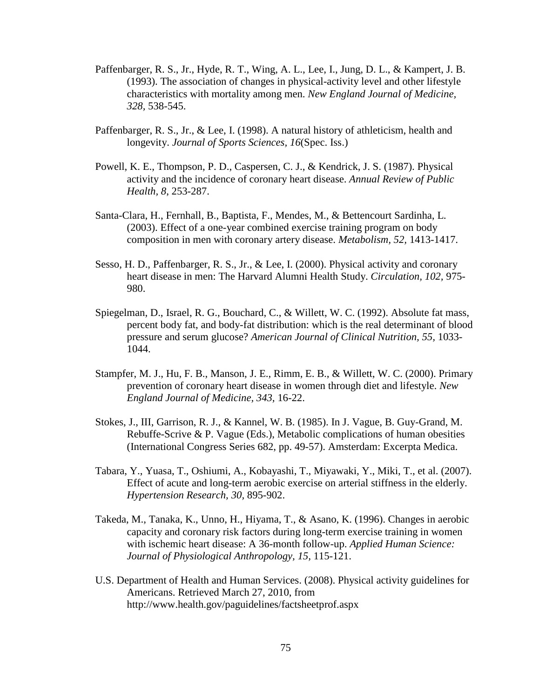- Paffenbarger, R. S., Jr., Hyde, R. T., Wing, A. L., Lee, I., Jung, D. L., & Kampert, J. B. (1993). The association of changes in physical-activity level and other lifestyle characteristics with mortality among men. *New England Journal of Medicine, 328,* 538-545.
- Paffenbarger, R. S., Jr., & Lee, I. (1998). A natural history of athleticism, health and longevity. *Journal of Sports Sciences, 16*(Spec. Iss.)
- Powell, K. E., Thompson, P. D., Caspersen, C. J., & Kendrick, J. S. (1987). Physical activity and the incidence of coronary heart disease. *Annual Review of Public Health, 8*, 253-287.
- Santa-Clara, H., Fernhall, B., Baptista, F., Mendes, M., & Bettencourt Sardinha, L. (2003). Effect of a one-year combined exercise training program on body composition in men with coronary artery disease. *Metabolism, 52,* 1413-1417.
- Sesso, H. D., Paffenbarger, R. S., Jr., & Lee, I. (2000). Physical activity and coronary heart disease in men: The Harvard Alumni Health Study. *Circulation, 102,* 975- 980.
- Spiegelman, D., Israel, R. G., Bouchard, C., & Willett, W. C. (1992). Absolute fat mass, percent body fat, and body-fat distribution: which is the real determinant of blood pressure and serum glucose? *American Journal of Clinical Nutrition, 55,* 1033- 1044.
- Stampfer, M. J., Hu, F. B., Manson, J. E., Rimm, E. B., & Willett, W. C. (2000). Primary prevention of coronary heart disease in women through diet and lifestyle. *New England Journal of Medicine, 343,* 16-22.
- Stokes, J., III, Garrison, R. J., & Kannel, W. B. (1985). In J. Vague, B. Guy-Grand, M. Rebuffe-Scrive & P. Vague (Eds.), Metabolic complications of human obesities (International Congress Series 682, pp. 49-57). Amsterdam: Excerpta Medica.
- Tabara, Y., Yuasa, T., Oshiumi, A., Kobayashi, T., Miyawaki, Y., Miki, T., et al. (2007). Effect of acute and long-term aerobic exercise on arterial stiffness in the elderly. *Hypertension Research, 30,* 895-902.
- Takeda, M., Tanaka, K., Unno, H., Hiyama, T., & Asano, K. (1996). Changes in aerobic capacity and coronary risk factors during long-term exercise training in women with ischemic heart disease: A 36-month follow-up. *Applied Human Science: Journal of Physiological Anthropology, 15,* 115-121.
- U.S. Department of Health and Human Services. (2008). Physical activity guidelines for Americans. Retrieved March 27, 2010, from http://www.health.gov/paguidelines/factsheetprof.aspx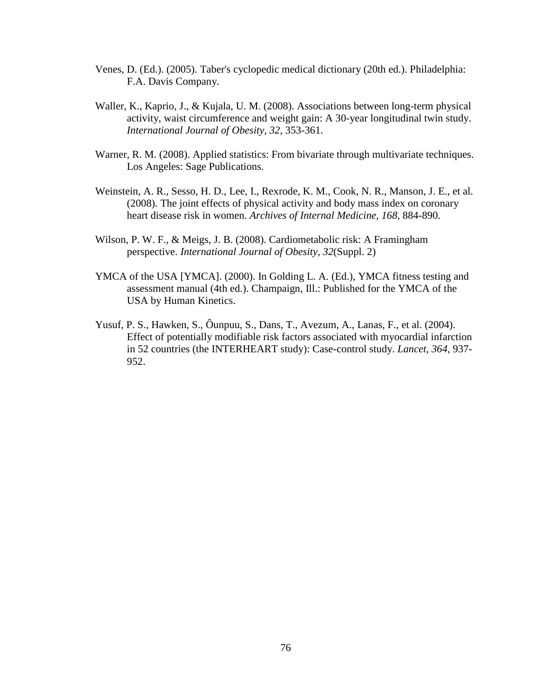- Venes, D. (Ed.). (2005). Taber's cyclopedic medical dictionary (20th ed.). Philadelphia: F.A. Davis Company.
- Waller, K., Kaprio, J., & Kujala, U. M. (2008). Associations between long-term physical activity, waist circumference and weight gain: A 30-year longitudinal twin study. *International Journal of Obesity, 32,* 353-361.
- Warner, R. M. (2008). Applied statistics: From bivariate through multivariate techniques. Los Angeles: Sage Publications.
- Weinstein, A. R., Sesso, H. D., Lee, I., Rexrode, K. M., Cook, N. R., Manson, J. E., et al. (2008). The joint effects of physical activity and body mass index on coronary heart disease risk in women. *Archives of Internal Medicine, 168,* 884-890.
- Wilson, P. W. F., & Meigs, J. B. (2008). Cardiometabolic risk: A Framingham perspective. *International Journal of Obesity, 32*(Suppl. 2)
- YMCA of the USA [YMCA]. (2000). In Golding L. A. (Ed.), YMCA fitness testing and assessment manual (4th ed.). Champaign, Ill.: Published for the YMCA of the USA by Human Kinetics.
- Yusuf, P. S., Hawken, S., Ôunpuu, S., Dans, T., Avezum, A., Lanas, F., et al. (2004). Effect of potentially modifiable risk factors associated with myocardial infarction in 52 countries (the INTERHEART study): Case-control study. *Lancet, 364,* 937- 952.